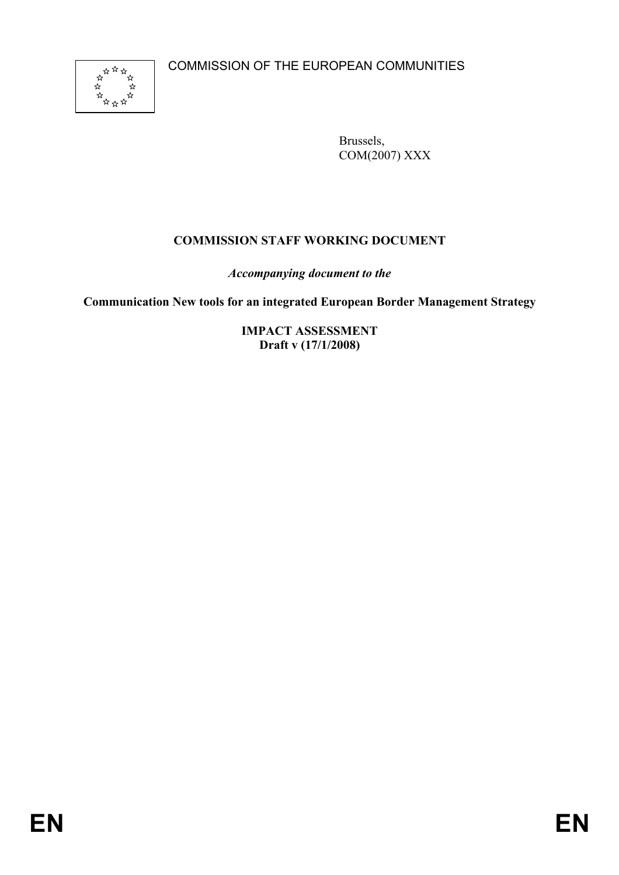

Brussels, COM(2007) XXX

# **COMMISSION STAFF WORKING DOCUMENT**

*Accompanying document to the*

**Communication New tools for an integrated European Border Management Strategy** 

**IMPACT ASSESSMENT Draft v (17/1/2008)**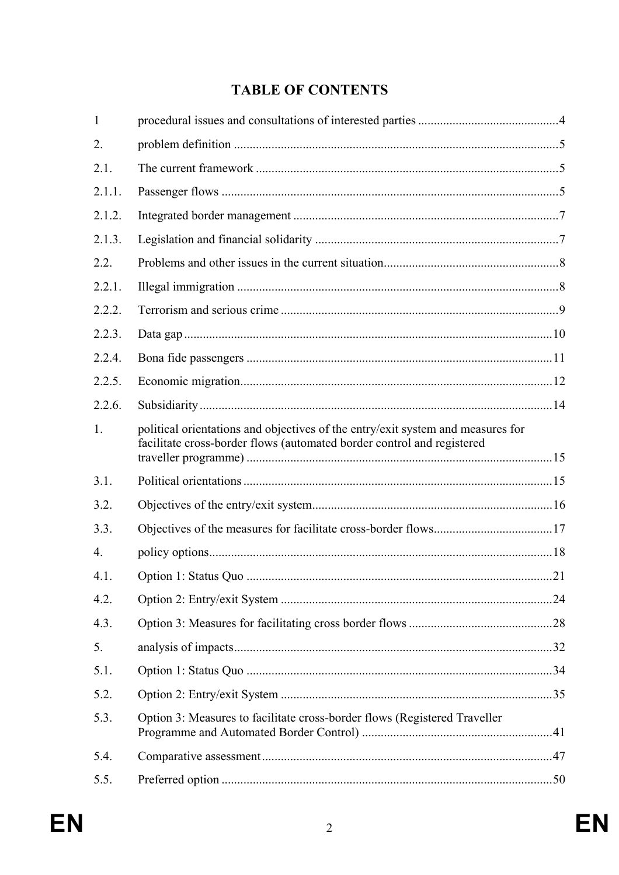# **TABLE OF CONTENTS**

| 1                |                                                                                                                                                           |  |
|------------------|-----------------------------------------------------------------------------------------------------------------------------------------------------------|--|
| 2.               |                                                                                                                                                           |  |
| 2.1.             |                                                                                                                                                           |  |
| 2.1.1.           |                                                                                                                                                           |  |
| 2.1.2.           |                                                                                                                                                           |  |
| 2.1.3.           |                                                                                                                                                           |  |
| 2.2.             |                                                                                                                                                           |  |
| 2.2.1.           |                                                                                                                                                           |  |
| 2.2.2.           |                                                                                                                                                           |  |
| 2.2.3.           |                                                                                                                                                           |  |
| 2.2.4.           |                                                                                                                                                           |  |
| 2.2.5.           |                                                                                                                                                           |  |
| 2.2.6.           |                                                                                                                                                           |  |
| 1.               | political orientations and objectives of the entry/exit system and measures for<br>facilitate cross-border flows (automated border control and registered |  |
| 3.1.             |                                                                                                                                                           |  |
| 3.2.             |                                                                                                                                                           |  |
| 3.3.             |                                                                                                                                                           |  |
| $\overline{4}$ . |                                                                                                                                                           |  |
| 4.1.             |                                                                                                                                                           |  |
| 4.2.             |                                                                                                                                                           |  |
| 4.3.             |                                                                                                                                                           |  |
| 5.               |                                                                                                                                                           |  |
| 5.1.             |                                                                                                                                                           |  |
| 5.2.             |                                                                                                                                                           |  |
| 5.3.             | Option 3: Measures to facilitate cross-border flows (Registered Traveller                                                                                 |  |
| 5.4.             |                                                                                                                                                           |  |
| 5.5.             |                                                                                                                                                           |  |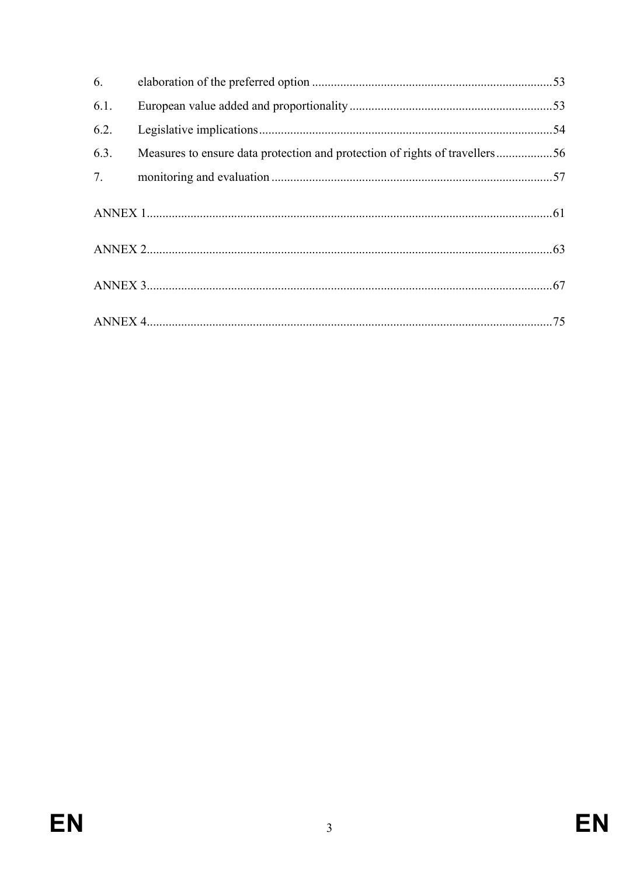| 6.   |                                                                             |  |
|------|-----------------------------------------------------------------------------|--|
| 6.1. |                                                                             |  |
| 6.2. |                                                                             |  |
| 6.3. | Measures to ensure data protection and protection of rights of travellers56 |  |
| 7.   |                                                                             |  |
|      |                                                                             |  |
|      |                                                                             |  |
|      |                                                                             |  |
|      |                                                                             |  |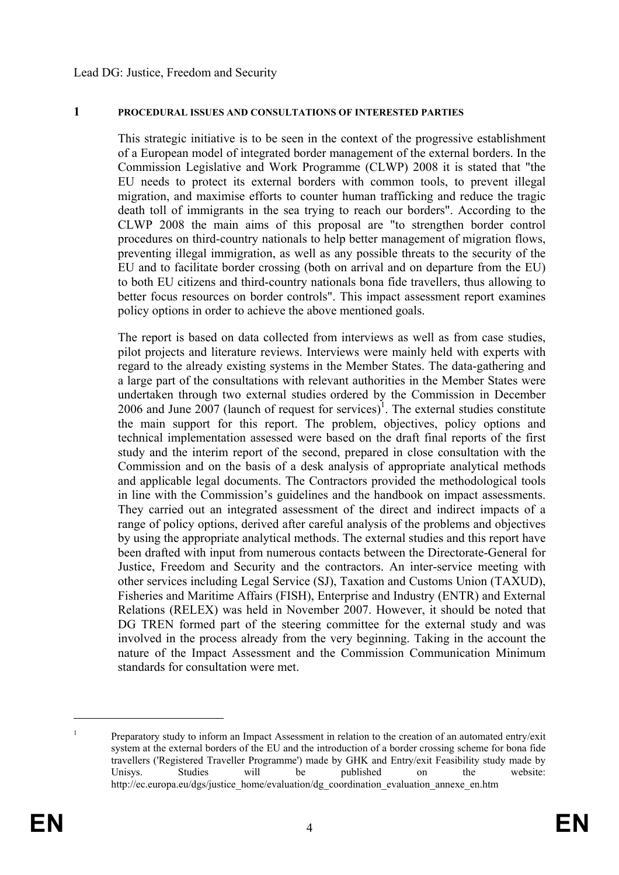#### **1 PROCEDURAL ISSUES AND CONSULTATIONS OF INTERESTED PARTIES**

This strategic initiative is to be seen in the context of the progressive establishment of a European model of integrated border management of the external borders. In the Commission Legislative and Work Programme (CLWP) 2008 it is stated that "the EU needs to protect its external borders with common tools, to prevent illegal migration, and maximise efforts to counter human trafficking and reduce the tragic death toll of immigrants in the sea trying to reach our borders". According to the CLWP 2008 the main aims of this proposal are "to strengthen border control procedures on third-country nationals to help better management of migration flows, preventing illegal immigration, as well as any possible threats to the security of the EU and to facilitate border crossing (both on arrival and on departure from the EU) to both EU citizens and third-country nationals bona fide travellers, thus allowing to better focus resources on border controls". This impact assessment report examines policy options in order to achieve the above mentioned goals.

The report is based on data collected from interviews as well as from case studies, pilot projects and literature reviews. Interviews were mainly held with experts with regard to the already existing systems in the Member States. The data-gathering and a large part of the consultations with relevant authorities in the Member States were undertaken through two external studies ordered by the Commission in December 2006 and June 2007 (launch of request for services)<sup>1</sup>. The external studies constitute the main support for this report. The problem, objectives, policy options and technical implementation assessed were based on the draft final reports of the first study and the interim report of the second, prepared in close consultation with the Commission and on the basis of a desk analysis of appropriate analytical methods and applicable legal documents. The Contractors provided the methodological tools in line with the Commission's guidelines and the handbook on impact assessments. They carried out an integrated assessment of the direct and indirect impacts of a range of policy options, derived after careful analysis of the problems and objectives by using the appropriate analytical methods. The external studies and this report have been drafted with input from numerous contacts between the Directorate-General for Justice, Freedom and Security and the contractors. An inter-service meeting with other services including Legal Service (SJ), Taxation and Customs Union (TAXUD), Fisheries and Maritime Affairs (FISH), Enterprise and Industry (ENTR) and External Relations (RELEX) was held in November 2007. However, it should be noted that DG TREN formed part of the steering committee for the external study and was involved in the process already from the very beginning. Taking in the account the nature of the Impact Assessment and the Commission Communication Minimum standards for consultation were met.

<sup>1</sup> Preparatory study to inform an Impact Assessment in relation to the creation of an automated entry/exit system at the external borders of the EU and the introduction of a border crossing scheme for bona fide travellers ('Registered Traveller Programme') made by GHK and Entry/exit Feasibility study made by Unisys. Studies will be published on the website: http://ec.europa.eu/dgs/justice\_home/evaluation/dg\_coordination\_evaluation\_annexe\_en.htm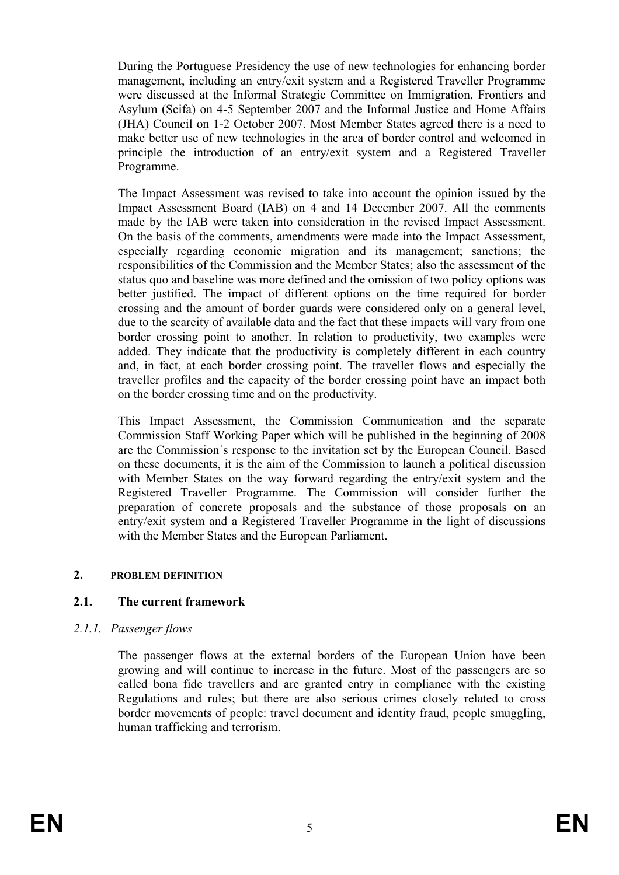During the Portuguese Presidency the use of new technologies for enhancing border management, including an entry/exit system and a Registered Traveller Programme were discussed at the Informal Strategic Committee on Immigration, Frontiers and Asylum (Scifa) on 4-5 September 2007 and the Informal Justice and Home Affairs (JHA) Council on 1-2 October 2007. Most Member States agreed there is a need to make better use of new technologies in the area of border control and welcomed in principle the introduction of an entry/exit system and a Registered Traveller Programme.

The Impact Assessment was revised to take into account the opinion issued by the Impact Assessment Board (IAB) on 4 and 14 December 2007. All the comments made by the IAB were taken into consideration in the revised Impact Assessment. On the basis of the comments, amendments were made into the Impact Assessment, especially regarding economic migration and its management; sanctions; the responsibilities of the Commission and the Member States; also the assessment of the status quo and baseline was more defined and the omission of two policy options was better justified. The impact of different options on the time required for border crossing and the amount of border guards were considered only on a general level, due to the scarcity of available data and the fact that these impacts will vary from one border crossing point to another. In relation to productivity, two examples were added. They indicate that the productivity is completely different in each country and, in fact, at each border crossing point. The traveller flows and especially the traveller profiles and the capacity of the border crossing point have an impact both on the border crossing time and on the productivity.

This Impact Assessment, the Commission Communication and the separate Commission Staff Working Paper which will be published in the beginning of 2008 are the Commission´s response to the invitation set by the European Council. Based on these documents, it is the aim of the Commission to launch a political discussion with Member States on the way forward regarding the entry/exit system and the Registered Traveller Programme. The Commission will consider further the preparation of concrete proposals and the substance of those proposals on an entry/exit system and a Registered Traveller Programme in the light of discussions with the Member States and the European Parliament.

#### **2. PROBLEM DEFINITION**

## **2.1. The current framework**

#### *2.1.1. Passenger flows*

The passenger flows at the external borders of the European Union have been growing and will continue to increase in the future. Most of the passengers are so called bona fide travellers and are granted entry in compliance with the existing Regulations and rules; but there are also serious crimes closely related to cross border movements of people: travel document and identity fraud, people smuggling, human trafficking and terrorism.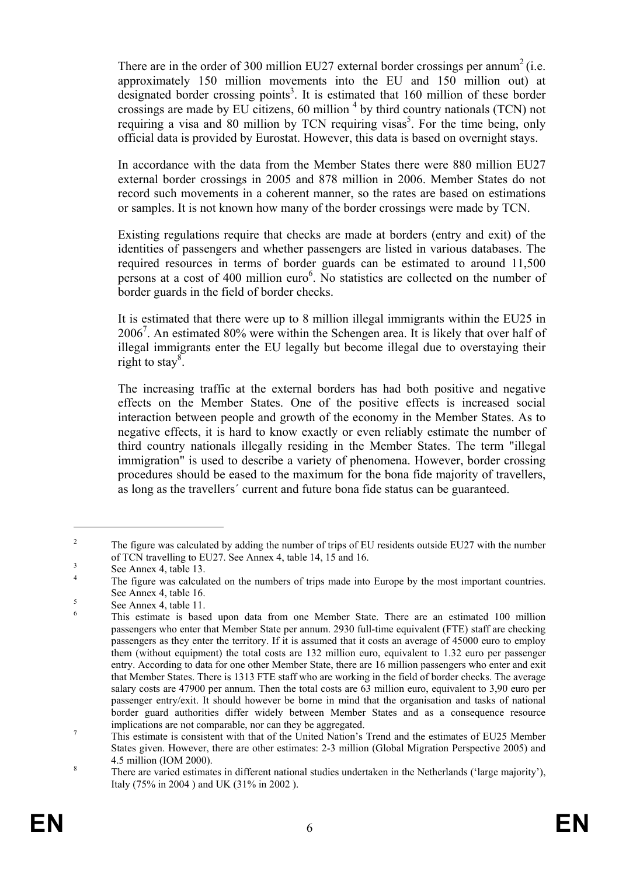There are in the order of 300 million EU27 external border crossings per annum<sup>2</sup> (i.e. approximately 150 million movements into the EU and 150 million out) at designated border crossing points<sup>3</sup>. It is estimated that 160 million of these border crossings are made by EU citizens, 60 million  $4$  by third country nationals (TCN) not requiring a visa and 80 million by TCN requiring visas<sup>5</sup>. For the time being, only official data is provided by Eurostat. However, this data is based on overnight stays.

In accordance with the data from the Member States there were 880 million EU27 external border crossings in 2005 and 878 million in 2006. Member States do not record such movements in a coherent manner, so the rates are based on estimations or samples. It is not known how many of the border crossings were made by TCN.

Existing regulations require that checks are made at borders (entry and exit) of the identities of passengers and whether passengers are listed in various databases. The required resources in terms of border guards can be estimated to around 11,500 persons at a cost of 400 million euro<sup>6</sup>. No statistics are collected on the number of border guards in the field of border checks.

It is estimated that there were up to 8 million illegal immigrants within the EU25 in 20067 . An estimated 80% were within the Schengen area. It is likely that over half of illegal immigrants enter the EU legally but become illegal due to overstaying their right to stay<sup>8</sup>.

The increasing traffic at the external borders has had both positive and negative effects on the Member States. One of the positive effects is increased social interaction between people and growth of the economy in the Member States. As to negative effects, it is hard to know exactly or even reliably estimate the number of third country nationals illegally residing in the Member States. The term "illegal immigration" is used to describe a variety of phenomena. However, border crossing procedures should be eased to the maximum for the bona fide majority of travellers, as long as the travellers´ current and future bona fide status can be guaranteed.

 $\overline{2}$  The figure was calculated by adding the number of trips of EU residents outside EU27 with the number of TCN travelling to EU27. See Annex 4, table 14, 15 and 16.  $\frac{3}{2}$ 

See Annex 4, table 13.

<sup>4</sup> The figure was calculated on the numbers of trips made into Europe by the most important countries. See Annex 4, table 16.

See Annex 4, table 11. 6

This estimate is based upon data from one Member State. There are an estimated 100 million passengers who enter that Member State per annum. 2930 full-time equivalent (FTE) staff are checking passengers as they enter the territory. If it is assumed that it costs an average of 45000 euro to employ them (without equipment) the total costs are 132 million euro, equivalent to 1.32 euro per passenger entry. According to data for one other Member State, there are 16 million passengers who enter and exit that Member States. There is 1313 FTE staff who are working in the field of border checks. The average salary costs are 47900 per annum. Then the total costs are 63 million euro, equivalent to 3,90 euro per passenger entry/exit. It should however be borne in mind that the organisation and tasks of national border guard authorities differ widely between Member States and as a consequence resource implications are not comparable, nor can they be aggregated.

This estimate is consistent with that of the United Nation's Trend and the estimates of EU25 Member States given. However, there are other estimates: 2-3 million (Global Migration Perspective 2005) and  $\frac{4.5 \text{ million (IOM } 2000)}{\text{Thore are varied estimate}}$ 

There are varied estimates in different national studies undertaken in the Netherlands ('large majority'), Italy (75% in 2004 ) and UK (31% in 2002 ).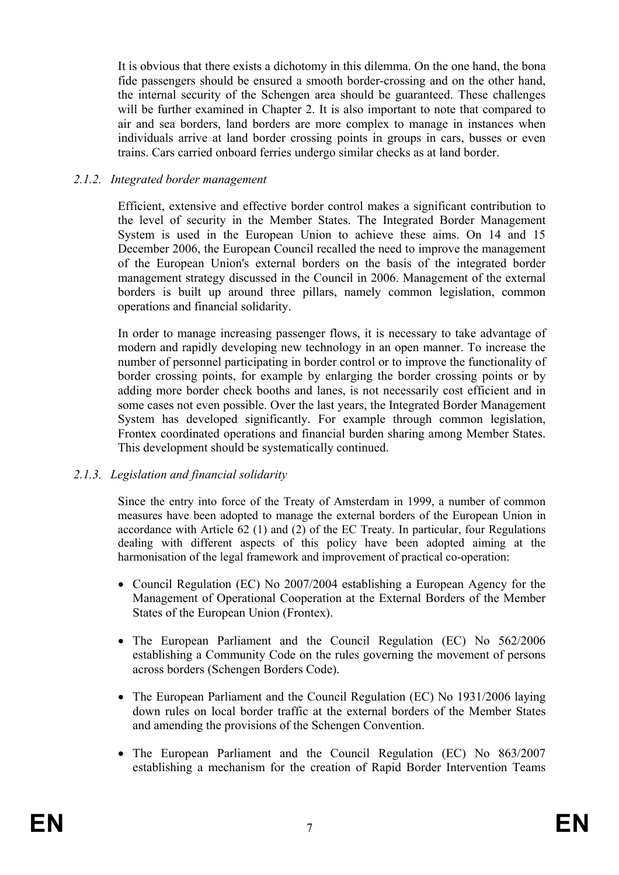It is obvious that there exists a dichotomy in this dilemma. On the one hand, the bona fide passengers should be ensured a smooth border-crossing and on the other hand, the internal security of the Schengen area should be guaranteed. These challenges will be further examined in Chapter 2. It is also important to note that compared to air and sea borders, land borders are more complex to manage in instances when individuals arrive at land border crossing points in groups in cars, busses or even trains. Cars carried onboard ferries undergo similar checks as at land border.

#### *2.1.2. Integrated border management*

Efficient, extensive and effective border control makes a significant contribution to the level of security in the Member States. The Integrated Border Management System is used in the European Union to achieve these aims. On 14 and 15 December 2006, the European Council recalled the need to improve the management of the European Union's external borders on the basis of the integrated border management strategy discussed in the Council in 2006. Management of the external borders is built up around three pillars, namely common legislation, common operations and financial solidarity.

In order to manage increasing passenger flows, it is necessary to take advantage of modern and rapidly developing new technology in an open manner. To increase the number of personnel participating in border control or to improve the functionality of border crossing points, for example by enlarging the border crossing points or by adding more border check booths and lanes, is not necessarily cost efficient and in some cases not even possible. Over the last years, the Integrated Border Management System has developed significantly. For example through common legislation, Frontex coordinated operations and financial burden sharing among Member States. This development should be systematically continued.

## *2.1.3. Legislation and financial solidarity*

Since the entry into force of the Treaty of Amsterdam in 1999, a number of common measures have been adopted to manage the external borders of the European Union in accordance with Article 62 (1) and (2) of the EC Treaty. In particular, four Regulations dealing with different aspects of this policy have been adopted aiming at the harmonisation of the legal framework and improvement of practical co-operation:

- Council Regulation (EC) No 2007/2004 establishing a European Agency for the Management of Operational Cooperation at the External Borders of the Member States of the European Union (Frontex).
- The European Parliament and the Council Regulation (EC) No 562/2006 establishing a Community Code on the rules governing the movement of persons across borders (Schengen Borders Code).
- The European Parliament and the Council Regulation (EC) No 1931/2006 laying down rules on local border traffic at the external borders of the Member States and amending the provisions of the Schengen Convention.
- The European Parliament and the Council Regulation (EC) No 863/2007 establishing a mechanism for the creation of Rapid Border Intervention Teams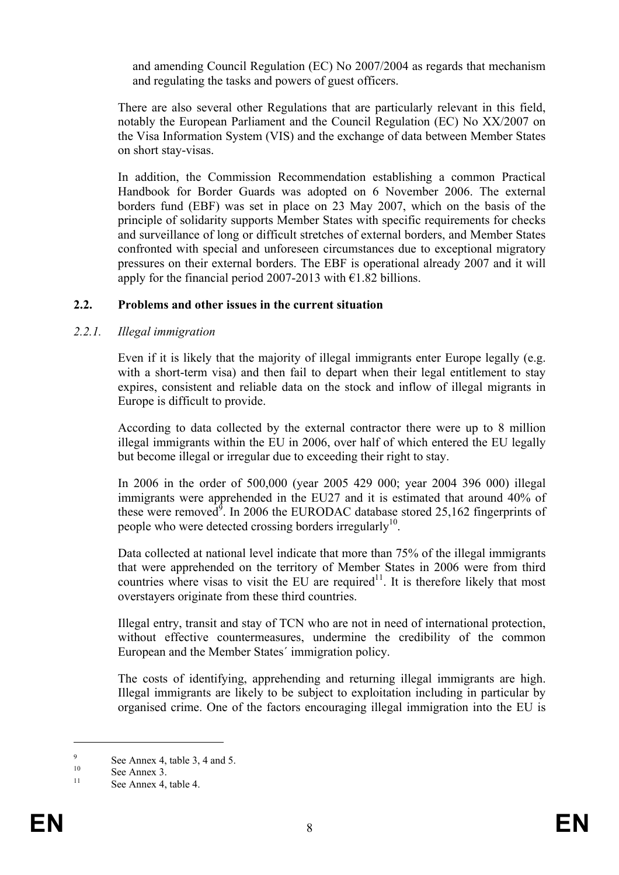and amending Council Regulation (EC) No 2007/2004 as regards that mechanism and regulating the tasks and powers of guest officers.

There are also several other Regulations that are particularly relevant in this field, notably the European Parliament and the Council Regulation (EC) No XX/2007 on the Visa Information System (VIS) and the exchange of data between Member States on short stay-visas.

In addition, the Commission Recommendation establishing a common Practical Handbook for Border Guards was adopted on 6 November 2006. The external borders fund (EBF) was set in place on 23 May 2007, which on the basis of the principle of solidarity supports Member States with specific requirements for checks and surveillance of long or difficult stretches of external borders, and Member States confronted with special and unforeseen circumstances due to exceptional migratory pressures on their external borders. The EBF is operational already 2007 and it will apply for the financial period 2007-2013 with  $\epsilon$ 1.82 billions.

#### **2.2. Problems and other issues in the current situation**

#### *2.2.1. Illegal immigration*

Even if it is likely that the majority of illegal immigrants enter Europe legally (e.g. with a short-term visa) and then fail to depart when their legal entitlement to stay expires, consistent and reliable data on the stock and inflow of illegal migrants in Europe is difficult to provide.

According to data collected by the external contractor there were up to 8 million illegal immigrants within the EU in 2006, over half of which entered the EU legally but become illegal or irregular due to exceeding their right to stay.

In 2006 in the order of 500,000 (year 2005 429 000; year 2004 396 000) illegal immigrants were apprehended in the EU27 and it is estimated that around 40% of these were removed<sup>9</sup>. In 2006 the EURODAC database stored 25,162 fingerprints of people who were detected crossing borders irregularly<sup>10</sup>.

Data collected at national level indicate that more than 75% of the illegal immigrants that were apprehended on the territory of Member States in 2006 were from third countries where visas to visit the EU are required<sup>11</sup>. It is therefore likely that most overstayers originate from these third countries.

Illegal entry, transit and stay of TCN who are not in need of international protection, without effective countermeasures, undermine the credibility of the common European and the Member States´ immigration policy.

The costs of identifying, apprehending and returning illegal immigrants are high. Illegal immigrants are likely to be subject to exploitation including in particular by organised crime. One of the factors encouraging illegal immigration into the EU is

<u>.</u>

<sup>9</sup> See Annex 4, table 3, 4 and 5.<br>
See Annex 3.

See Annex 4, table 4.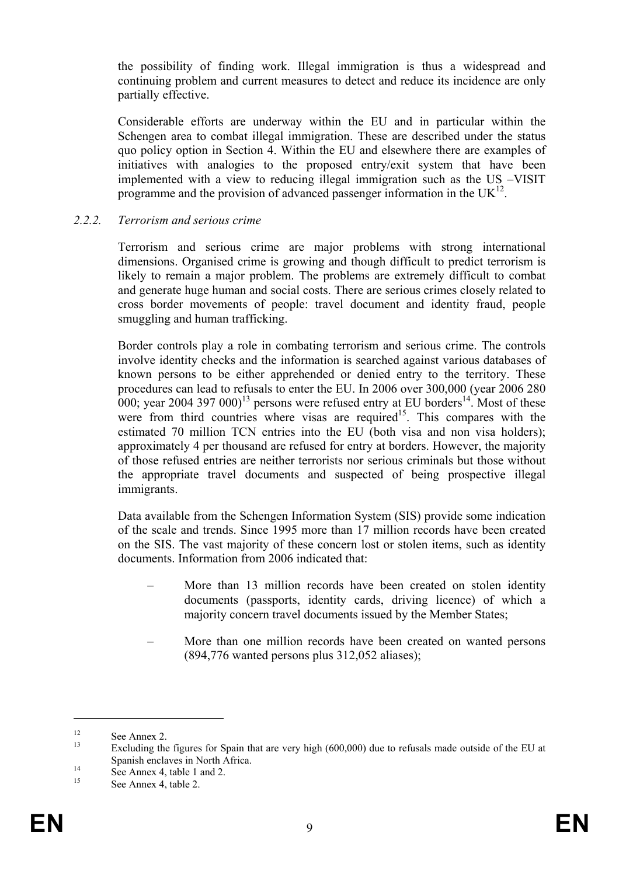the possibility of finding work. Illegal immigration is thus a widespread and continuing problem and current measures to detect and reduce its incidence are only partially effective.

Considerable efforts are underway within the EU and in particular within the Schengen area to combat illegal immigration. These are described under the status quo policy option in Section 4. Within the EU and elsewhere there are examples of initiatives with analogies to the proposed entry/exit system that have been implemented with a view to reducing illegal immigration such as the US –VISIT programme and the provision of advanced passenger information in the  $UK^{12}$ .

#### *2.2.2. Terrorism and serious crime*

Terrorism and serious crime are major problems with strong international dimensions. Organised crime is growing and though difficult to predict terrorism is likely to remain a major problem. The problems are extremely difficult to combat and generate huge human and social costs. There are serious crimes closely related to cross border movements of people: travel document and identity fraud, people smuggling and human trafficking.

Border controls play a role in combating terrorism and serious crime. The controls involve identity checks and the information is searched against various databases of known persons to be either apprehended or denied entry to the territory. These procedures can lead to refusals to enter the EU. In 2006 over 300,000 (year 2006 280 000; year 2004 397 000)<sup>13</sup> persons were refused entry at EU borders<sup>14</sup>. Most of these were from third countries where visas are required<sup>15</sup>. This compares with the estimated 70 million TCN entries into the EU (both visa and non visa holders); approximately 4 per thousand are refused for entry at borders. However, the majority of those refused entries are neither terrorists nor serious criminals but those without the appropriate travel documents and suspected of being prospective illegal immigrants.

Data available from the Schengen Information System (SIS) provide some indication of the scale and trends. Since 1995 more than 17 million records have been created on the SIS. The vast majority of these concern lost or stolen items, such as identity documents. Information from 2006 indicated that:

- More than 13 million records have been created on stolen identity documents (passports, identity cards, driving licence) of which a majority concern travel documents issued by the Member States;
- More than one million records have been created on wanted persons (894,776 wanted persons plus 312,052 aliases);

<sup>&</sup>lt;sup>12</sup> See Annex 2.

Excluding the figures for Spain that are very high (600,000) due to refusals made outside of the EU at Spanish enclaves in North Africa.<br>
See Annex 4, table 1 and 2.

See Annex 4, table 2.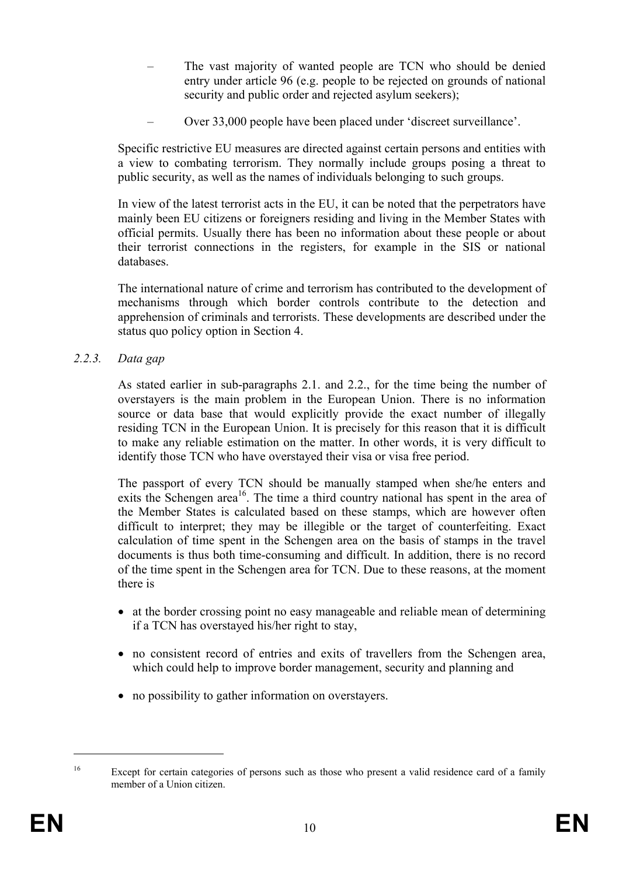- The vast majority of wanted people are TCN who should be denied entry under article 96 (e.g. people to be rejected on grounds of national security and public order and rejected asylum seekers);
- Over 33,000 people have been placed under 'discreet surveillance'.

Specific restrictive EU measures are directed against certain persons and entities with a view to combating terrorism. They normally include groups posing a threat to public security, as well as the names of individuals belonging to such groups.

In view of the latest terrorist acts in the EU, it can be noted that the perpetrators have mainly been EU citizens or foreigners residing and living in the Member States with official permits. Usually there has been no information about these people or about their terrorist connections in the registers, for example in the SIS or national databases.

The international nature of crime and terrorism has contributed to the development of mechanisms through which border controls contribute to the detection and apprehension of criminals and terrorists. These developments are described under the status quo policy option in Section 4.

*2.2.3. Data gap* 

As stated earlier in sub-paragraphs 2.1. and 2.2., for the time being the number of overstayers is the main problem in the European Union. There is no information source or data base that would explicitly provide the exact number of illegally residing TCN in the European Union. It is precisely for this reason that it is difficult to make any reliable estimation on the matter. In other words, it is very difficult to identify those TCN who have overstayed their visa or visa free period.

The passport of every TCN should be manually stamped when she/he enters and exits the Schengen area<sup>16</sup>. The time a third country national has spent in the area of the Member States is calculated based on these stamps, which are however often difficult to interpret; they may be illegible or the target of counterfeiting. Exact calculation of time spent in the Schengen area on the basis of stamps in the travel documents is thus both time-consuming and difficult. In addition, there is no record of the time spent in the Schengen area for TCN. Due to these reasons, at the moment there is

- at the border crossing point no easy manageable and reliable mean of determining if a TCN has overstayed his/her right to stay,
- no consistent record of entries and exits of travellers from the Schengen area, which could help to improve border management, security and planning and
- no possibility to gather information on overstayers.

<sup>&</sup>lt;sup>16</sup> Except for certain categories of persons such as those who present a valid residence card of a family member of a Union citizen.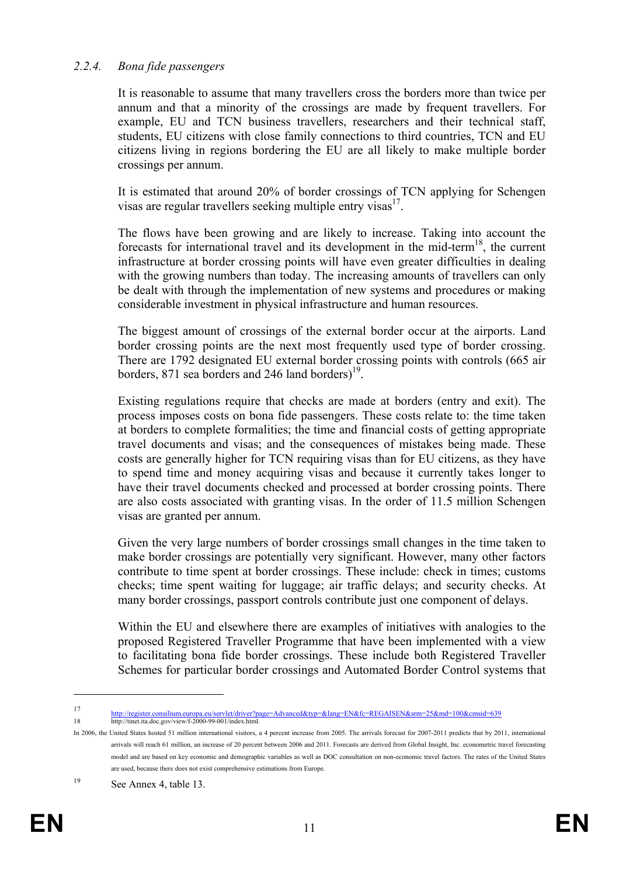#### *2.2.4. Bona fide passengers*

It is reasonable to assume that many travellers cross the borders more than twice per annum and that a minority of the crossings are made by frequent travellers. For example, EU and TCN business travellers, researchers and their technical staff, students, EU citizens with close family connections to third countries, TCN and EU citizens living in regions bordering the EU are all likely to make multiple border crossings per annum.

It is estimated that around 20% of border crossings of TCN applying for Schengen visas are regular travellers seeking multiple entry visas $17$ .

The flows have been growing and are likely to increase. Taking into account the forecasts for international travel and its development in the mid-term<sup>18</sup>, the current infrastructure at border crossing points will have even greater difficulties in dealing with the growing numbers than today. The increasing amounts of travellers can only be dealt with through the implementation of new systems and procedures or making considerable investment in physical infrastructure and human resources.

The biggest amount of crossings of the external border occur at the airports. Land border crossing points are the next most frequently used type of border crossing. There are 1792 designated EU external border crossing points with controls (665 air borders, 871 sea borders and 246 land borders $1<sup>19</sup>$ .

Existing regulations require that checks are made at borders (entry and exit). The process imposes costs on bona fide passengers. These costs relate to: the time taken at borders to complete formalities; the time and financial costs of getting appropriate travel documents and visas; and the consequences of mistakes being made. These costs are generally higher for TCN requiring visas than for EU citizens, as they have to spend time and money acquiring visas and because it currently takes longer to have their travel documents checked and processed at border crossing points. There are also costs associated with granting visas. In the order of 11.5 million Schengen visas are granted per annum.

Given the very large numbers of border crossings small changes in the time taken to make border crossings are potentially very significant. However, many other factors contribute to time spent at border crossings. These include: check in times; customs checks; time spent waiting for luggage; air traffic delays; and security checks. At many border crossings, passport controls contribute just one component of delays.

Within the EU and elsewhere there are examples of initiatives with analogies to the proposed Registered Traveller Programme that have been implemented with a view to facilitating bona fide border crossings. These include both Registered Traveller Schemes for particular border crossings and Automated Border Control systems that

<sup>17</sup> http://register.consilium.europa.eu/servlet/driver?page=Advanced&typ=&lang=EN&fc=REGAISEN&srm=25&md=100&cmsid=639<br>18 http://tinet.ita.doc.gov/view/f-2000-99-001/index.html.

In 2006, the United States hosted 51 million international visitors, a 4 percent increase from 2005. The arrivals forecast for 2007-2011 predicts that by 2011, international arrivals will reach 61 million, an increase of 20 percent between 2006 and 2011. Forecasts are derived from Global Insight, Inc. econometric travel forecasting model and are based on key economic and demographic variables as well as DOC consultation on non-economic travel factors. The rates of the United States are used, because there does not exist comprehensive estimations from Europe.

<sup>19</sup> See Annex 4, table 13.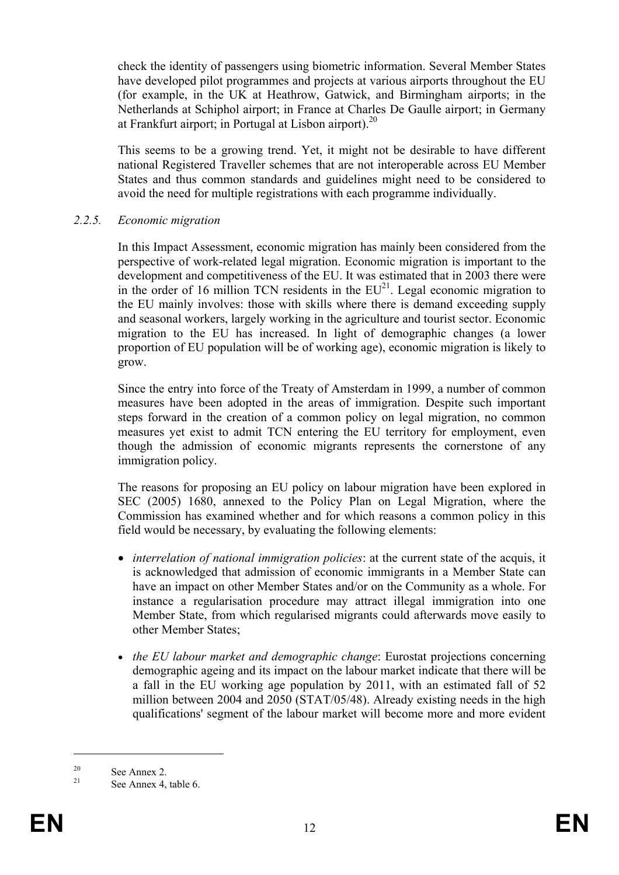check the identity of passengers using biometric information. Several Member States have developed pilot programmes and projects at various airports throughout the EU (for example, in the UK at Heathrow, Gatwick, and Birmingham airports; in the Netherlands at Schiphol airport; in France at Charles De Gaulle airport; in Germany at Frankfurt airport; in Portugal at Lisbon airport). $^{20}$ 

This seems to be a growing trend. Yet, it might not be desirable to have different national Registered Traveller schemes that are not interoperable across EU Member States and thus common standards and guidelines might need to be considered to avoid the need for multiple registrations with each programme individually.

#### *2.2.5. Economic migration*

In this Impact Assessment, economic migration has mainly been considered from the perspective of work-related legal migration. Economic migration is important to the development and competitiveness of the EU. It was estimated that in 2003 there were in the order of 16 million TCN residents in the  $EU^{21}$ . Legal economic migration to the EU mainly involves: those with skills where there is demand exceeding supply and seasonal workers, largely working in the agriculture and tourist sector. Economic migration to the EU has increased. In light of demographic changes (a lower proportion of EU population will be of working age), economic migration is likely to grow.

Since the entry into force of the Treaty of Amsterdam in 1999, a number of common measures have been adopted in the areas of immigration. Despite such important steps forward in the creation of a common policy on legal migration, no common measures yet exist to admit TCN entering the EU territory for employment, even though the admission of economic migrants represents the cornerstone of any immigration policy.

The reasons for proposing an EU policy on labour migration have been explored in SEC (2005) 1680, annexed to the Policy Plan on Legal Migration, where the Commission has examined whether and for which reasons a common policy in this field would be necessary, by evaluating the following elements:

- *interrelation of national immigration policies*: at the current state of the acquis, it is acknowledged that admission of economic immigrants in a Member State can have an impact on other Member States and/or on the Community as a whole. For instance a regularisation procedure may attract illegal immigration into one Member State, from which regularised migrants could afterwards move easily to other Member States;
- *the EU labour market and demographic change*: Eurostat projections concerning demographic ageing and its impact on the labour market indicate that there will be a fall in the EU working age population by 2011, with an estimated fall of 52 million between 2004 and 2050 (STAT/05/48). Already existing needs in the high qualifications' segment of the labour market will become more and more evident

<sup>&</sup>lt;sup>20</sup> See Annex 2.

See Annex 4, table 6.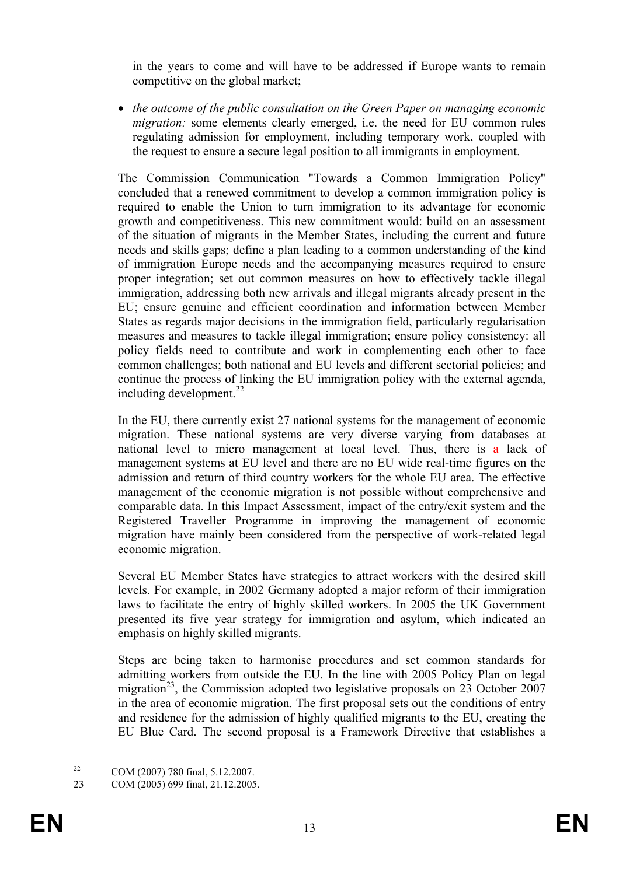in the years to come and will have to be addressed if Europe wants to remain competitive on the global market;

• *the outcome of the public consultation on the Green Paper on managing economic migration:* some elements clearly emerged, i.e. the need for EU common rules regulating admission for employment, including temporary work, coupled with the request to ensure a secure legal position to all immigrants in employment.

The Commission Communication "Towards a Common Immigration Policy" concluded that a renewed commitment to develop a common immigration policy is required to enable the Union to turn immigration to its advantage for economic growth and competitiveness. This new commitment would: build on an assessment of the situation of migrants in the Member States, including the current and future needs and skills gaps; define a plan leading to a common understanding of the kind of immigration Europe needs and the accompanying measures required to ensure proper integration; set out common measures on how to effectively tackle illegal immigration, addressing both new arrivals and illegal migrants already present in the EU; ensure genuine and efficient coordination and information between Member States as regards major decisions in the immigration field, particularly regularisation measures and measures to tackle illegal immigration; ensure policy consistency: all policy fields need to contribute and work in complementing each other to face common challenges; both national and EU levels and different sectorial policies; and continue the process of linking the EU immigration policy with the external agenda, including development. $^{22}$ 

In the EU, there currently exist 27 national systems for the management of economic migration. These national systems are very diverse varying from databases at national level to micro management at local level. Thus, there is a lack of management systems at EU level and there are no EU wide real-time figures on the admission and return of third country workers for the whole EU area. The effective management of the economic migration is not possible without comprehensive and comparable data. In this Impact Assessment, impact of the entry/exit system and the Registered Traveller Programme in improving the management of economic migration have mainly been considered from the perspective of work-related legal economic migration.

Several EU Member States have strategies to attract workers with the desired skill levels. For example, in 2002 Germany adopted a major reform of their immigration laws to facilitate the entry of highly skilled workers. In 2005 the UK Government presented its five year strategy for immigration and asylum, which indicated an emphasis on highly skilled migrants.

Steps are being taken to harmonise procedures and set common standards for admitting workers from outside the EU. In the line with 2005 Policy Plan on legal migration<sup>23</sup>, the Commission adopted two legislative proposals on 23 October 2007 in the area of economic migration. The first proposal sets out the conditions of entry and residence for the admission of highly qualified migrants to the EU, creating the EU Blue Card. The second proposal is a Framework Directive that establishes a

<sup>22</sup> COM (2007) 780 final, 5.12.2007.

<sup>23</sup> COM (2005) 699 final, 21.12.2005.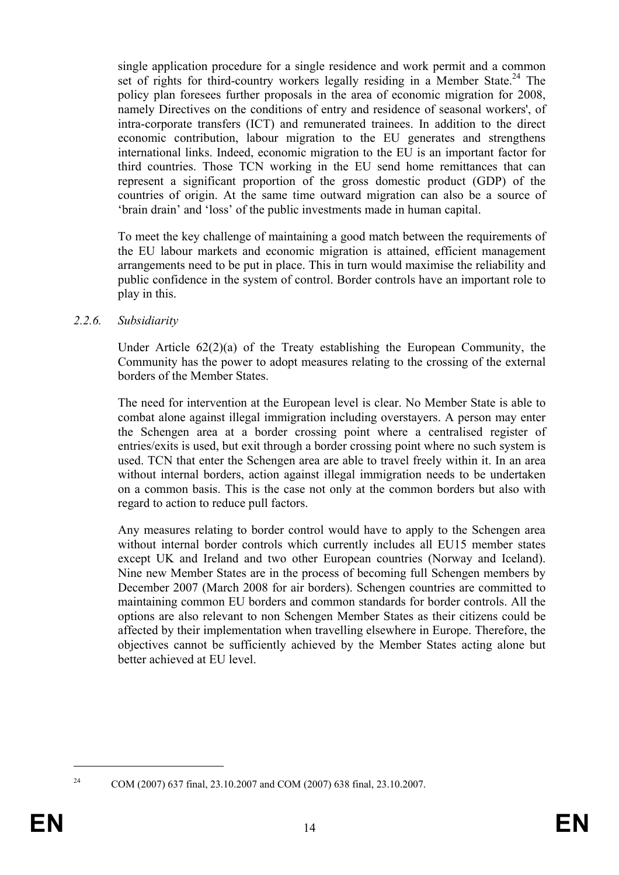single application procedure for a single residence and work permit and a common set of rights for third-country workers legally residing in a Member State.<sup>24</sup> The policy plan foresees further proposals in the area of economic migration for 2008, namely Directives on the conditions of entry and residence of seasonal workers', of intra-corporate transfers (ICT) and remunerated trainees. In addition to the direct economic contribution, labour migration to the EU generates and strengthens international links. Indeed, economic migration to the EU is an important factor for third countries. Those TCN working in the EU send home remittances that can represent a significant proportion of the gross domestic product (GDP) of the countries of origin. At the same time outward migration can also be a source of 'brain drain' and 'loss' of the public investments made in human capital.

To meet the key challenge of maintaining a good match between the requirements of the EU labour markets and economic migration is attained, efficient management arrangements need to be put in place. This in turn would maximise the reliability and public confidence in the system of control. Border controls have an important role to play in this.

#### *2.2.6. Subsidiarity*

Under Article 62(2)(a) of the Treaty establishing the European Community, the Community has the power to adopt measures relating to the crossing of the external borders of the Member States.

The need for intervention at the European level is clear. No Member State is able to combat alone against illegal immigration including overstayers. A person may enter the Schengen area at a border crossing point where a centralised register of entries/exits is used, but exit through a border crossing point where no such system is used. TCN that enter the Schengen area are able to travel freely within it. In an area without internal borders, action against illegal immigration needs to be undertaken on a common basis. This is the case not only at the common borders but also with regard to action to reduce pull factors.

Any measures relating to border control would have to apply to the Schengen area without internal border controls which currently includes all EU15 member states except UK and Ireland and two other European countries (Norway and Iceland). Nine new Member States are in the process of becoming full Schengen members by December 2007 (March 2008 for air borders). Schengen countries are committed to maintaining common EU borders and common standards for border controls. All the options are also relevant to non Schengen Member States as their citizens could be affected by their implementation when travelling elsewhere in Europe. Therefore, the objectives cannot be sufficiently achieved by the Member States acting alone but better achieved at EU level.

<sup>1</sup> 

<sup>24</sup> COM (2007) 637 final, 23.10.2007 and COM (2007) 638 final, 23.10.2007.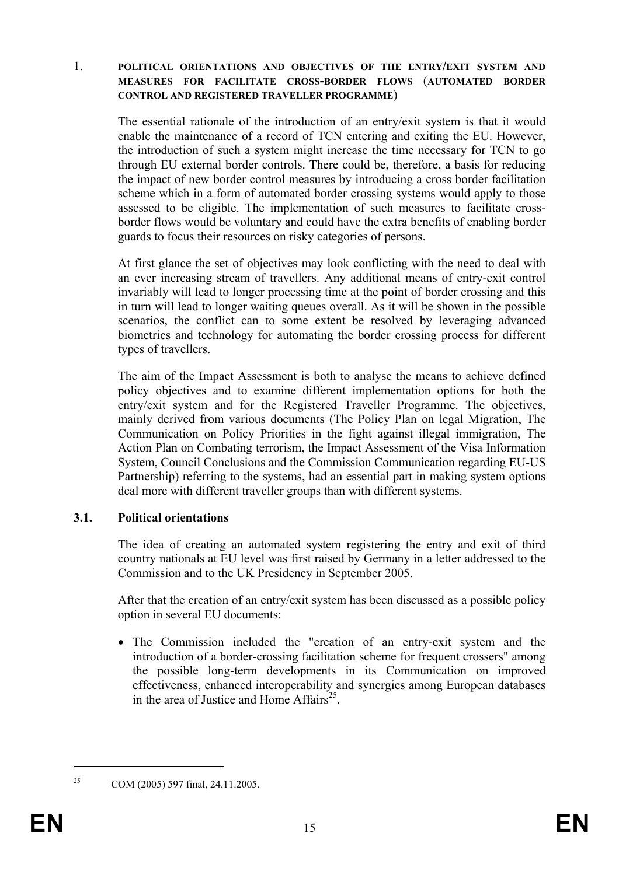1. **POLITICAL ORIENTATIONS AND OBJECTIVES OF THE ENTRY/EXIT SYSTEM AND MEASURES FOR FACILITATE CROSS-BORDER FLOWS** (**AUTOMATED BORDER CONTROL AND REGISTERED TRAVELLER PROGRAMME**)

The essential rationale of the introduction of an entry/exit system is that it would enable the maintenance of a record of TCN entering and exiting the EU. However, the introduction of such a system might increase the time necessary for TCN to go through EU external border controls. There could be, therefore, a basis for reducing the impact of new border control measures by introducing a cross border facilitation scheme which in a form of automated border crossing systems would apply to those assessed to be eligible. The implementation of such measures to facilitate crossborder flows would be voluntary and could have the extra benefits of enabling border guards to focus their resources on risky categories of persons.

At first glance the set of objectives may look conflicting with the need to deal with an ever increasing stream of travellers. Any additional means of entry-exit control invariably will lead to longer processing time at the point of border crossing and this in turn will lead to longer waiting queues overall. As it will be shown in the possible scenarios, the conflict can to some extent be resolved by leveraging advanced biometrics and technology for automating the border crossing process for different types of travellers.

The aim of the Impact Assessment is both to analyse the means to achieve defined policy objectives and to examine different implementation options for both the entry/exit system and for the Registered Traveller Programme. The objectives, mainly derived from various documents (The Policy Plan on legal Migration, The Communication on Policy Priorities in the fight against illegal immigration, The Action Plan on Combating terrorism, the Impact Assessment of the Visa Information System, Council Conclusions and the Commission Communication regarding EU-US Partnership) referring to the systems, had an essential part in making system options deal more with different traveller groups than with different systems.

## **3.1. Political orientations**

The idea of creating an automated system registering the entry and exit of third country nationals at EU level was first raised by Germany in a letter addressed to the Commission and to the UK Presidency in September 2005.

After that the creation of an entry/exit system has been discussed as a possible policy option in several EU documents:

• The Commission included the "creation of an entry-exit system and the introduction of a border-crossing facilitation scheme for frequent crossers" among the possible long-term developments in its Communication on improved effectiveness, enhanced interoperability and synergies among European databases in the area of Justice and Home Affairs<sup>25</sup>.

<sup>&</sup>lt;sup>25</sup> COM (2005) 597 final, 24.11.2005.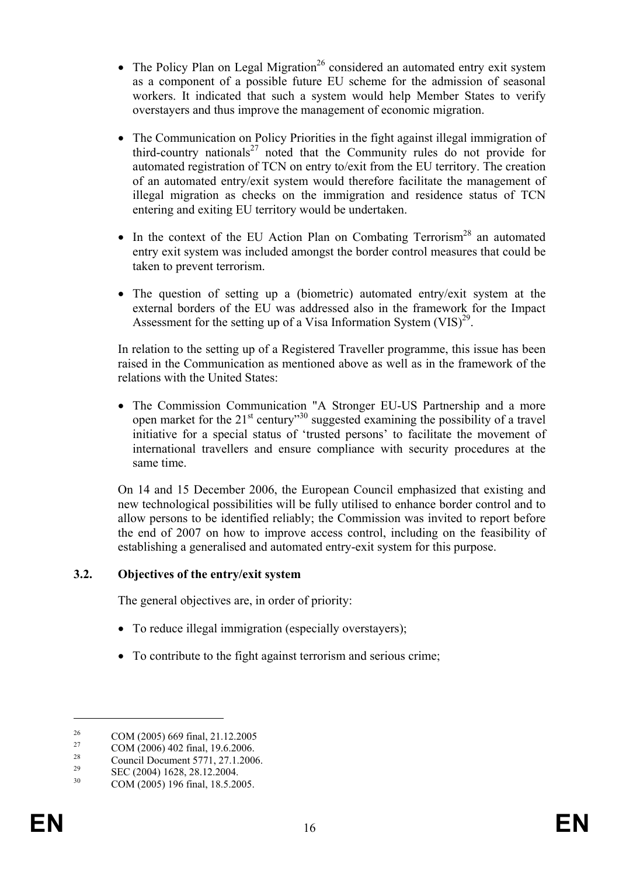- The Policy Plan on Legal Migration<sup>26</sup> considered an automated entry exit system as a component of a possible future EU scheme for the admission of seasonal workers. It indicated that such a system would help Member States to verify overstayers and thus improve the management of economic migration.
- The Communication on Policy Priorities in the fight against illegal immigration of third-country nationals<sup>27</sup> noted that the Community rules do not provide for automated registration of TCN on entry to/exit from the EU territory. The creation of an automated entry/exit system would therefore facilitate the management of illegal migration as checks on the immigration and residence status of TCN entering and exiting EU territory would be undertaken.
- In the context of the EU Action Plan on Combating Terrorism<sup>28</sup> an automated entry exit system was included amongst the border control measures that could be taken to prevent terrorism.
- The question of setting up a (biometric) automated entry/exit system at the external borders of the EU was addressed also in the framework for the Impact Assessment for the setting up of a Visa Information System  $(VIS)^{29}$ .

In relation to the setting up of a Registered Traveller programme, this issue has been raised in the Communication as mentioned above as well as in the framework of the relations with the United States:

• The Commission Communication "A Stronger EU-US Partnership and a more open market for the  $21^{st}$  century<sup>30</sup> suggested examining the possibility of a travel initiative for a special status of 'trusted persons' to facilitate the movement of international travellers and ensure compliance with security procedures at the same time.

On 14 and 15 December 2006, the European Council emphasized that existing and new technological possibilities will be fully utilised to enhance border control and to allow persons to be identified reliably; the Commission was invited to report before the end of 2007 on how to improve access control, including on the feasibility of establishing a generalised and automated entry-exit system for this purpose.

## **3.2. Objectives of the entry/exit system**

The general objectives are, in order of priority:

- To reduce illegal immigration (especially overstayers);
- To contribute to the fight against terrorism and serious crime:

<sup>&</sup>lt;sup>26</sup> COM (2005) 669 final, 21.12.2005

 $\frac{27}{28}$  COM (2006) 402 final, 19.6.2006.

<sup>&</sup>lt;sup>28</sup> Council Document 5771, 27.1.2006.<br>
SEC (2004) 1628, 28.12.2004.

<sup>&</sup>lt;sup>29</sup> SEC (2004) 1628, 28.12.2004.<br>
COM (2005) 106 Final 18.5.20

<sup>30</sup> COM (2005) 196 final, 18.5.2005.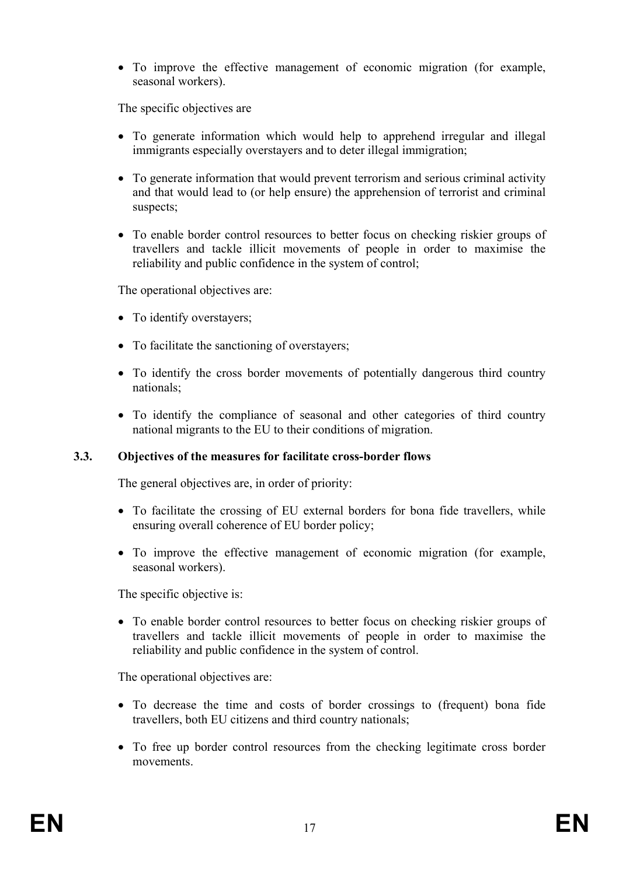• To improve the effective management of economic migration (for example, seasonal workers).

The specific objectives are

- To generate information which would help to apprehend irregular and illegal immigrants especially overstayers and to deter illegal immigration;
- To generate information that would prevent terrorism and serious criminal activity and that would lead to (or help ensure) the apprehension of terrorist and criminal suspects;
- To enable border control resources to better focus on checking riskier groups of travellers and tackle illicit movements of people in order to maximise the reliability and public confidence in the system of control;

The operational objectives are:

- To identify overstayers;
- To facilitate the sanctioning of overstayers;
- To identify the cross border movements of potentially dangerous third country nationals;
- To identify the compliance of seasonal and other categories of third country national migrants to the EU to their conditions of migration.

## **3.3. Objectives of the measures for facilitate cross-border flows**

The general objectives are, in order of priority:

- To facilitate the crossing of EU external borders for bona fide travellers, while ensuring overall coherence of EU border policy;
- To improve the effective management of economic migration (for example, seasonal workers).

The specific objective is:

• To enable border control resources to better focus on checking riskier groups of travellers and tackle illicit movements of people in order to maximise the reliability and public confidence in the system of control.

The operational objectives are:

- To decrease the time and costs of border crossings to (frequent) bona fide travellers, both EU citizens and third country nationals;
- To free up border control resources from the checking legitimate cross border movements.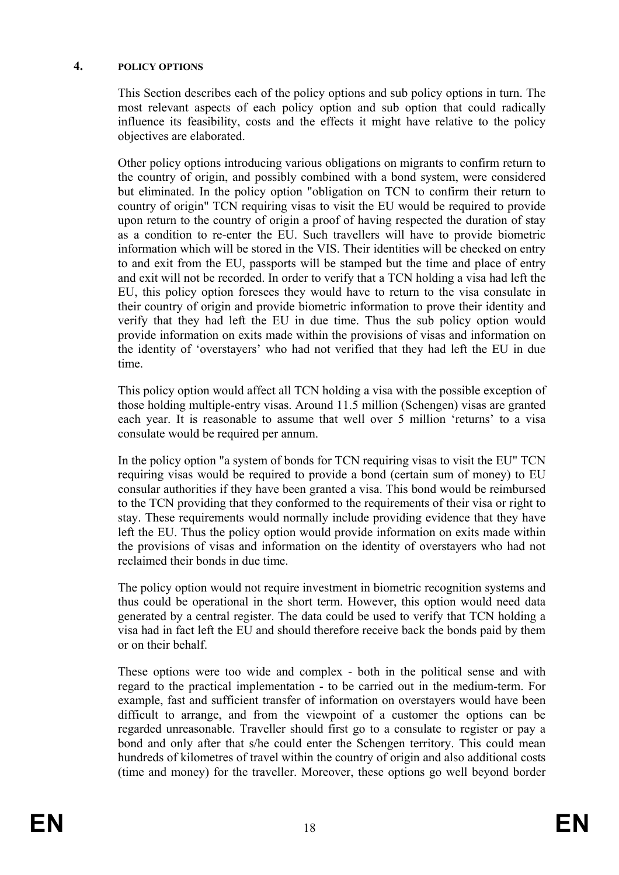#### **4. POLICY OPTIONS**

This Section describes each of the policy options and sub policy options in turn. The most relevant aspects of each policy option and sub option that could radically influence its feasibility, costs and the effects it might have relative to the policy objectives are elaborated.

Other policy options introducing various obligations on migrants to confirm return to the country of origin, and possibly combined with a bond system, were considered but eliminated. In the policy option "obligation on TCN to confirm their return to country of origin" TCN requiring visas to visit the EU would be required to provide upon return to the country of origin a proof of having respected the duration of stay as a condition to re-enter the EU. Such travellers will have to provide biometric information which will be stored in the VIS. Their identities will be checked on entry to and exit from the EU, passports will be stamped but the time and place of entry and exit will not be recorded. In order to verify that a TCN holding a visa had left the EU, this policy option foresees they would have to return to the visa consulate in their country of origin and provide biometric information to prove their identity and verify that they had left the EU in due time. Thus the sub policy option would provide information on exits made within the provisions of visas and information on the identity of 'overstayers' who had not verified that they had left the EU in due time.

This policy option would affect all TCN holding a visa with the possible exception of those holding multiple-entry visas. Around 11.5 million (Schengen) visas are granted each year. It is reasonable to assume that well over 5 million 'returns' to a visa consulate would be required per annum.

In the policy option "a system of bonds for TCN requiring visas to visit the EU" TCN requiring visas would be required to provide a bond (certain sum of money) to EU consular authorities if they have been granted a visa. This bond would be reimbursed to the TCN providing that they conformed to the requirements of their visa or right to stay. These requirements would normally include providing evidence that they have left the EU. Thus the policy option would provide information on exits made within the provisions of visas and information on the identity of overstayers who had not reclaimed their bonds in due time.

The policy option would not require investment in biometric recognition systems and thus could be operational in the short term. However, this option would need data generated by a central register. The data could be used to verify that TCN holding a visa had in fact left the EU and should therefore receive back the bonds paid by them or on their behalf.

These options were too wide and complex - both in the political sense and with regard to the practical implementation - to be carried out in the medium-term. For example, fast and sufficient transfer of information on overstayers would have been difficult to arrange, and from the viewpoint of a customer the options can be regarded unreasonable. Traveller should first go to a consulate to register or pay a bond and only after that s/he could enter the Schengen territory. This could mean hundreds of kilometres of travel within the country of origin and also additional costs (time and money) for the traveller. Moreover, these options go well beyond border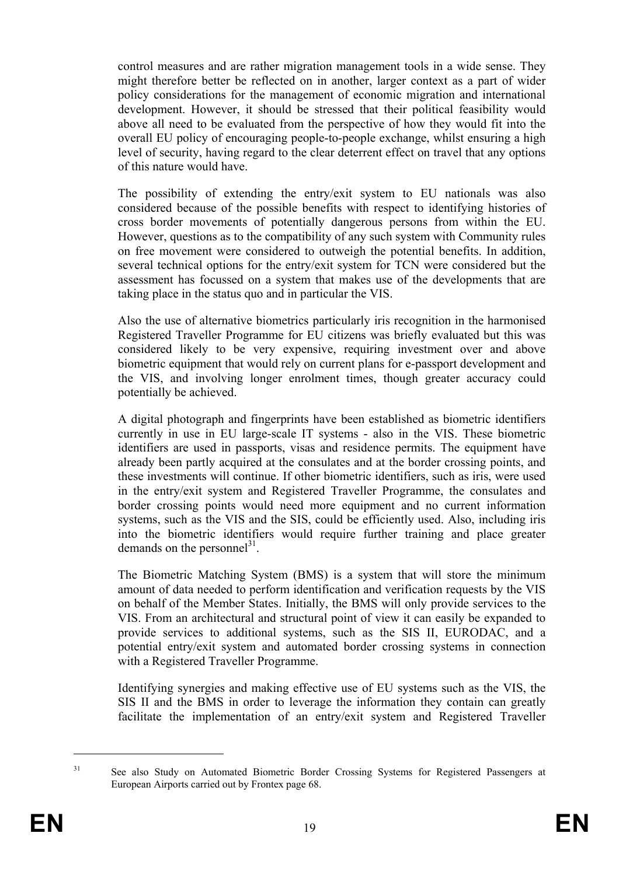control measures and are rather migration management tools in a wide sense. They might therefore better be reflected on in another, larger context as a part of wider policy considerations for the management of economic migration and international development. However, it should be stressed that their political feasibility would above all need to be evaluated from the perspective of how they would fit into the overall EU policy of encouraging people-to-people exchange, whilst ensuring a high level of security, having regard to the clear deterrent effect on travel that any options of this nature would have.

The possibility of extending the entry/exit system to EU nationals was also considered because of the possible benefits with respect to identifying histories of cross border movements of potentially dangerous persons from within the EU. However, questions as to the compatibility of any such system with Community rules on free movement were considered to outweigh the potential benefits. In addition, several technical options for the entry/exit system for TCN were considered but the assessment has focussed on a system that makes use of the developments that are taking place in the status quo and in particular the VIS.

Also the use of alternative biometrics particularly iris recognition in the harmonised Registered Traveller Programme for EU citizens was briefly evaluated but this was considered likely to be very expensive, requiring investment over and above biometric equipment that would rely on current plans for e-passport development and the VIS, and involving longer enrolment times, though greater accuracy could potentially be achieved.

A digital photograph and fingerprints have been established as biometric identifiers currently in use in EU large-scale IT systems - also in the VIS. These biometric identifiers are used in passports, visas and residence permits. The equipment have already been partly acquired at the consulates and at the border crossing points, and these investments will continue. If other biometric identifiers, such as iris, were used in the entry/exit system and Registered Traveller Programme, the consulates and border crossing points would need more equipment and no current information systems, such as the VIS and the SIS, could be efficiently used. Also, including iris into the biometric identifiers would require further training and place greater demands on the personnel<sup>31</sup>.

The Biometric Matching System (BMS) is a system that will store the minimum amount of data needed to perform identification and verification requests by the VIS on behalf of the Member States. Initially, the BMS will only provide services to the VIS. From an architectural and structural point of view it can easily be expanded to provide services to additional systems, such as the SIS II, EURODAC, and a potential entry/exit system and automated border crossing systems in connection with a Registered Traveller Programme.

Identifying synergies and making effective use of EU systems such as the VIS, the SIS II and the BMS in order to leverage the information they contain can greatly facilitate the implementation of an entry/exit system and Registered Traveller

<sup>&</sup>lt;sup>31</sup> See also Study on Automated Biometric Border Crossing Systems for Registered Passengers at European Airports carried out by Frontex page 68.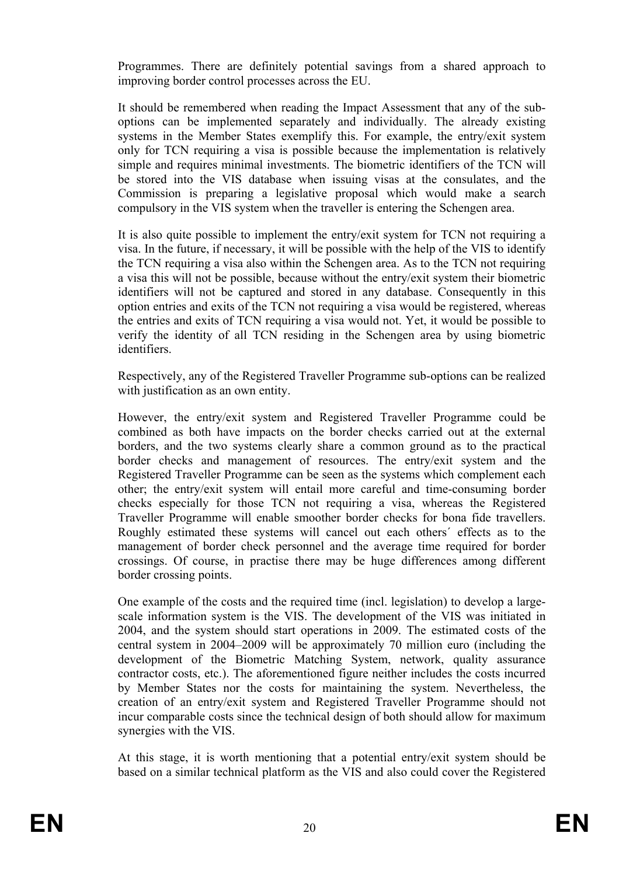Programmes. There are definitely potential savings from a shared approach to improving border control processes across the EU.

It should be remembered when reading the Impact Assessment that any of the suboptions can be implemented separately and individually. The already existing systems in the Member States exemplify this. For example, the entry/exit system only for TCN requiring a visa is possible because the implementation is relatively simple and requires minimal investments. The biometric identifiers of the TCN will be stored into the VIS database when issuing visas at the consulates, and the Commission is preparing a legislative proposal which would make a search compulsory in the VIS system when the traveller is entering the Schengen area.

It is also quite possible to implement the entry/exit system for TCN not requiring a visa. In the future, if necessary, it will be possible with the help of the VIS to identify the TCN requiring a visa also within the Schengen area. As to the TCN not requiring a visa this will not be possible, because without the entry/exit system their biometric identifiers will not be captured and stored in any database. Consequently in this option entries and exits of the TCN not requiring a visa would be registered, whereas the entries and exits of TCN requiring a visa would not. Yet, it would be possible to verify the identity of all TCN residing in the Schengen area by using biometric identifiers.

Respectively, any of the Registered Traveller Programme sub-options can be realized with justification as an own entity.

However, the entry/exit system and Registered Traveller Programme could be combined as both have impacts on the border checks carried out at the external borders, and the two systems clearly share a common ground as to the practical border checks and management of resources. The entry/exit system and the Registered Traveller Programme can be seen as the systems which complement each other; the entry/exit system will entail more careful and time-consuming border checks especially for those TCN not requiring a visa, whereas the Registered Traveller Programme will enable smoother border checks for bona fide travellers. Roughly estimated these systems will cancel out each others´ effects as to the management of border check personnel and the average time required for border crossings. Of course, in practise there may be huge differences among different border crossing points.

One example of the costs and the required time (incl. legislation) to develop a largescale information system is the VIS. The development of the VIS was initiated in 2004, and the system should start operations in 2009. The estimated costs of the central system in 2004–2009 will be approximately 70 million euro (including the development of the Biometric Matching System, network, quality assurance contractor costs, etc.). The aforementioned figure neither includes the costs incurred by Member States nor the costs for maintaining the system. Nevertheless, the creation of an entry/exit system and Registered Traveller Programme should not incur comparable costs since the technical design of both should allow for maximum synergies with the VIS.

At this stage, it is worth mentioning that a potential entry/exit system should be based on a similar technical platform as the VIS and also could cover the Registered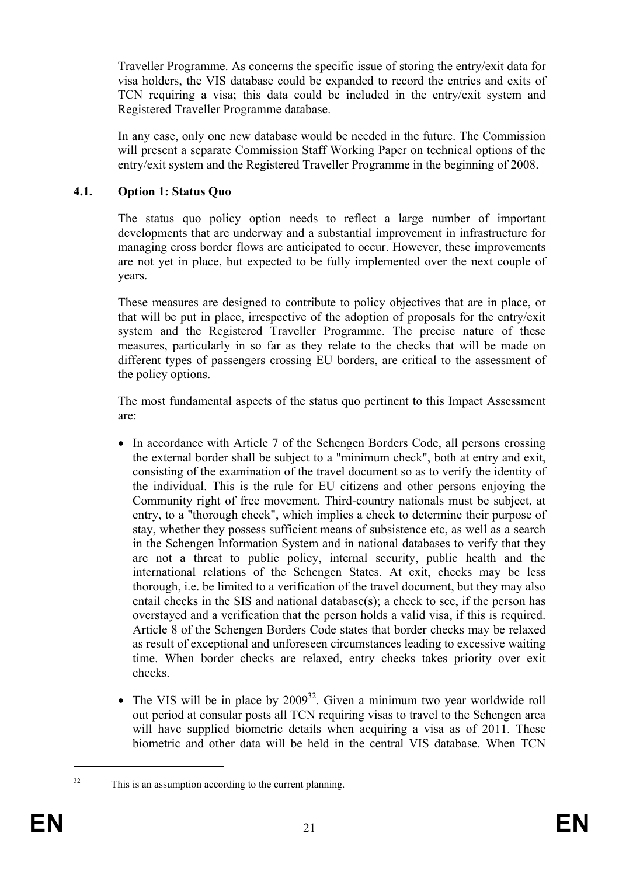Traveller Programme. As concerns the specific issue of storing the entry/exit data for visa holders, the VIS database could be expanded to record the entries and exits of TCN requiring a visa; this data could be included in the entry/exit system and Registered Traveller Programme database.

In any case, only one new database would be needed in the future. The Commission will present a separate Commission Staff Working Paper on technical options of the entry/exit system and the Registered Traveller Programme in the beginning of 2008.

## **4.1. Option 1: Status Quo**

The status quo policy option needs to reflect a large number of important developments that are underway and a substantial improvement in infrastructure for managing cross border flows are anticipated to occur. However, these improvements are not yet in place, but expected to be fully implemented over the next couple of years.

These measures are designed to contribute to policy objectives that are in place, or that will be put in place, irrespective of the adoption of proposals for the entry/exit system and the Registered Traveller Programme. The precise nature of these measures, particularly in so far as they relate to the checks that will be made on different types of passengers crossing EU borders, are critical to the assessment of the policy options.

The most fundamental aspects of the status quo pertinent to this Impact Assessment are:

- In accordance with Article 7 of the Schengen Borders Code, all persons crossing the external border shall be subject to a "minimum check", both at entry and exit, consisting of the examination of the travel document so as to verify the identity of the individual. This is the rule for EU citizens and other persons enjoying the Community right of free movement. Third-country nationals must be subject, at entry, to a "thorough check", which implies a check to determine their purpose of stay, whether they possess sufficient means of subsistence etc, as well as a search in the Schengen Information System and in national databases to verify that they are not a threat to public policy, internal security, public health and the international relations of the Schengen States. At exit, checks may be less thorough, i.e. be limited to a verification of the travel document, but they may also entail checks in the SIS and national database(s); a check to see, if the person has overstayed and a verification that the person holds a valid visa, if this is required. Article 8 of the Schengen Borders Code states that border checks may be relaxed as result of exceptional and unforeseen circumstances leading to excessive waiting time. When border checks are relaxed, entry checks takes priority over exit checks.
- The VIS will be in place by  $2009^{32}$ . Given a minimum two year worldwide roll out period at consular posts all TCN requiring visas to travel to the Schengen area will have supplied biometric details when acquiring a visa as of 2011. These biometric and other data will be held in the central VIS database. When TCN

<sup>&</sup>lt;sup>32</sup> This is an assumption according to the current planning.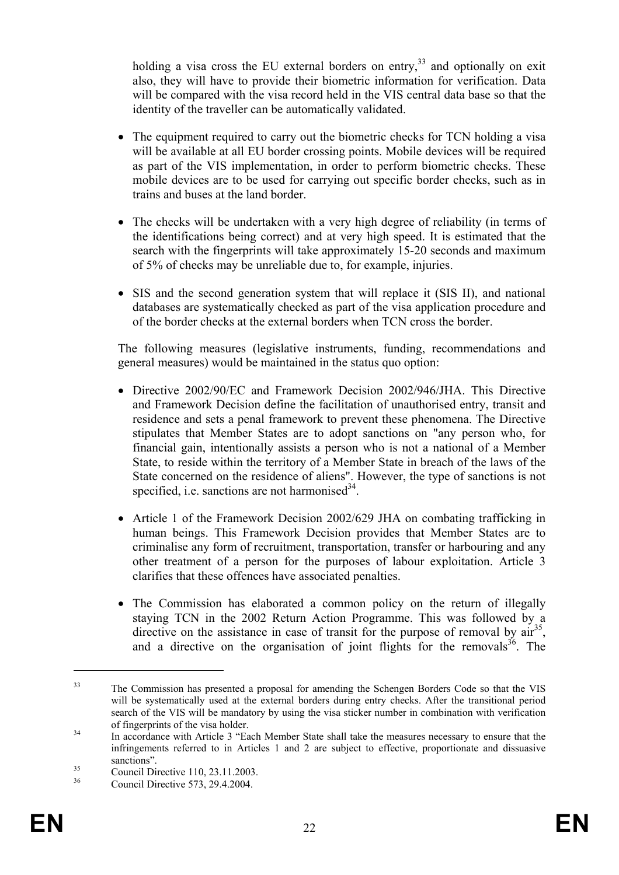holding a visa cross the EU external borders on entry,  $33$  and optionally on exit also, they will have to provide their biometric information for verification. Data will be compared with the visa record held in the VIS central data base so that the identity of the traveller can be automatically validated.

- The equipment required to carry out the biometric checks for TCN holding a visa will be available at all EU border crossing points. Mobile devices will be required as part of the VIS implementation, in order to perform biometric checks. These mobile devices are to be used for carrying out specific border checks, such as in trains and buses at the land border.
- The checks will be undertaken with a very high degree of reliability (in terms of the identifications being correct) and at very high speed. It is estimated that the search with the fingerprints will take approximately 15-20 seconds and maximum of 5% of checks may be unreliable due to, for example, injuries.
- SIS and the second generation system that will replace it (SIS II), and national databases are systematically checked as part of the visa application procedure and of the border checks at the external borders when TCN cross the border.

The following measures (legislative instruments, funding, recommendations and general measures) would be maintained in the status quo option:

- Directive 2002/90/EC and Framework Decision 2002/946/JHA. This Directive and Framework Decision define the facilitation of unauthorised entry, transit and residence and sets a penal framework to prevent these phenomena. The Directive stipulates that Member States are to adopt sanctions on "any person who, for financial gain, intentionally assists a person who is not a national of a Member State, to reside within the territory of a Member State in breach of the laws of the State concerned on the residence of aliens". However, the type of sanctions is not specified, i.e. sanctions are not harmonised $3<sup>4</sup>$ .
- Article 1 of the Framework Decision 2002/629 JHA on combating trafficking in human beings. This Framework Decision provides that Member States are to criminalise any form of recruitment, transportation, transfer or harbouring and any other treatment of a person for the purposes of labour exploitation. Article 3 clarifies that these offences have associated penalties.
- The Commission has elaborated a common policy on the return of illegally staying TCN in the 2002 Return Action Programme. This was followed by a directive on the assistance in case of transit for the purpose of removal by  $\ar{a}^{35}$ , and a directive on the organisation of joint flights for the removals  $36$ . The

<u>.</u>

<sup>&</sup>lt;sup>33</sup> The Commission has presented a proposal for amending the Schengen Borders Code so that the VIS will be systematically used at the external borders during entry checks. After the transitional period search of the VIS will be mandatory by using the visa sticker number in combination with verification of fingerprints of the visa holder.<br>In accordance with Article 3 "Each Member State shall take the measures necessary to ensure that the

infringements referred to in Articles 1 and 2 are subject to effective, proportionate and dissuasive

sanctions".<br>
Council Directive 110, 23.11.2003.<br>
Source: Directive 572, 29.4.2004.

Council Directive 573, 29.4.2004.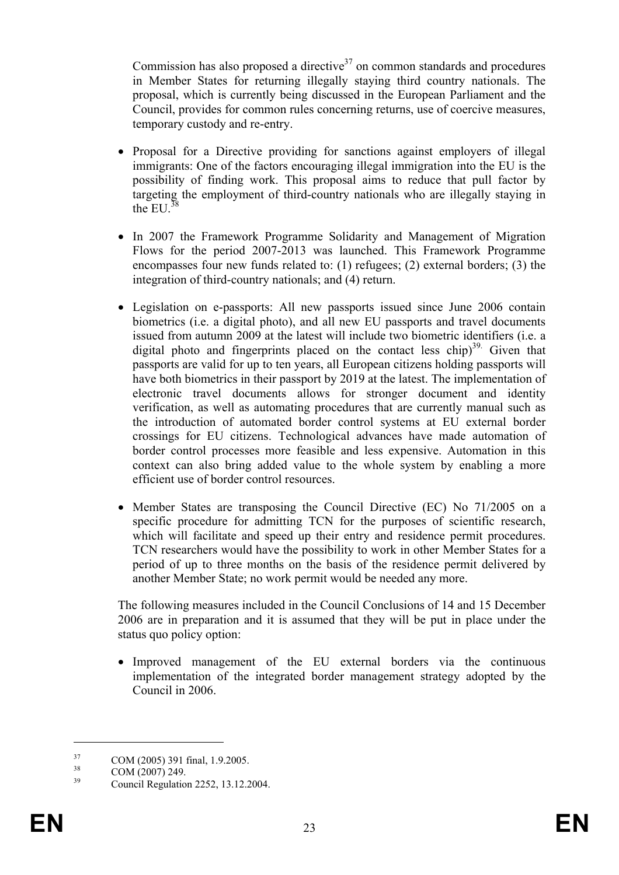Commission has also proposed a directive<sup>37</sup> on common standards and procedures in Member States for returning illegally staying third country nationals. The proposal, which is currently being discussed in the European Parliament and the Council, provides for common rules concerning returns, use of coercive measures, temporary custody and re-entry.

- Proposal for a Directive providing for sanctions against employers of illegal immigrants: One of the factors encouraging illegal immigration into the EU is the possibility of finding work. This proposal aims to reduce that pull factor by targeting the employment of third-country nationals who are illegally staying in the  $E1^{38}$
- In 2007 the Framework Programme Solidarity and Management of Migration Flows for the period 2007-2013 was launched. This Framework Programme encompasses four new funds related to: (1) refugees; (2) external borders; (3) the integration of third-country nationals; and (4) return.
- Legislation on e-passports: All new passports issued since June 2006 contain biometrics (i.e. a digital photo), and all new EU passports and travel documents issued from autumn 2009 at the latest will include two biometric identifiers (i.e. a digital photo and fingerprints placed on the contact less chip) $39$ . Given that passports are valid for up to ten years, all European citizens holding passports will have both biometrics in their passport by 2019 at the latest. The implementation of electronic travel documents allows for stronger document and identity verification, as well as automating procedures that are currently manual such as the introduction of automated border control systems at EU external border crossings for EU citizens. Technological advances have made automation of border control processes more feasible and less expensive. Automation in this context can also bring added value to the whole system by enabling a more efficient use of border control resources.
- Member States are transposing the Council Directive (EC) No 71/2005 on a specific procedure for admitting TCN for the purposes of scientific research, which will facilitate and speed up their entry and residence permit procedures. TCN researchers would have the possibility to work in other Member States for a period of up to three months on the basis of the residence permit delivered by another Member State; no work permit would be needed any more.

The following measures included in the Council Conclusions of 14 and 15 December 2006 are in preparation and it is assumed that they will be put in place under the status quo policy option:

• Improved management of the EU external borders via the continuous implementation of the integrated border management strategy adopted by the Council in 2006.

<u>.</u>

 $\frac{37}{38}$  COM (2005) 391 final, 1.9.2005.

 $\frac{38}{39}$  COM (2007) 249.

<sup>39</sup> Council Regulation 2252, 13.12.2004.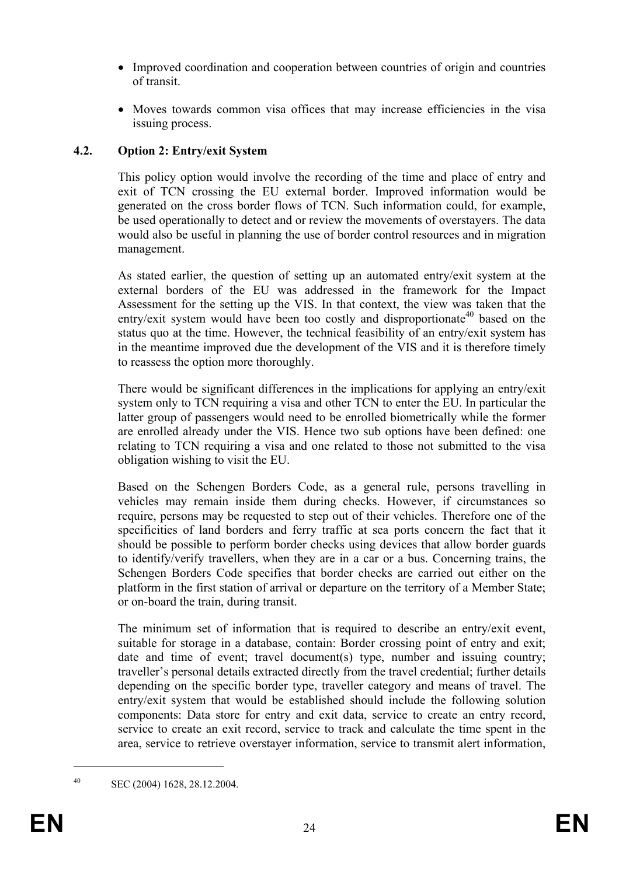- Improved coordination and cooperation between countries of origin and countries of transit.
- Moves towards common visa offices that may increase efficiencies in the visa issuing process.

## **4.2. Option 2: Entry/exit System**

This policy option would involve the recording of the time and place of entry and exit of TCN crossing the EU external border. Improved information would be generated on the cross border flows of TCN. Such information could, for example, be used operationally to detect and or review the movements of overstayers. The data would also be useful in planning the use of border control resources and in migration management.

As stated earlier, the question of setting up an automated entry/exit system at the external borders of the EU was addressed in the framework for the Impact Assessment for the setting up the VIS. In that context, the view was taken that the entry/exit system would have been too costly and disproportionate<sup>40</sup> based on the status quo at the time. However, the technical feasibility of an entry/exit system has in the meantime improved due the development of the VIS and it is therefore timely to reassess the option more thoroughly.

There would be significant differences in the implications for applying an entry/exit system only to TCN requiring a visa and other TCN to enter the EU. In particular the latter group of passengers would need to be enrolled biometrically while the former are enrolled already under the VIS. Hence two sub options have been defined: one relating to TCN requiring a visa and one related to those not submitted to the visa obligation wishing to visit the EU.

Based on the Schengen Borders Code, as a general rule, persons travelling in vehicles may remain inside them during checks. However, if circumstances so require, persons may be requested to step out of their vehicles. Therefore one of the specificities of land borders and ferry traffic at sea ports concern the fact that it should be possible to perform border checks using devices that allow border guards to identify/verify travellers, when they are in a car or a bus. Concerning trains, the Schengen Borders Code specifies that border checks are carried out either on the platform in the first station of arrival or departure on the territory of a Member State; or on-board the train, during transit.

The minimum set of information that is required to describe an entry/exit event, suitable for storage in a database, contain: Border crossing point of entry and exit; date and time of event; travel document(s) type, number and issuing country; traveller's personal details extracted directly from the travel credential; further details depending on the specific border type, traveller category and means of travel. The entry/exit system that would be established should include the following solution components: Data store for entry and exit data, service to create an entry record, service to create an exit record, service to track and calculate the time spent in the area, service to retrieve overstayer information, service to transmit alert information,

40 SEC (2004) 1628, 28.12.2004.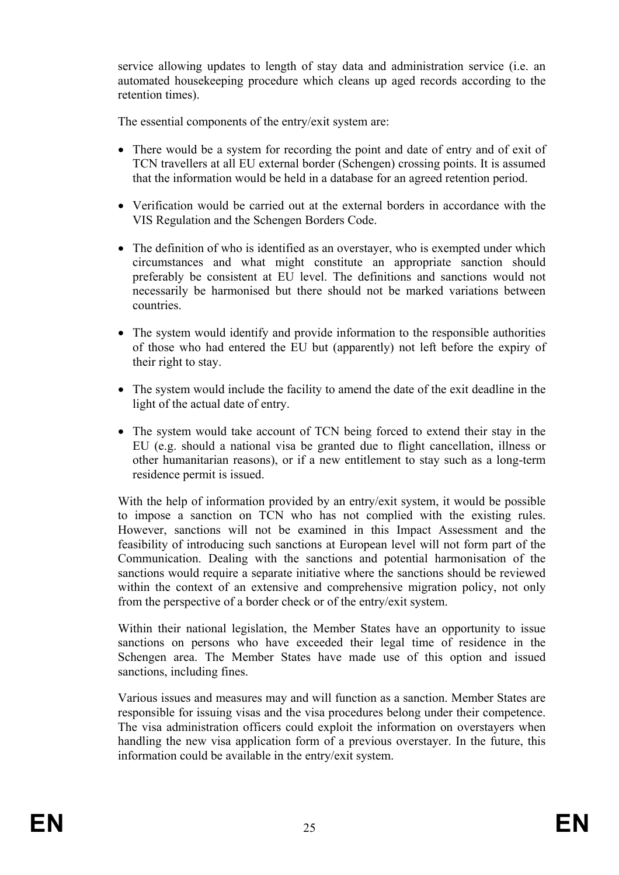service allowing updates to length of stay data and administration service (i.e. an automated housekeeping procedure which cleans up aged records according to the retention times).

The essential components of the entry/exit system are:

- There would be a system for recording the point and date of entry and of exit of TCN travellers at all EU external border (Schengen) crossing points. It is assumed that the information would be held in a database for an agreed retention period.
- Verification would be carried out at the external borders in accordance with the VIS Regulation and the Schengen Borders Code.
- The definition of who is identified as an overstayer, who is exempted under which circumstances and what might constitute an appropriate sanction should preferably be consistent at EU level. The definitions and sanctions would not necessarily be harmonised but there should not be marked variations between countries.
- The system would identify and provide information to the responsible authorities of those who had entered the EU but (apparently) not left before the expiry of their right to stay.
- The system would include the facility to amend the date of the exit deadline in the light of the actual date of entry.
- The system would take account of TCN being forced to extend their stay in the EU (e.g. should a national visa be granted due to flight cancellation, illness or other humanitarian reasons), or if a new entitlement to stay such as a long-term residence permit is issued.

With the help of information provided by an entry/exit system, it would be possible to impose a sanction on TCN who has not complied with the existing rules. However, sanctions will not be examined in this Impact Assessment and the feasibility of introducing such sanctions at European level will not form part of the Communication. Dealing with the sanctions and potential harmonisation of the sanctions would require a separate initiative where the sanctions should be reviewed within the context of an extensive and comprehensive migration policy, not only from the perspective of a border check or of the entry/exit system.

Within their national legislation, the Member States have an opportunity to issue sanctions on persons who have exceeded their legal time of residence in the Schengen area. The Member States have made use of this option and issued sanctions, including fines.

Various issues and measures may and will function as a sanction. Member States are responsible for issuing visas and the visa procedures belong under their competence. The visa administration officers could exploit the information on overstayers when handling the new visa application form of a previous overstayer. In the future, this information could be available in the entry/exit system.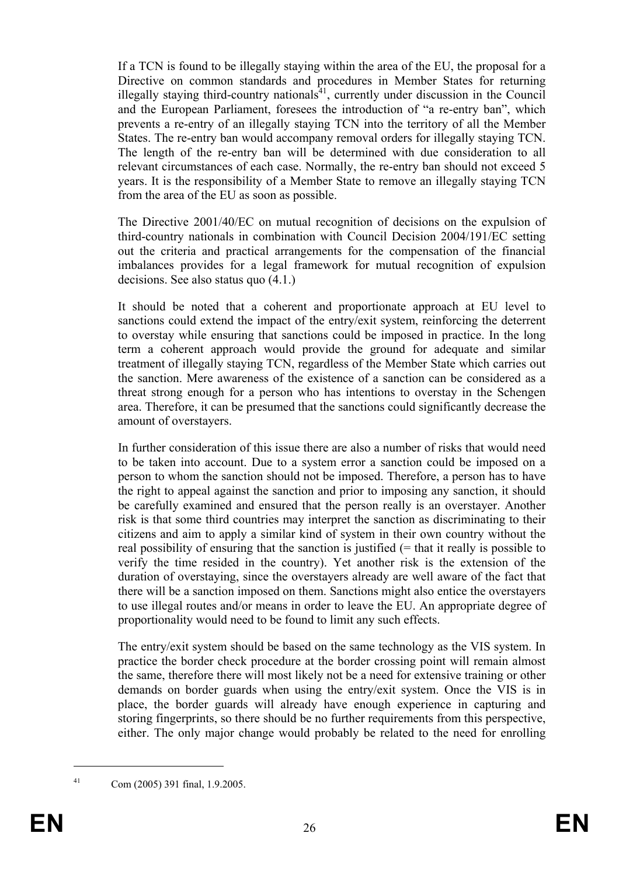If a TCN is found to be illegally staying within the area of the EU, the proposal for a Directive on common standards and procedures in Member States for returning illegally staying third-country nationals<sup>41</sup>, currently under discussion in the Council and the European Parliament, foresees the introduction of "a re-entry ban", which prevents a re-entry of an illegally staying TCN into the territory of all the Member States. The re-entry ban would accompany removal orders for illegally staying TCN. The length of the re-entry ban will be determined with due consideration to all relevant circumstances of each case. Normally, the re-entry ban should not exceed 5 years. It is the responsibility of a Member State to remove an illegally staying TCN from the area of the EU as soon as possible.

The Directive 2001/40/EC on mutual recognition of decisions on the expulsion of third-country nationals in combination with Council Decision 2004/191/EC setting out the criteria and practical arrangements for the compensation of the financial imbalances provides for a legal framework for mutual recognition of expulsion decisions. See also status quo (4.1.)

It should be noted that a coherent and proportionate approach at EU level to sanctions could extend the impact of the entry/exit system, reinforcing the deterrent to overstay while ensuring that sanctions could be imposed in practice. In the long term a coherent approach would provide the ground for adequate and similar treatment of illegally staying TCN, regardless of the Member State which carries out the sanction. Mere awareness of the existence of a sanction can be considered as a threat strong enough for a person who has intentions to overstay in the Schengen area. Therefore, it can be presumed that the sanctions could significantly decrease the amount of overstayers.

In further consideration of this issue there are also a number of risks that would need to be taken into account. Due to a system error a sanction could be imposed on a person to whom the sanction should not be imposed. Therefore, a person has to have the right to appeal against the sanction and prior to imposing any sanction, it should be carefully examined and ensured that the person really is an overstayer. Another risk is that some third countries may interpret the sanction as discriminating to their citizens and aim to apply a similar kind of system in their own country without the real possibility of ensuring that the sanction is justified  $(=$  that it really is possible to verify the time resided in the country). Yet another risk is the extension of the duration of overstaying, since the overstayers already are well aware of the fact that there will be a sanction imposed on them. Sanctions might also entice the overstayers to use illegal routes and/or means in order to leave the EU. An appropriate degree of proportionality would need to be found to limit any such effects.

The entry/exit system should be based on the same technology as the VIS system. In practice the border check procedure at the border crossing point will remain almost the same, therefore there will most likely not be a need for extensive training or other demands on border guards when using the entry/exit system. Once the VIS is in place, the border guards will already have enough experience in capturing and storing fingerprints, so there should be no further requirements from this perspective, either. The only major change would probably be related to the need for enrolling

<sup>1</sup> 

<sup>41</sup> Com (2005) 391 final, 1.9.2005.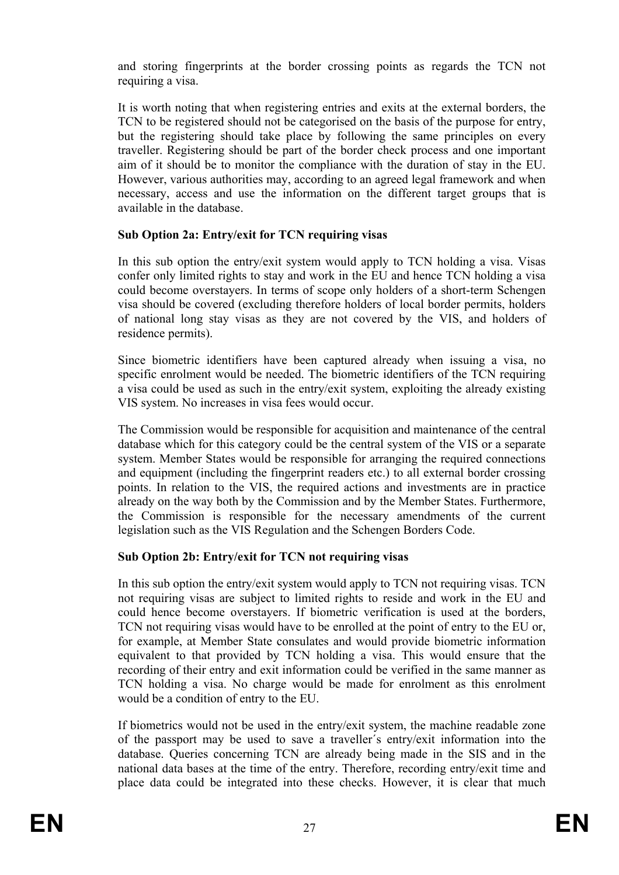and storing fingerprints at the border crossing points as regards the TCN not requiring a visa.

It is worth noting that when registering entries and exits at the external borders, the TCN to be registered should not be categorised on the basis of the purpose for entry, but the registering should take place by following the same principles on every traveller. Registering should be part of the border check process and one important aim of it should be to monitor the compliance with the duration of stay in the EU. However, various authorities may, according to an agreed legal framework and when necessary, access and use the information on the different target groups that is available in the database.

## **Sub Option 2a: Entry/exit for TCN requiring visas**

In this sub option the entry/exit system would apply to TCN holding a visa. Visas confer only limited rights to stay and work in the EU and hence TCN holding a visa could become overstayers. In terms of scope only holders of a short-term Schengen visa should be covered (excluding therefore holders of local border permits, holders of national long stay visas as they are not covered by the VIS, and holders of residence permits).

Since biometric identifiers have been captured already when issuing a visa, no specific enrolment would be needed. The biometric identifiers of the TCN requiring a visa could be used as such in the entry/exit system, exploiting the already existing VIS system. No increases in visa fees would occur.

The Commission would be responsible for acquisition and maintenance of the central database which for this category could be the central system of the VIS or a separate system. Member States would be responsible for arranging the required connections and equipment (including the fingerprint readers etc.) to all external border crossing points. In relation to the VIS, the required actions and investments are in practice already on the way both by the Commission and by the Member States. Furthermore, the Commission is responsible for the necessary amendments of the current legislation such as the VIS Regulation and the Schengen Borders Code.

## **Sub Option 2b: Entry/exit for TCN not requiring visas**

In this sub option the entry/exit system would apply to TCN not requiring visas. TCN not requiring visas are subject to limited rights to reside and work in the EU and could hence become overstayers. If biometric verification is used at the borders, TCN not requiring visas would have to be enrolled at the point of entry to the EU or, for example, at Member State consulates and would provide biometric information equivalent to that provided by TCN holding a visa. This would ensure that the recording of their entry and exit information could be verified in the same manner as TCN holding a visa. No charge would be made for enrolment as this enrolment would be a condition of entry to the EU.

If biometrics would not be used in the entry/exit system, the machine readable zone of the passport may be used to save a traveller´s entry/exit information into the database. Queries concerning TCN are already being made in the SIS and in the national data bases at the time of the entry. Therefore, recording entry/exit time and place data could be integrated into these checks. However, it is clear that much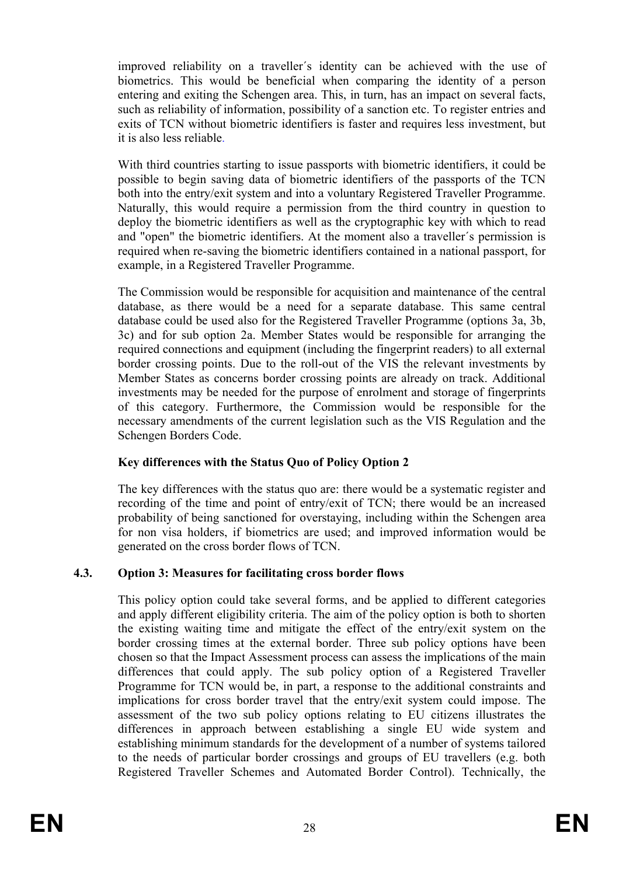improved reliability on a traveller´s identity can be achieved with the use of biometrics. This would be beneficial when comparing the identity of a person entering and exiting the Schengen area. This, in turn, has an impact on several facts, such as reliability of information, possibility of a sanction etc. To register entries and exits of TCN without biometric identifiers is faster and requires less investment, but it is also less reliable.

With third countries starting to issue passports with biometric identifiers, it could be possible to begin saving data of biometric identifiers of the passports of the TCN both into the entry/exit system and into a voluntary Registered Traveller Programme. Naturally, this would require a permission from the third country in question to deploy the biometric identifiers as well as the cryptographic key with which to read and "open" the biometric identifiers. At the moment also a traveller´s permission is required when re-saving the biometric identifiers contained in a national passport, for example, in a Registered Traveller Programme.

The Commission would be responsible for acquisition and maintenance of the central database, as there would be a need for a separate database. This same central database could be used also for the Registered Traveller Programme (options 3a, 3b, 3c) and for sub option 2a. Member States would be responsible for arranging the required connections and equipment (including the fingerprint readers) to all external border crossing points. Due to the roll-out of the VIS the relevant investments by Member States as concerns border crossing points are already on track. Additional investments may be needed for the purpose of enrolment and storage of fingerprints of this category. Furthermore, the Commission would be responsible for the necessary amendments of the current legislation such as the VIS Regulation and the Schengen Borders Code.

# **Key differences with the Status Quo of Policy Option 2**

The key differences with the status quo are: there would be a systematic register and recording of the time and point of entry/exit of TCN; there would be an increased probability of being sanctioned for overstaying, including within the Schengen area for non visa holders, if biometrics are used; and improved information would be generated on the cross border flows of TCN.

## **4.3. Option 3: Measures for facilitating cross border flows**

This policy option could take several forms, and be applied to different categories and apply different eligibility criteria. The aim of the policy option is both to shorten the existing waiting time and mitigate the effect of the entry/exit system on the border crossing times at the external border. Three sub policy options have been chosen so that the Impact Assessment process can assess the implications of the main differences that could apply. The sub policy option of a Registered Traveller Programme for TCN would be, in part, a response to the additional constraints and implications for cross border travel that the entry/exit system could impose. The assessment of the two sub policy options relating to EU citizens illustrates the differences in approach between establishing a single EU wide system and establishing minimum standards for the development of a number of systems tailored to the needs of particular border crossings and groups of EU travellers (e.g. both Registered Traveller Schemes and Automated Border Control). Technically, the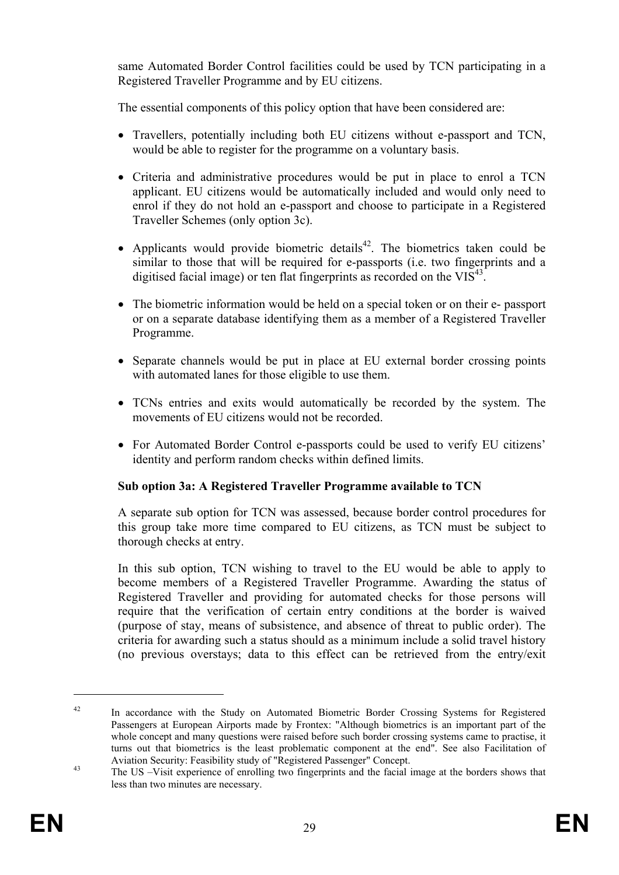same Automated Border Control facilities could be used by TCN participating in a Registered Traveller Programme and by EU citizens.

The essential components of this policy option that have been considered are:

- Travellers, potentially including both EU citizens without e-passport and TCN, would be able to register for the programme on a voluntary basis.
- Criteria and administrative procedures would be put in place to enrol a TCN applicant. EU citizens would be automatically included and would only need to enrol if they do not hold an e-passport and choose to participate in a Registered Traveller Schemes (only option 3c).
- Applicants would provide biometric details<sup>42</sup>. The biometrics taken could be similar to those that will be required for e-passports (i.e. two fingerprints and a digitised facial image) or ten flat fingerprints as recorded on the  $VIS^{43}$ .
- The biometric information would be held on a special token or on their e- passport or on a separate database identifying them as a member of a Registered Traveller Programme.
- Separate channels would be put in place at EU external border crossing points with automated lanes for those eligible to use them.
- TCNs entries and exits would automatically be recorded by the system. The movements of EU citizens would not be recorded.
- For Automated Border Control e-passports could be used to verify EU citizens' identity and perform random checks within defined limits.

## **Sub option 3a: A Registered Traveller Programme available to TCN**

A separate sub option for TCN was assessed, because border control procedures for this group take more time compared to EU citizens, as TCN must be subject to thorough checks at entry.

In this sub option, TCN wishing to travel to the EU would be able to apply to become members of a Registered Traveller Programme. Awarding the status of Registered Traveller and providing for automated checks for those persons will require that the verification of certain entry conditions at the border is waived (purpose of stay, means of subsistence, and absence of threat to public order). The criteria for awarding such a status should as a minimum include a solid travel history (no previous overstays; data to this effect can be retrieved from the entry/exit

<sup>&</sup>lt;sup>42</sup> In accordance with the Study on Automated Biometric Border Crossing Systems for Registered Passengers at European Airports made by Frontex: "Although biometrics is an important part of the whole concept and many questions were raised before such border crossing systems came to practise, it turns out that biometrics is the least problematic component at the end". See also Facilitation of Aviation Security: Feasibility study of "Registered Passenger" Concept.<br>
The US –Visit experience of enrolling two fingerprints and the facial image at the borders shows that

less than two minutes are necessary.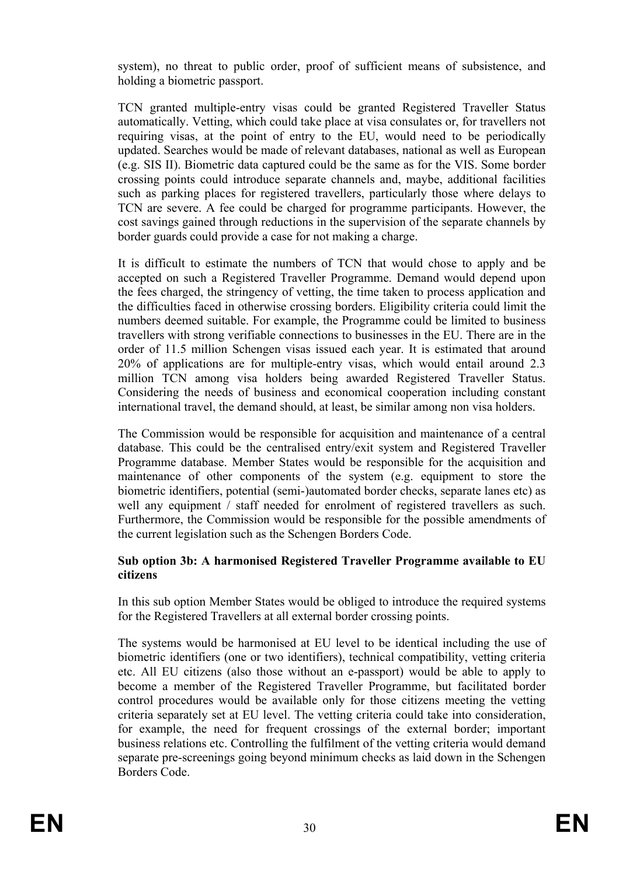system), no threat to public order, proof of sufficient means of subsistence, and holding a biometric passport.

TCN granted multiple-entry visas could be granted Registered Traveller Status automatically. Vetting, which could take place at visa consulates or, for travellers not requiring visas, at the point of entry to the EU, would need to be periodically updated. Searches would be made of relevant databases, national as well as European (e.g. SIS II). Biometric data captured could be the same as for the VIS. Some border crossing points could introduce separate channels and, maybe, additional facilities such as parking places for registered travellers, particularly those where delays to TCN are severe. A fee could be charged for programme participants. However, the cost savings gained through reductions in the supervision of the separate channels by border guards could provide a case for not making a charge.

It is difficult to estimate the numbers of TCN that would chose to apply and be accepted on such a Registered Traveller Programme. Demand would depend upon the fees charged, the stringency of vetting, the time taken to process application and the difficulties faced in otherwise crossing borders. Eligibility criteria could limit the numbers deemed suitable. For example, the Programme could be limited to business travellers with strong verifiable connections to businesses in the EU. There are in the order of 11.5 million Schengen visas issued each year. It is estimated that around 20% of applications are for multiple-entry visas, which would entail around 2.3 million TCN among visa holders being awarded Registered Traveller Status. Considering the needs of business and economical cooperation including constant international travel, the demand should, at least, be similar among non visa holders.

The Commission would be responsible for acquisition and maintenance of a central database. This could be the centralised entry/exit system and Registered Traveller Programme database. Member States would be responsible for the acquisition and maintenance of other components of the system (e.g. equipment to store the biometric identifiers, potential (semi-)automated border checks, separate lanes etc) as well any equipment / staff needed for enrolment of registered travellers as such. Furthermore, the Commission would be responsible for the possible amendments of the current legislation such as the Schengen Borders Code.

#### **Sub option 3b: A harmonised Registered Traveller Programme available to EU citizens**

In this sub option Member States would be obliged to introduce the required systems for the Registered Travellers at all external border crossing points.

The systems would be harmonised at EU level to be identical including the use of biometric identifiers (one or two identifiers), technical compatibility, vetting criteria etc. All EU citizens (also those without an e-passport) would be able to apply to become a member of the Registered Traveller Programme, but facilitated border control procedures would be available only for those citizens meeting the vetting criteria separately set at EU level. The vetting criteria could take into consideration, for example, the need for frequent crossings of the external border; important business relations etc. Controlling the fulfilment of the vetting criteria would demand separate pre-screenings going beyond minimum checks as laid down in the Schengen Borders Code.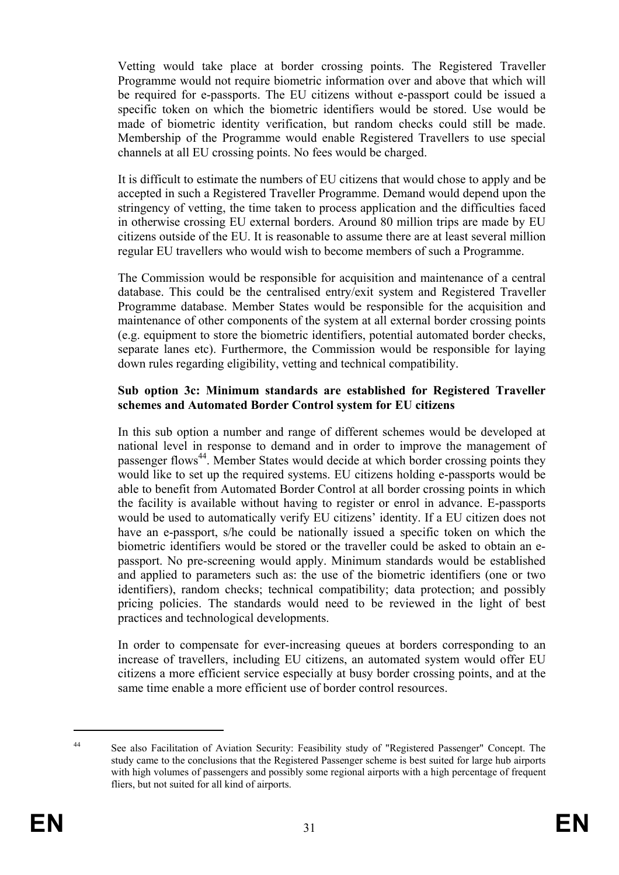Vetting would take place at border crossing points. The Registered Traveller Programme would not require biometric information over and above that which will be required for e-passports. The EU citizens without e-passport could be issued a specific token on which the biometric identifiers would be stored. Use would be made of biometric identity verification, but random checks could still be made. Membership of the Programme would enable Registered Travellers to use special channels at all EU crossing points. No fees would be charged.

It is difficult to estimate the numbers of EU citizens that would chose to apply and be accepted in such a Registered Traveller Programme. Demand would depend upon the stringency of vetting, the time taken to process application and the difficulties faced in otherwise crossing EU external borders. Around 80 million trips are made by EU citizens outside of the EU. It is reasonable to assume there are at least several million regular EU travellers who would wish to become members of such a Programme.

The Commission would be responsible for acquisition and maintenance of a central database. This could be the centralised entry/exit system and Registered Traveller Programme database. Member States would be responsible for the acquisition and maintenance of other components of the system at all external border crossing points (e.g. equipment to store the biometric identifiers, potential automated border checks, separate lanes etc). Furthermore, the Commission would be responsible for laying down rules regarding eligibility, vetting and technical compatibility.

#### **Sub option 3c: Minimum standards are established for Registered Traveller schemes and Automated Border Control system for EU citizens**

In this sub option a number and range of different schemes would be developed at national level in response to demand and in order to improve the management of passenger flows<sup>44</sup>. Member States would decide at which border crossing points they would like to set up the required systems. EU citizens holding e-passports would be able to benefit from Automated Border Control at all border crossing points in which the facility is available without having to register or enrol in advance. E-passports would be used to automatically verify EU citizens' identity. If a EU citizen does not have an e-passport, s/he could be nationally issued a specific token on which the biometric identifiers would be stored or the traveller could be asked to obtain an epassport. No pre-screening would apply. Minimum standards would be established and applied to parameters such as: the use of the biometric identifiers (one or two identifiers), random checks; technical compatibility; data protection; and possibly pricing policies. The standards would need to be reviewed in the light of best practices and technological developments.

In order to compensate for ever-increasing queues at borders corresponding to an increase of travellers, including EU citizens, an automated system would offer EU citizens a more efficient service especially at busy border crossing points, and at the same time enable a more efficient use of border control resources.

<sup>44</sup> See also Facilitation of Aviation Security: Feasibility study of "Registered Passenger" Concept. The study came to the conclusions that the Registered Passenger scheme is best suited for large hub airports with high volumes of passengers and possibly some regional airports with a high percentage of frequent fliers, but not suited for all kind of airports.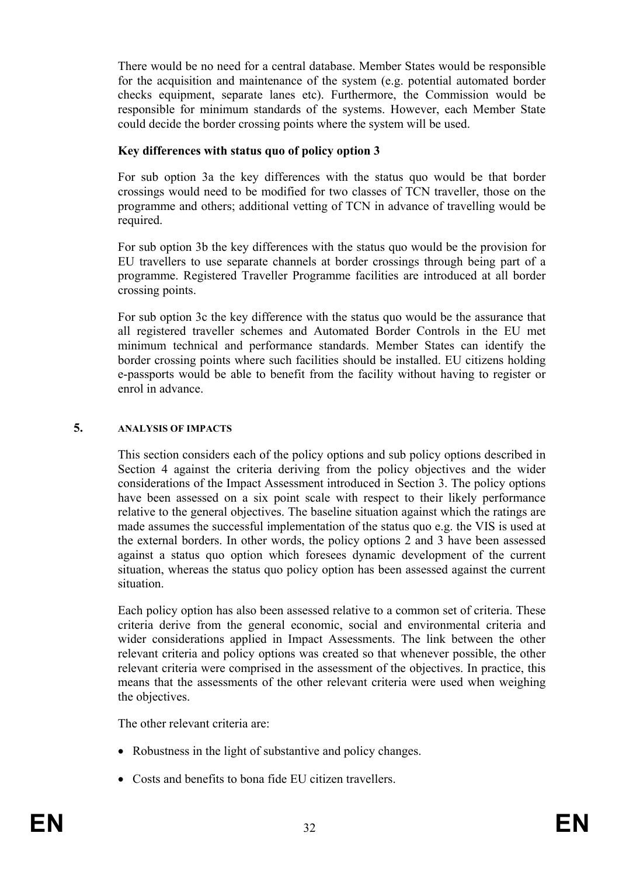There would be no need for a central database. Member States would be responsible for the acquisition and maintenance of the system (e.g. potential automated border checks equipment, separate lanes etc). Furthermore, the Commission would be responsible for minimum standards of the systems. However, each Member State could decide the border crossing points where the system will be used.

## **Key differences with status quo of policy option 3**

For sub option 3a the key differences with the status quo would be that border crossings would need to be modified for two classes of TCN traveller, those on the programme and others; additional vetting of TCN in advance of travelling would be required.

For sub option 3b the key differences with the status quo would be the provision for EU travellers to use separate channels at border crossings through being part of a programme. Registered Traveller Programme facilities are introduced at all border crossing points.

For sub option 3c the key difference with the status quo would be the assurance that all registered traveller schemes and Automated Border Controls in the EU met minimum technical and performance standards. Member States can identify the border crossing points where such facilities should be installed. EU citizens holding e-passports would be able to benefit from the facility without having to register or enrol in advance.

## **5. ANALYSIS OF IMPACTS**

This section considers each of the policy options and sub policy options described in Section 4 against the criteria deriving from the policy objectives and the wider considerations of the Impact Assessment introduced in Section 3. The policy options have been assessed on a six point scale with respect to their likely performance relative to the general objectives. The baseline situation against which the ratings are made assumes the successful implementation of the status quo e.g. the VIS is used at the external borders. In other words, the policy options 2 and 3 have been assessed against a status quo option which foresees dynamic development of the current situation, whereas the status quo policy option has been assessed against the current situation.

Each policy option has also been assessed relative to a common set of criteria. These criteria derive from the general economic, social and environmental criteria and wider considerations applied in Impact Assessments. The link between the other relevant criteria and policy options was created so that whenever possible, the other relevant criteria were comprised in the assessment of the objectives. In practice, this means that the assessments of the other relevant criteria were used when weighing the objectives.

The other relevant criteria are:

- Robustness in the light of substantive and policy changes.
- Costs and benefits to bona fide EU citizen travellers.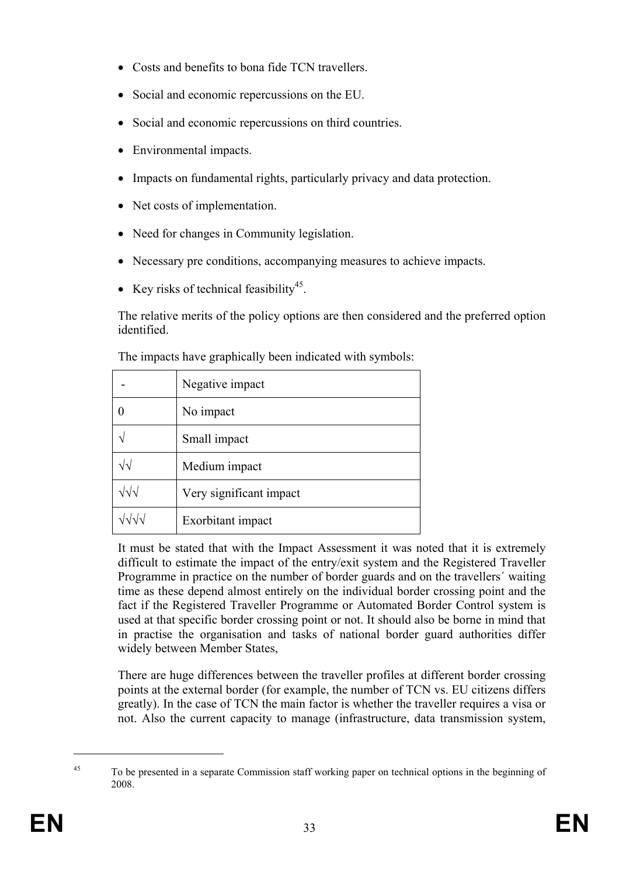- Costs and benefits to bona fide TCN travellers.
- Social and economic repercussions on the EU.
- Social and economic repercussions on third countries.
- Environmental impacts.
- Impacts on fundamental rights, particularly privacy and data protection.
- Net costs of implementation.
- Need for changes in Community legislation.
- Necessary pre conditions, accompanying measures to achieve impacts.
- Key risks of technical feasibility<sup>45</sup>.

The relative merits of the policy options are then considered and the preferred option identified.

|                                | Negative impact         |
|--------------------------------|-------------------------|
|                                | No impact               |
|                                | Small impact            |
| $\sqrt{v}$                     | Medium impact           |
| $\sqrt{\sqrt{}}$               | Very significant impact |
| $\sqrt{\sqrt{}}\sqrt{\sqrt{}}$ | Exorbitant impact       |

The impacts have graphically been indicated with symbols:

It must be stated that with the Impact Assessment it was noted that it is extremely difficult to estimate the impact of the entry/exit system and the Registered Traveller Programme in practice on the number of border guards and on the travellers´ waiting time as these depend almost entirely on the individual border crossing point and the fact if the Registered Traveller Programme or Automated Border Control system is used at that specific border crossing point or not. It should also be borne in mind that in practise the organisation and tasks of national border guard authorities differ widely between Member States,

There are huge differences between the traveller profiles at different border crossing points at the external border (for example, the number of TCN vs. EU citizens differs greatly). In the case of TCN the main factor is whether the traveller requires a visa or not. Also the current capacity to manage (infrastructure, data transmission system,

<sup>&</sup>lt;sup>45</sup> To be presented in a separate Commission staff working paper on technical options in the beginning of 2008.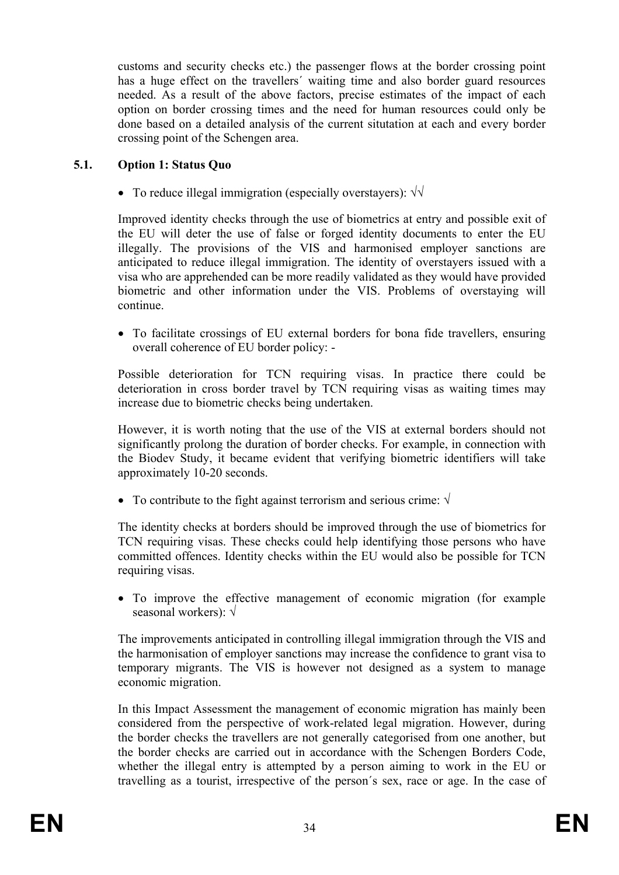customs and security checks etc.) the passenger flows at the border crossing point has a huge effect on the travellers´ waiting time and also border guard resources needed. As a result of the above factors, precise estimates of the impact of each option on border crossing times and the need for human resources could only be done based on a detailed analysis of the current situtation at each and every border crossing point of the Schengen area.

## **5.1. Option 1: Status Quo**

• To reduce illegal immigration (especially overstayers): √√

Improved identity checks through the use of biometrics at entry and possible exit of the EU will deter the use of false or forged identity documents to enter the EU illegally. The provisions of the VIS and harmonised employer sanctions are anticipated to reduce illegal immigration. The identity of overstayers issued with a visa who are apprehended can be more readily validated as they would have provided biometric and other information under the VIS. Problems of overstaying will continue.

• To facilitate crossings of EU external borders for bona fide travellers, ensuring overall coherence of EU border policy: -

Possible deterioration for TCN requiring visas. In practice there could be deterioration in cross border travel by TCN requiring visas as waiting times may increase due to biometric checks being undertaken.

However, it is worth noting that the use of the VIS at external borders should not significantly prolong the duration of border checks. For example, in connection with the Biodev Study, it became evident that verifying biometric identifiers will take approximately 10-20 seconds.

• To contribute to the fight against terrorism and serious crime:  $\sqrt{}$ 

The identity checks at borders should be improved through the use of biometrics for TCN requiring visas. These checks could help identifying those persons who have committed offences. Identity checks within the EU would also be possible for TCN requiring visas.

• To improve the effective management of economic migration (for example seasonal workers): √

The improvements anticipated in controlling illegal immigration through the VIS and the harmonisation of employer sanctions may increase the confidence to grant visa to temporary migrants. The VIS is however not designed as a system to manage economic migration.

In this Impact Assessment the management of economic migration has mainly been considered from the perspective of work-related legal migration. However, during the border checks the travellers are not generally categorised from one another, but the border checks are carried out in accordance with the Schengen Borders Code, whether the illegal entry is attempted by a person aiming to work in the EU or travelling as a tourist, irrespective of the person´s sex, race or age. In the case of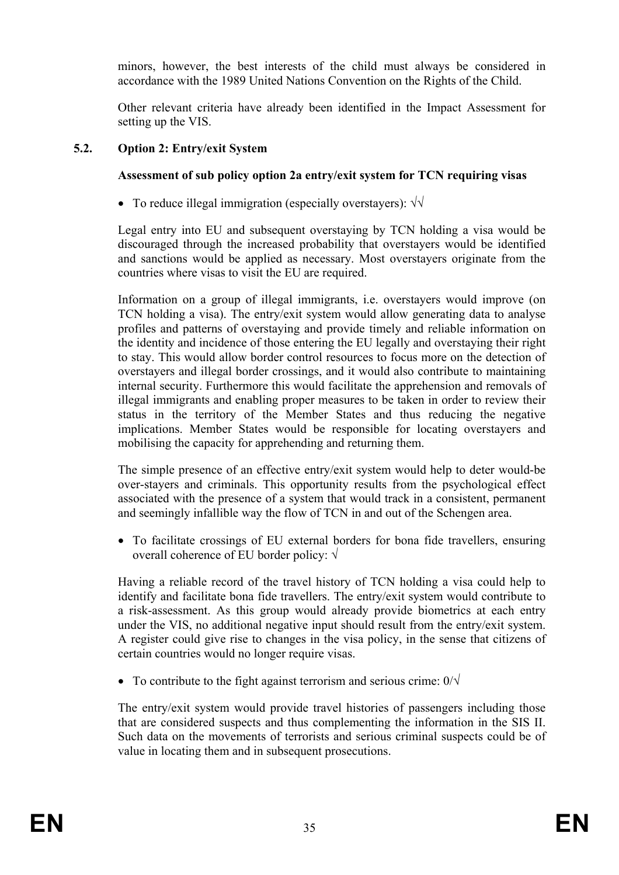minors, however, the best interests of the child must always be considered in accordance with the 1989 United Nations Convention on the Rights of the Child.

Other relevant criteria have already been identified in the Impact Assessment for setting up the VIS.

# **5.2. Option 2: Entry/exit System**

# **Assessment of sub policy option 2a entry/exit system for TCN requiring visas**

• To reduce illegal immigration (especially overstayers):  $\sqrt{\sqrt{ }}$ 

Legal entry into EU and subsequent overstaying by TCN holding a visa would be discouraged through the increased probability that overstayers would be identified and sanctions would be applied as necessary. Most overstayers originate from the countries where visas to visit the EU are required.

Information on a group of illegal immigrants, i.e. overstayers would improve (on TCN holding a visa). The entry/exit system would allow generating data to analyse profiles and patterns of overstaying and provide timely and reliable information on the identity and incidence of those entering the EU legally and overstaying their right to stay. This would allow border control resources to focus more on the detection of overstayers and illegal border crossings, and it would also contribute to maintaining internal security. Furthermore this would facilitate the apprehension and removals of illegal immigrants and enabling proper measures to be taken in order to review their status in the territory of the Member States and thus reducing the negative implications. Member States would be responsible for locating overstayers and mobilising the capacity for apprehending and returning them.

The simple presence of an effective entry/exit system would help to deter would-be over-stayers and criminals. This opportunity results from the psychological effect associated with the presence of a system that would track in a consistent, permanent and seemingly infallible way the flow of TCN in and out of the Schengen area.

• To facilitate crossings of EU external borders for bona fide travellers, ensuring overall coherence of EU border policy: √

Having a reliable record of the travel history of TCN holding a visa could help to identify and facilitate bona fide travellers. The entry/exit system would contribute to a risk-assessment. As this group would already provide biometrics at each entry under the VIS, no additional negative input should result from the entry/exit system. A register could give rise to changes in the visa policy, in the sense that citizens of certain countries would no longer require visas.

• To contribute to the fight against terrorism and serious crime:  $0/\sqrt{ }$ 

The entry/exit system would provide travel histories of passengers including those that are considered suspects and thus complementing the information in the SIS II. Such data on the movements of terrorists and serious criminal suspects could be of value in locating them and in subsequent prosecutions.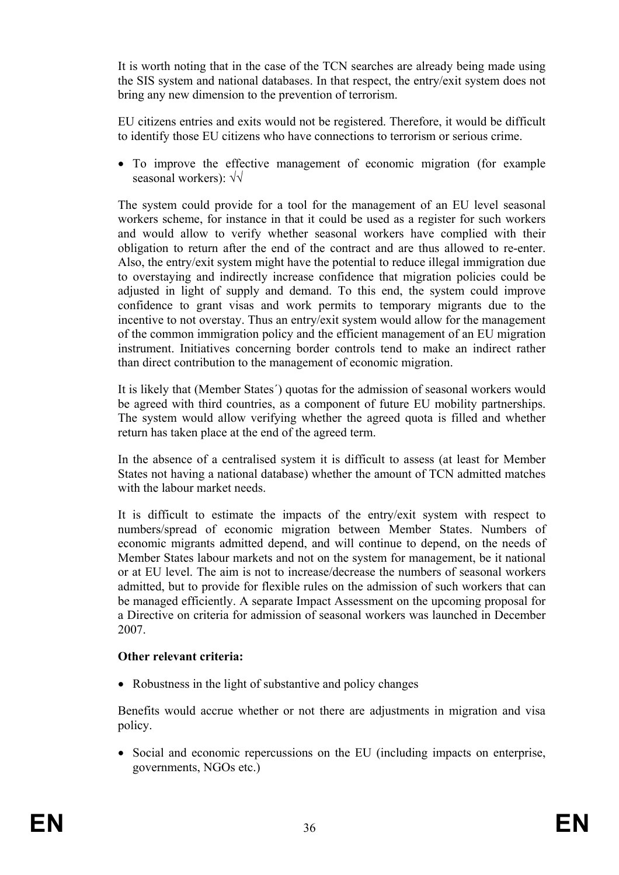It is worth noting that in the case of the TCN searches are already being made using the SIS system and national databases. In that respect, the entry/exit system does not bring any new dimension to the prevention of terrorism.

EU citizens entries and exits would not be registered. Therefore, it would be difficult to identify those EU citizens who have connections to terrorism or serious crime.

• To improve the effective management of economic migration (for example seasonal workers): √√

The system could provide for a tool for the management of an EU level seasonal workers scheme, for instance in that it could be used as a register for such workers and would allow to verify whether seasonal workers have complied with their obligation to return after the end of the contract and are thus allowed to re-enter. Also, the entry/exit system might have the potential to reduce illegal immigration due to overstaying and indirectly increase confidence that migration policies could be adjusted in light of supply and demand. To this end, the system could improve confidence to grant visas and work permits to temporary migrants due to the incentive to not overstay. Thus an entry/exit system would allow for the management of the common immigration policy and the efficient management of an EU migration instrument. Initiatives concerning border controls tend to make an indirect rather than direct contribution to the management of economic migration.

It is likely that (Member States´) quotas for the admission of seasonal workers would be agreed with third countries, as a component of future EU mobility partnerships. The system would allow verifying whether the agreed quota is filled and whether return has taken place at the end of the agreed term.

In the absence of a centralised system it is difficult to assess (at least for Member States not having a national database) whether the amount of TCN admitted matches with the labour market needs.

It is difficult to estimate the impacts of the entry/exit system with respect to numbers/spread of economic migration between Member States. Numbers of economic migrants admitted depend, and will continue to depend, on the needs of Member States labour markets and not on the system for management, be it national or at EU level. The aim is not to increase/decrease the numbers of seasonal workers admitted, but to provide for flexible rules on the admission of such workers that can be managed efficiently. A separate Impact Assessment on the upcoming proposal for a Directive on criteria for admission of seasonal workers was launched in December 2007.

## **Other relevant criteria:**

• Robustness in the light of substantive and policy changes

Benefits would accrue whether or not there are adjustments in migration and visa policy.

• Social and economic repercussions on the EU (including impacts on enterprise, governments, NGOs etc.)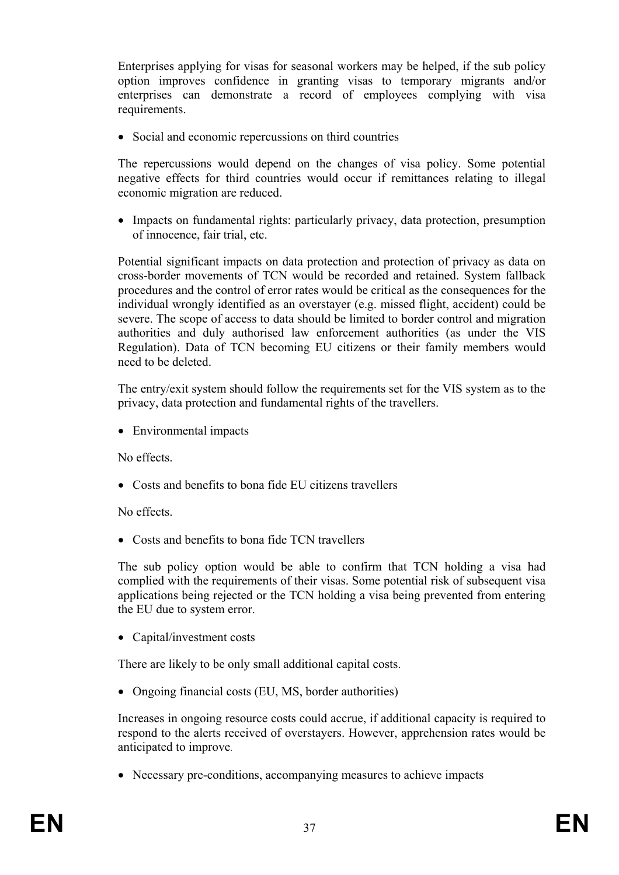Enterprises applying for visas for seasonal workers may be helped, if the sub policy option improves confidence in granting visas to temporary migrants and/or enterprises can demonstrate a record of employees complying with visa requirements.

• Social and economic repercussions on third countries

The repercussions would depend on the changes of visa policy. Some potential negative effects for third countries would occur if remittances relating to illegal economic migration are reduced.

• Impacts on fundamental rights: particularly privacy, data protection, presumption of innocence, fair trial, etc.

Potential significant impacts on data protection and protection of privacy as data on cross-border movements of TCN would be recorded and retained. System fallback procedures and the control of error rates would be critical as the consequences for the individual wrongly identified as an overstayer (e.g. missed flight, accident) could be severe. The scope of access to data should be limited to border control and migration authorities and duly authorised law enforcement authorities (as under the VIS Regulation). Data of TCN becoming EU citizens or their family members would need to be deleted.

The entry/exit system should follow the requirements set for the VIS system as to the privacy, data protection and fundamental rights of the travellers.

• Environmental impacts

No effects.

• Costs and benefits to bona fide EU citizens travellers

No effects.

• Costs and benefits to bona fide TCN travellers

The sub policy option would be able to confirm that TCN holding a visa had complied with the requirements of their visas. Some potential risk of subsequent visa applications being rejected or the TCN holding a visa being prevented from entering the EU due to system error.

• Capital/investment costs

There are likely to be only small additional capital costs.

• Ongoing financial costs (EU, MS, border authorities)

Increases in ongoing resource costs could accrue, if additional capacity is required to respond to the alerts received of overstayers. However, apprehension rates would be anticipated to improve.

• Necessary pre-conditions, accompanying measures to achieve impacts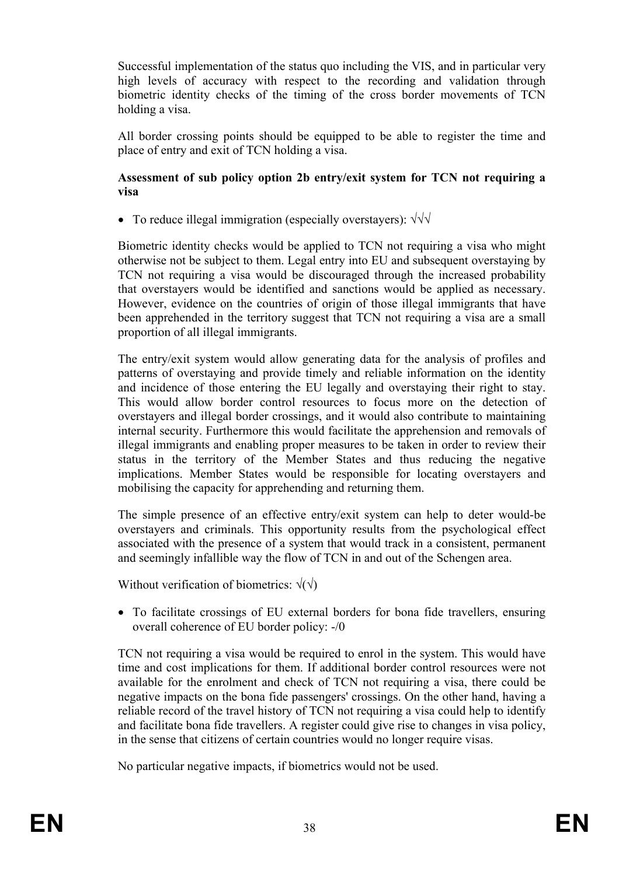Successful implementation of the status quo including the VIS, and in particular very high levels of accuracy with respect to the recording and validation through biometric identity checks of the timing of the cross border movements of TCN holding a visa.

All border crossing points should be equipped to be able to register the time and place of entry and exit of TCN holding a visa.

#### **Assessment of sub policy option 2b entry/exit system for TCN not requiring a visa**

• To reduce illegal immigration (especially overstayers): √√√

Biometric identity checks would be applied to TCN not requiring a visa who might otherwise not be subject to them. Legal entry into EU and subsequent overstaying by TCN not requiring a visa would be discouraged through the increased probability that overstayers would be identified and sanctions would be applied as necessary. However, evidence on the countries of origin of those illegal immigrants that have been apprehended in the territory suggest that TCN not requiring a visa are a small proportion of all illegal immigrants.

The entry/exit system would allow generating data for the analysis of profiles and patterns of overstaying and provide timely and reliable information on the identity and incidence of those entering the EU legally and overstaying their right to stay. This would allow border control resources to focus more on the detection of overstayers and illegal border crossings, and it would also contribute to maintaining internal security. Furthermore this would facilitate the apprehension and removals of illegal immigrants and enabling proper measures to be taken in order to review their status in the territory of the Member States and thus reducing the negative implications. Member States would be responsible for locating overstayers and mobilising the capacity for apprehending and returning them.

The simple presence of an effective entry/exit system can help to deter would-be overstayers and criminals. This opportunity results from the psychological effect associated with the presence of a system that would track in a consistent, permanent and seemingly infallible way the flow of TCN in and out of the Schengen area.

Without verification of biometrics:  $\sqrt{(\gamma)}$ 

• To facilitate crossings of EU external borders for bona fide travellers, ensuring overall coherence of EU border policy: -/0

TCN not requiring a visa would be required to enrol in the system. This would have time and cost implications for them. If additional border control resources were not available for the enrolment and check of TCN not requiring a visa, there could be negative impacts on the bona fide passengers' crossings. On the other hand, having a reliable record of the travel history of TCN not requiring a visa could help to identify and facilitate bona fide travellers. A register could give rise to changes in visa policy, in the sense that citizens of certain countries would no longer require visas.

No particular negative impacts, if biometrics would not be used.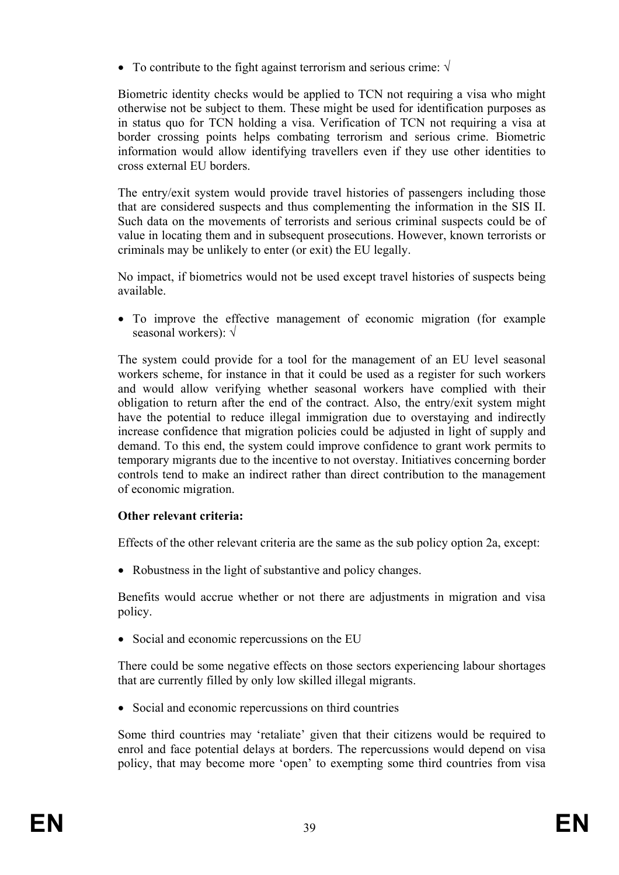• To contribute to the fight against terrorism and serious crime:  $\sqrt{}$ 

Biometric identity checks would be applied to TCN not requiring a visa who might otherwise not be subject to them. These might be used for identification purposes as in status quo for TCN holding a visa. Verification of TCN not requiring a visa at border crossing points helps combating terrorism and serious crime. Biometric information would allow identifying travellers even if they use other identities to cross external EU borders.

The entry/exit system would provide travel histories of passengers including those that are considered suspects and thus complementing the information in the SIS II. Such data on the movements of terrorists and serious criminal suspects could be of value in locating them and in subsequent prosecutions. However, known terrorists or criminals may be unlikely to enter (or exit) the EU legally.

No impact, if biometrics would not be used except travel histories of suspects being available.

• To improve the effective management of economic migration (for example seasonal workers): √

The system could provide for a tool for the management of an EU level seasonal workers scheme, for instance in that it could be used as a register for such workers and would allow verifying whether seasonal workers have complied with their obligation to return after the end of the contract. Also, the entry/exit system might have the potential to reduce illegal immigration due to overstaying and indirectly increase confidence that migration policies could be adjusted in light of supply and demand. To this end, the system could improve confidence to grant work permits to temporary migrants due to the incentive to not overstay. Initiatives concerning border controls tend to make an indirect rather than direct contribution to the management of economic migration.

## **Other relevant criteria:**

Effects of the other relevant criteria are the same as the sub policy option 2a, except:

• Robustness in the light of substantive and policy changes.

Benefits would accrue whether or not there are adjustments in migration and visa policy.

• Social and economic repercussions on the EU

There could be some negative effects on those sectors experiencing labour shortages that are currently filled by only low skilled illegal migrants.

• Social and economic repercussions on third countries

Some third countries may 'retaliate' given that their citizens would be required to enrol and face potential delays at borders. The repercussions would depend on visa policy, that may become more 'open' to exempting some third countries from visa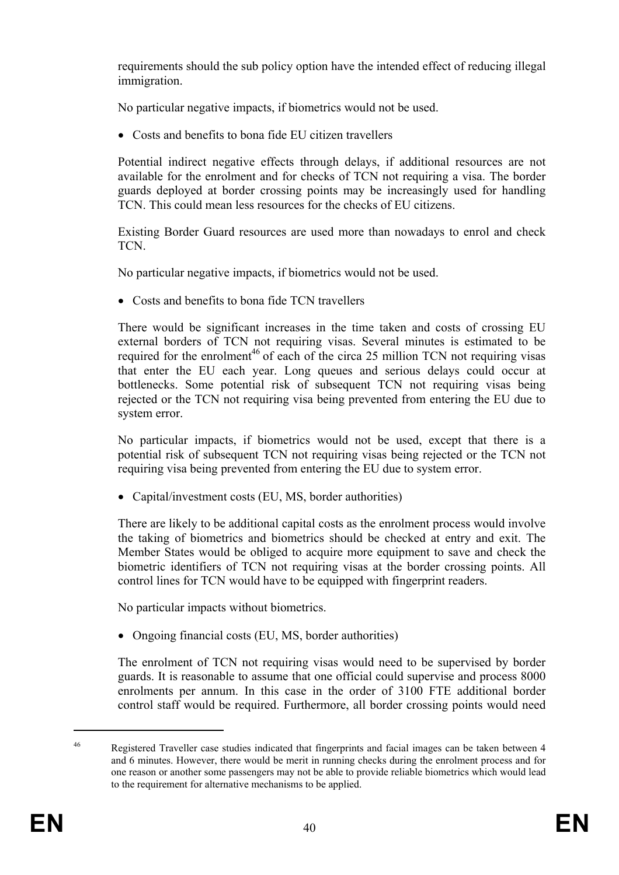requirements should the sub policy option have the intended effect of reducing illegal immigration.

No particular negative impacts, if biometrics would not be used.

• Costs and benefits to bona fide EU citizen travellers

Potential indirect negative effects through delays, if additional resources are not available for the enrolment and for checks of TCN not requiring a visa. The border guards deployed at border crossing points may be increasingly used for handling TCN. This could mean less resources for the checks of EU citizens.

Existing Border Guard resources are used more than nowadays to enrol and check TCN.

No particular negative impacts, if biometrics would not be used.

• Costs and benefits to bona fide TCN travellers

There would be significant increases in the time taken and costs of crossing EU external borders of TCN not requiring visas. Several minutes is estimated to be required for the enrolment<sup>46</sup> of each of the circa 25 million TCN not requiring visas that enter the EU each year. Long queues and serious delays could occur at bottlenecks. Some potential risk of subsequent TCN not requiring visas being rejected or the TCN not requiring visa being prevented from entering the EU due to system error.

No particular impacts, if biometrics would not be used, except that there is a potential risk of subsequent TCN not requiring visas being rejected or the TCN not requiring visa being prevented from entering the EU due to system error.

• Capital/investment costs (EU, MS, border authorities)

There are likely to be additional capital costs as the enrolment process would involve the taking of biometrics and biometrics should be checked at entry and exit. The Member States would be obliged to acquire more equipment to save and check the biometric identifiers of TCN not requiring visas at the border crossing points. All control lines for TCN would have to be equipped with fingerprint readers.

No particular impacts without biometrics.

• Ongoing financial costs (EU, MS, border authorities)

The enrolment of TCN not requiring visas would need to be supervised by border guards. It is reasonable to assume that one official could supervise and process 8000 enrolments per annum. In this case in the order of 3100 FTE additional border control staff would be required. Furthermore, all border crossing points would need

1

<sup>46</sup> Registered Traveller case studies indicated that fingerprints and facial images can be taken between 4 and 6 minutes. However, there would be merit in running checks during the enrolment process and for one reason or another some passengers may not be able to provide reliable biometrics which would lead to the requirement for alternative mechanisms to be applied.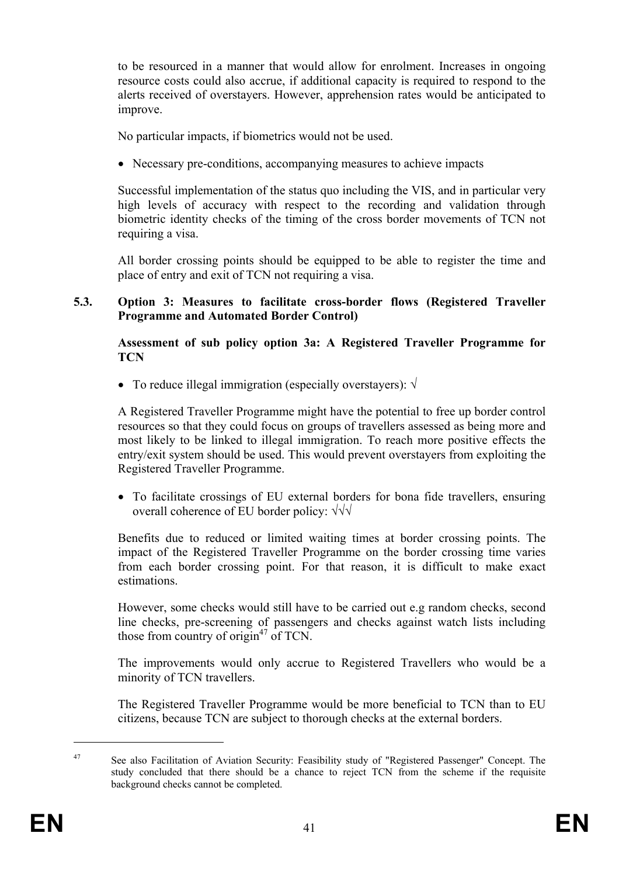to be resourced in a manner that would allow for enrolment. Increases in ongoing resource costs could also accrue, if additional capacity is required to respond to the alerts received of overstayers. However, apprehension rates would be anticipated to improve.

No particular impacts, if biometrics would not be used.

• Necessary pre-conditions, accompanying measures to achieve impacts

Successful implementation of the status quo including the VIS, and in particular very high levels of accuracy with respect to the recording and validation through biometric identity checks of the timing of the cross border movements of TCN not requiring a visa.

All border crossing points should be equipped to be able to register the time and place of entry and exit of TCN not requiring a visa.

#### **5.3. Option 3: Measures to facilitate cross-border flows (Registered Traveller Programme and Automated Border Control)**

**Assessment of sub policy option 3a: A Registered Traveller Programme for TCN**

• To reduce illegal immigration (especially overstayers):  $\sqrt{}$ 

A Registered Traveller Programme might have the potential to free up border control resources so that they could focus on groups of travellers assessed as being more and most likely to be linked to illegal immigration. To reach more positive effects the entry/exit system should be used. This would prevent overstayers from exploiting the Registered Traveller Programme.

• To facilitate crossings of EU external borders for bona fide travellers, ensuring overall coherence of EU border policy: √√√

Benefits due to reduced or limited waiting times at border crossing points. The impact of the Registered Traveller Programme on the border crossing time varies from each border crossing point. For that reason, it is difficult to make exact estimations.

However, some checks would still have to be carried out e.g random checks, second line checks, pre-screening of passengers and checks against watch lists including those from country of origin $47$  of TCN.

The improvements would only accrue to Registered Travellers who would be a minority of TCN travellers.

The Registered Traveller Programme would be more beneficial to TCN than to EU citizens, because TCN are subject to thorough checks at the external borders.

<u>.</u>

<sup>47</sup> See also Facilitation of Aviation Security: Feasibility study of "Registered Passenger" Concept. The study concluded that there should be a chance to reject TCN from the scheme if the requisite background checks cannot be completed.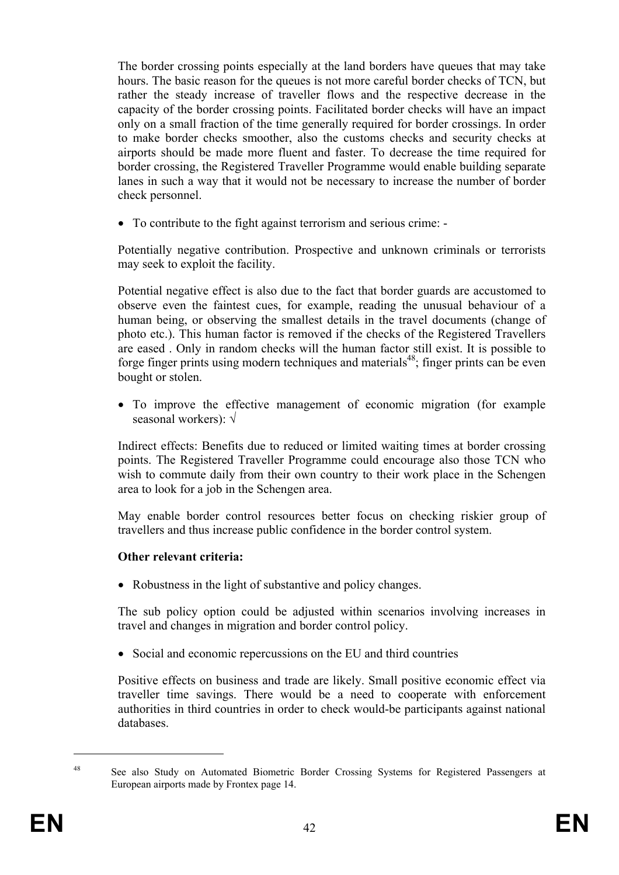The border crossing points especially at the land borders have queues that may take hours. The basic reason for the queues is not more careful border checks of TCN, but rather the steady increase of traveller flows and the respective decrease in the capacity of the border crossing points. Facilitated border checks will have an impact only on a small fraction of the time generally required for border crossings. In order to make border checks smoother, also the customs checks and security checks at airports should be made more fluent and faster. To decrease the time required for border crossing, the Registered Traveller Programme would enable building separate lanes in such a way that it would not be necessary to increase the number of border check personnel.

• To contribute to the fight against terrorism and serious crime: -

Potentially negative contribution. Prospective and unknown criminals or terrorists may seek to exploit the facility.

Potential negative effect is also due to the fact that border guards are accustomed to observe even the faintest cues, for example, reading the unusual behaviour of a human being, or observing the smallest details in the travel documents (change of photo etc.). This human factor is removed if the checks of the Registered Travellers are eased . Only in random checks will the human factor still exist. It is possible to forge finger prints using modern techniques and materials<sup>48</sup>; finger prints can be even bought or stolen.

• To improve the effective management of economic migration (for example seasonal workers): √

Indirect effects: Benefits due to reduced or limited waiting times at border crossing points. The Registered Traveller Programme could encourage also those TCN who wish to commute daily from their own country to their work place in the Schengen area to look for a job in the Schengen area.

May enable border control resources better focus on checking riskier group of travellers and thus increase public confidence in the border control system.

#### **Other relevant criteria:**

• Robustness in the light of substantive and policy changes.

The sub policy option could be adjusted within scenarios involving increases in travel and changes in migration and border control policy.

• Social and economic repercussions on the EU and third countries

Positive effects on business and trade are likely. Small positive economic effect via traveller time savings. There would be a need to cooperate with enforcement authorities in third countries in order to check would-be participants against national databases.

1

<sup>&</sup>lt;sup>48</sup> See also Study on Automated Biometric Border Crossing Systems for Registered Passengers at European airports made by Frontex page 14.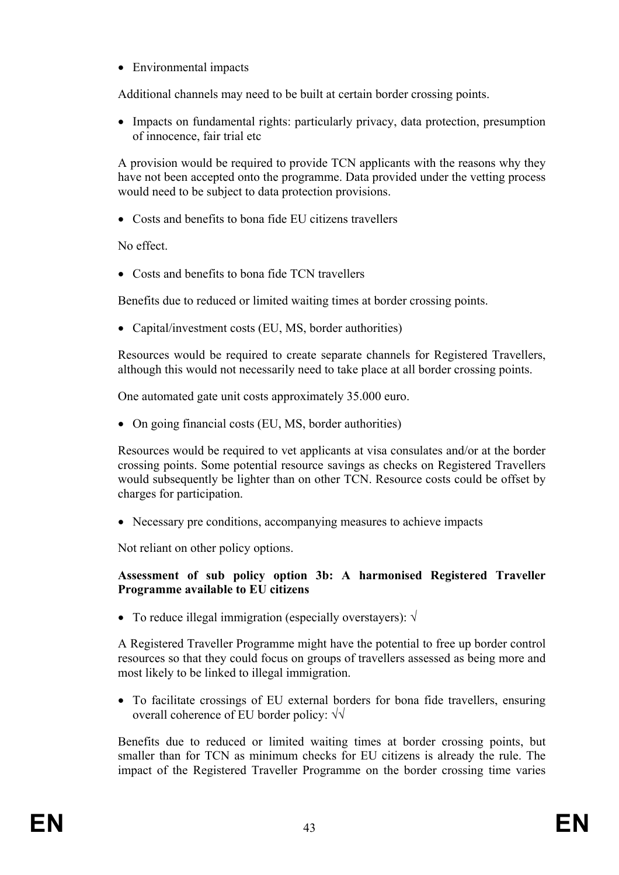• Environmental impacts

Additional channels may need to be built at certain border crossing points.

• Impacts on fundamental rights: particularly privacy, data protection, presumption of innocence, fair trial etc

A provision would be required to provide TCN applicants with the reasons why they have not been accepted onto the programme. Data provided under the vetting process would need to be subject to data protection provisions.

• Costs and benefits to bona fide EU citizens travellers

No effect.

• Costs and benefits to bona fide TCN travellers

Benefits due to reduced or limited waiting times at border crossing points.

• Capital/investment costs (EU, MS, border authorities)

Resources would be required to create separate channels for Registered Travellers, although this would not necessarily need to take place at all border crossing points.

One automated gate unit costs approximately 35.000 euro.

• On going financial costs (EU, MS, border authorities)

Resources would be required to vet applicants at visa consulates and/or at the border crossing points. Some potential resource savings as checks on Registered Travellers would subsequently be lighter than on other TCN. Resource costs could be offset by charges for participation.

• Necessary pre conditions, accompanying measures to achieve impacts

Not reliant on other policy options.

## **Assessment of sub policy option 3b: A harmonised Registered Traveller Programme available to EU citizens**

• To reduce illegal immigration (especially overstayers):  $\sqrt{ }$ 

A Registered Traveller Programme might have the potential to free up border control resources so that they could focus on groups of travellers assessed as being more and most likely to be linked to illegal immigration.

• To facilitate crossings of EU external borders for bona fide travellers, ensuring overall coherence of EU border policy: √√

Benefits due to reduced or limited waiting times at border crossing points, but smaller than for TCN as minimum checks for EU citizens is already the rule. The impact of the Registered Traveller Programme on the border crossing time varies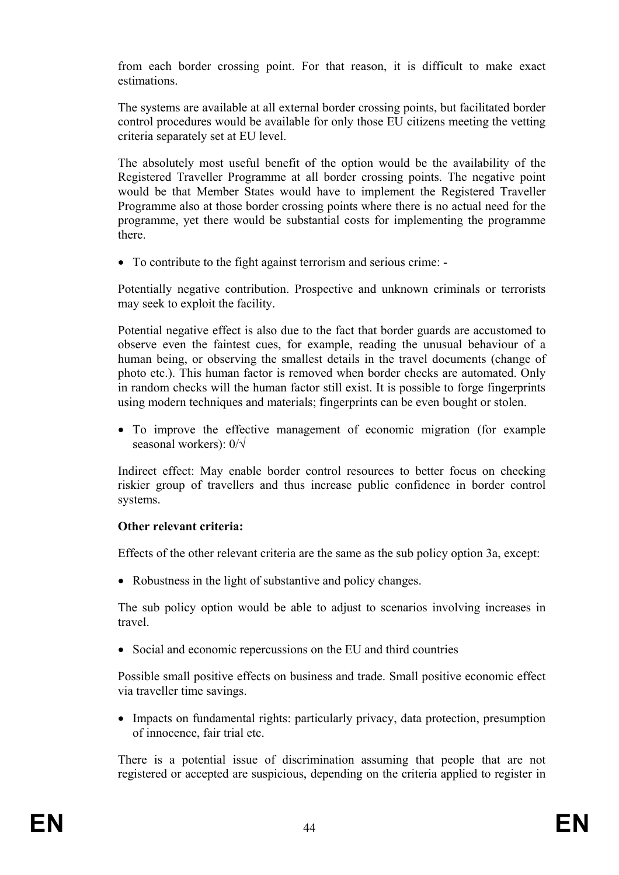from each border crossing point. For that reason, it is difficult to make exact estimations.

The systems are available at all external border crossing points, but facilitated border control procedures would be available for only those EU citizens meeting the vetting criteria separately set at EU level.

The absolutely most useful benefit of the option would be the availability of the Registered Traveller Programme at all border crossing points. The negative point would be that Member States would have to implement the Registered Traveller Programme also at those border crossing points where there is no actual need for the programme, yet there would be substantial costs for implementing the programme there.

• To contribute to the fight against terrorism and serious crime: -

Potentially negative contribution. Prospective and unknown criminals or terrorists may seek to exploit the facility.

Potential negative effect is also due to the fact that border guards are accustomed to observe even the faintest cues, for example, reading the unusual behaviour of a human being, or observing the smallest details in the travel documents (change of photo etc.). This human factor is removed when border checks are automated. Only in random checks will the human factor still exist. It is possible to forge fingerprints using modern techniques and materials; fingerprints can be even bought or stolen.

• To improve the effective management of economic migration (for example seasonal workers): 0/√

Indirect effect: May enable border control resources to better focus on checking riskier group of travellers and thus increase public confidence in border control systems.

## **Other relevant criteria:**

Effects of the other relevant criteria are the same as the sub policy option 3a, except:

• Robustness in the light of substantive and policy changes.

The sub policy option would be able to adjust to scenarios involving increases in travel.

• Social and economic repercussions on the EU and third countries

Possible small positive effects on business and trade. Small positive economic effect via traveller time savings.

• Impacts on fundamental rights: particularly privacy, data protection, presumption of innocence, fair trial etc.

There is a potential issue of discrimination assuming that people that are not registered or accepted are suspicious, depending on the criteria applied to register in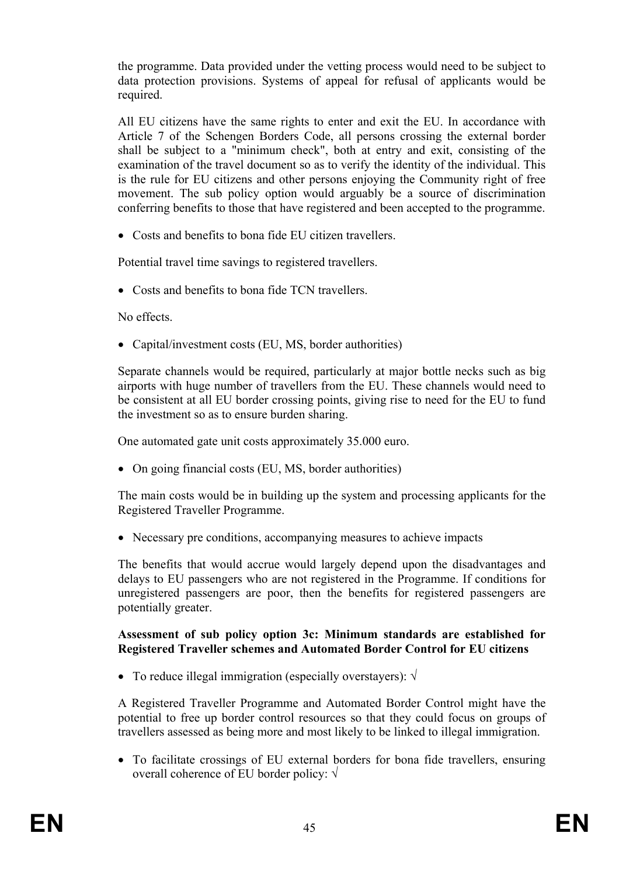the programme. Data provided under the vetting process would need to be subject to data protection provisions. Systems of appeal for refusal of applicants would be required.

All EU citizens have the same rights to enter and exit the EU. In accordance with Article 7 of the Schengen Borders Code, all persons crossing the external border shall be subject to a "minimum check", both at entry and exit, consisting of the examination of the travel document so as to verify the identity of the individual. This is the rule for EU citizens and other persons enjoying the Community right of free movement. The sub policy option would arguably be a source of discrimination conferring benefits to those that have registered and been accepted to the programme.

• Costs and benefits to bona fide EU citizen travellers.

Potential travel time savings to registered travellers.

• Costs and benefits to bona fide TCN travellers.

No effects.

• Capital/investment costs (EU, MS, border authorities)

Separate channels would be required, particularly at major bottle necks such as big airports with huge number of travellers from the EU. These channels would need to be consistent at all EU border crossing points, giving rise to need for the EU to fund the investment so as to ensure burden sharing.

One automated gate unit costs approximately 35.000 euro.

• On going financial costs (EU, MS, border authorities)

The main costs would be in building up the system and processing applicants for the Registered Traveller Programme.

• Necessary pre conditions, accompanying measures to achieve impacts

The benefits that would accrue would largely depend upon the disadvantages and delays to EU passengers who are not registered in the Programme. If conditions for unregistered passengers are poor, then the benefits for registered passengers are potentially greater.

#### **Assessment of sub policy option 3c: Minimum standards are established for Registered Traveller schemes and Automated Border Control for EU citizens**

• To reduce illegal immigration (especially overstayers):  $\sqrt{}$ 

A Registered Traveller Programme and Automated Border Control might have the potential to free up border control resources so that they could focus on groups of travellers assessed as being more and most likely to be linked to illegal immigration.

• To facilitate crossings of EU external borders for bona fide travellers, ensuring overall coherence of EU border policy: √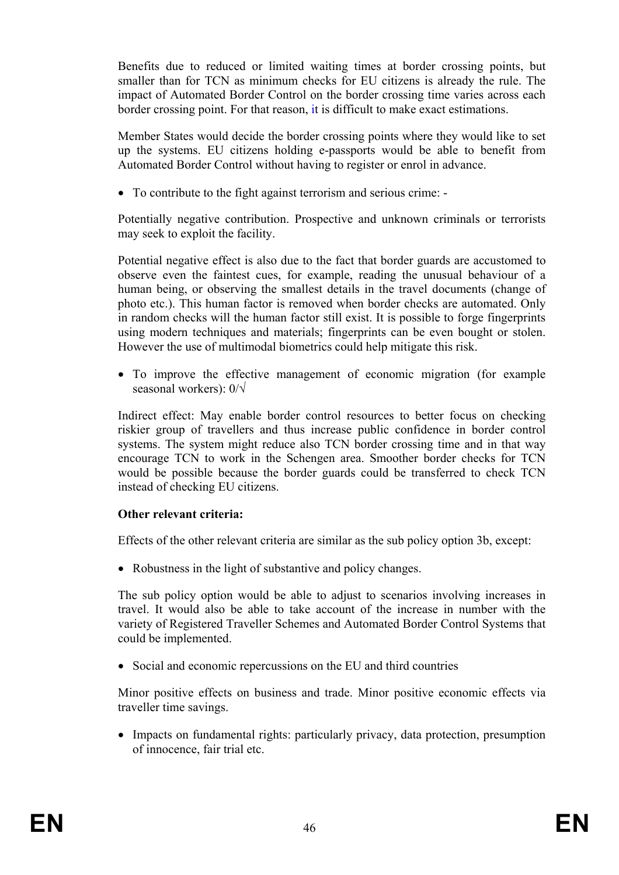Benefits due to reduced or limited waiting times at border crossing points, but smaller than for TCN as minimum checks for EU citizens is already the rule. The impact of Automated Border Control on the border crossing time varies across each border crossing point. For that reason, it is difficult to make exact estimations.

Member States would decide the border crossing points where they would like to set up the systems. EU citizens holding e-passports would be able to benefit from Automated Border Control without having to register or enrol in advance.

• To contribute to the fight against terrorism and serious crime: -

Potentially negative contribution. Prospective and unknown criminals or terrorists may seek to exploit the facility.

Potential negative effect is also due to the fact that border guards are accustomed to observe even the faintest cues, for example, reading the unusual behaviour of a human being, or observing the smallest details in the travel documents (change of photo etc.). This human factor is removed when border checks are automated. Only in random checks will the human factor still exist. It is possible to forge fingerprints using modern techniques and materials; fingerprints can be even bought or stolen. However the use of multimodal biometrics could help mitigate this risk.

• To improve the effective management of economic migration (for example seasonal workers): 0/√

Indirect effect: May enable border control resources to better focus on checking riskier group of travellers and thus increase public confidence in border control systems. The system might reduce also TCN border crossing time and in that way encourage TCN to work in the Schengen area. Smoother border checks for TCN would be possible because the border guards could be transferred to check TCN instead of checking EU citizens.

## **Other relevant criteria:**

Effects of the other relevant criteria are similar as the sub policy option 3b, except:

• Robustness in the light of substantive and policy changes.

The sub policy option would be able to adjust to scenarios involving increases in travel. It would also be able to take account of the increase in number with the variety of Registered Traveller Schemes and Automated Border Control Systems that could be implemented.

• Social and economic repercussions on the EU and third countries

Minor positive effects on business and trade. Minor positive economic effects via traveller time savings.

• Impacts on fundamental rights: particularly privacy, data protection, presumption of innocence, fair trial etc.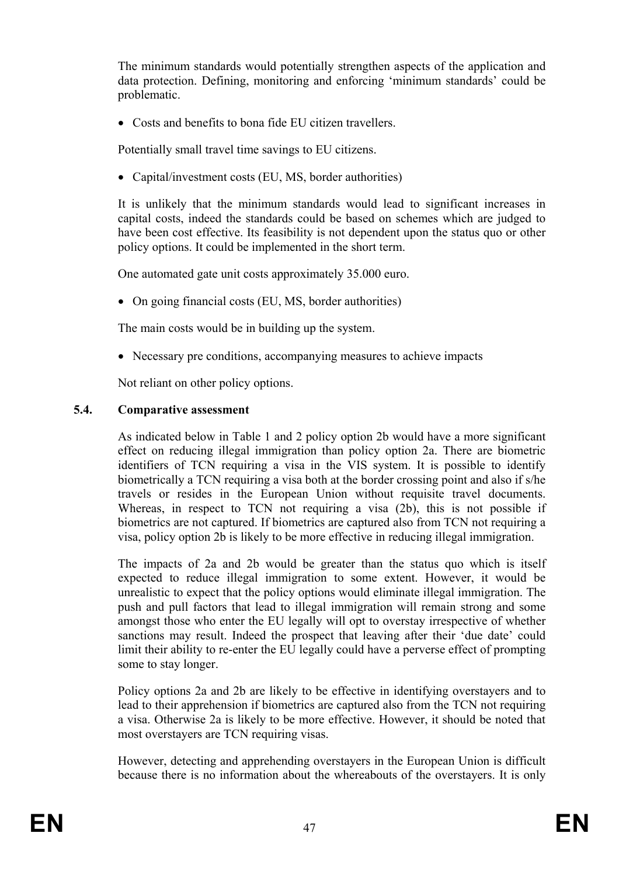The minimum standards would potentially strengthen aspects of the application and data protection. Defining, monitoring and enforcing 'minimum standards' could be problematic.

• Costs and benefits to bona fide EU citizen travellers.

Potentially small travel time savings to EU citizens.

• Capital/investment costs (EU, MS, border authorities)

It is unlikely that the minimum standards would lead to significant increases in capital costs, indeed the standards could be based on schemes which are judged to have been cost effective. Its feasibility is not dependent upon the status quo or other policy options. It could be implemented in the short term.

One automated gate unit costs approximately 35.000 euro.

• On going financial costs (EU, MS, border authorities)

The main costs would be in building up the system.

• Necessary pre conditions, accompanying measures to achieve impacts

Not reliant on other policy options.

## **5.4. Comparative assessment**

As indicated below in Table 1 and 2 policy option 2b would have a more significant effect on reducing illegal immigration than policy option 2a. There are biometric identifiers of TCN requiring a visa in the VIS system. It is possible to identify biometrically a TCN requiring a visa both at the border crossing point and also if s/he travels or resides in the European Union without requisite travel documents. Whereas, in respect to TCN not requiring a visa (2b), this is not possible if biometrics are not captured. If biometrics are captured also from TCN not requiring a visa, policy option 2b is likely to be more effective in reducing illegal immigration.

The impacts of 2a and 2b would be greater than the status quo which is itself expected to reduce illegal immigration to some extent. However, it would be unrealistic to expect that the policy options would eliminate illegal immigration. The push and pull factors that lead to illegal immigration will remain strong and some amongst those who enter the EU legally will opt to overstay irrespective of whether sanctions may result. Indeed the prospect that leaving after their 'due date' could limit their ability to re-enter the EU legally could have a perverse effect of prompting some to stay longer.

Policy options 2a and 2b are likely to be effective in identifying overstayers and to lead to their apprehension if biometrics are captured also from the TCN not requiring a visa. Otherwise 2a is likely to be more effective. However, it should be noted that most overstayers are TCN requiring visas.

However, detecting and apprehending overstayers in the European Union is difficult because there is no information about the whereabouts of the overstayers. It is only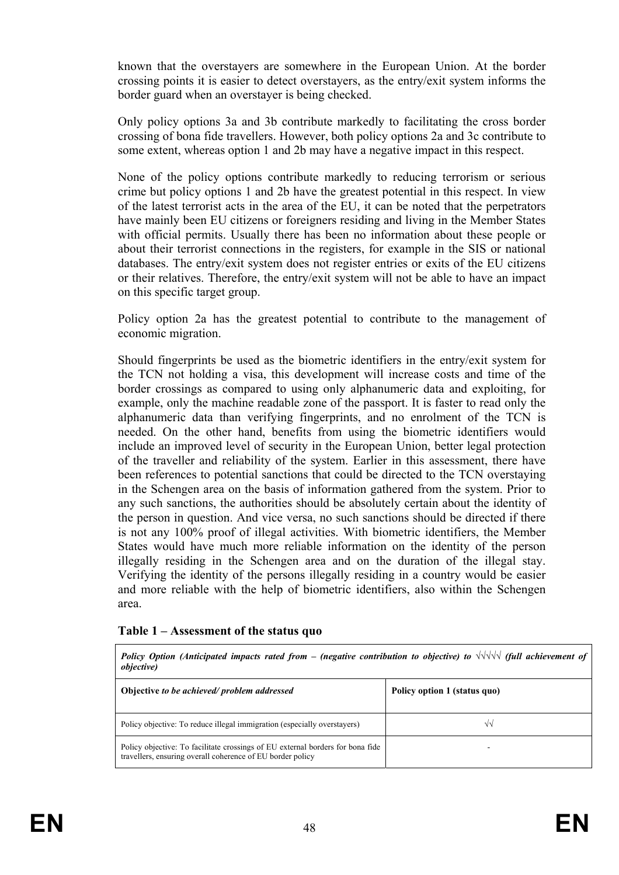known that the overstayers are somewhere in the European Union. At the border crossing points it is easier to detect overstayers, as the entry/exit system informs the border guard when an overstayer is being checked.

Only policy options 3a and 3b contribute markedly to facilitating the cross border crossing of bona fide travellers. However, both policy options 2a and 3c contribute to some extent, whereas option 1 and 2b may have a negative impact in this respect.

None of the policy options contribute markedly to reducing terrorism or serious crime but policy options 1 and 2b have the greatest potential in this respect. In view of the latest terrorist acts in the area of the EU, it can be noted that the perpetrators have mainly been EU citizens or foreigners residing and living in the Member States with official permits. Usually there has been no information about these people or about their terrorist connections in the registers, for example in the SIS or national databases. The entry/exit system does not register entries or exits of the EU citizens or their relatives. Therefore, the entry/exit system will not be able to have an impact on this specific target group.

Policy option 2a has the greatest potential to contribute to the management of economic migration.

Should fingerprints be used as the biometric identifiers in the entry/exit system for the TCN not holding a visa, this development will increase costs and time of the border crossings as compared to using only alphanumeric data and exploiting, for example, only the machine readable zone of the passport. It is faster to read only the alphanumeric data than verifying fingerprints, and no enrolment of the TCN is needed. On the other hand, benefits from using the biometric identifiers would include an improved level of security in the European Union, better legal protection of the traveller and reliability of the system. Earlier in this assessment, there have been references to potential sanctions that could be directed to the TCN overstaying in the Schengen area on the basis of information gathered from the system. Prior to any such sanctions, the authorities should be absolutely certain about the identity of the person in question. And vice versa, no such sanctions should be directed if there is not any 100% proof of illegal activities. With biometric identifiers, the Member States would have much more reliable information on the identity of the person illegally residing in the Schengen area and on the duration of the illegal stay. Verifying the identity of the persons illegally residing in a country would be easier and more reliable with the help of biometric identifiers, also within the Schengen area.

#### **Table 1 – Assessment of the status quo**

*Policy Option (Anticipated impacts rated from – (negative contribution to objective) to √√√√√ (full achievement of objective)* 

| Objective to be achieved/problem addressed                                                                                                   | Policy option 1 (status quo) |
|----------------------------------------------------------------------------------------------------------------------------------------------|------------------------------|
| Policy objective: To reduce illegal immigration (especially overstayers)                                                                     |                              |
| Policy objective: To facilitate crossings of EU external borders for bona fide<br>travellers, ensuring overall coherence of EU border policy |                              |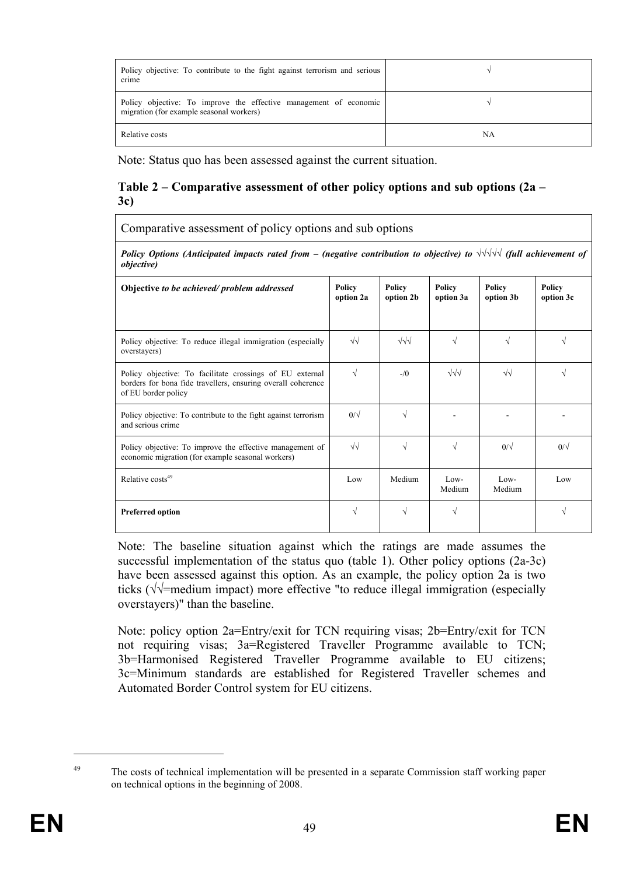| Policy objective: To contribute to the fight against terrorism and serious<br>crime                           |    |
|---------------------------------------------------------------------------------------------------------------|----|
| Policy objective: To improve the effective management of economic<br>migration (for example seasonal workers) |    |
| Relative costs                                                                                                | NA |

Note: Status quo has been assessed against the current situation.

#### **Table 2 – Comparative assessment of other policy options and sub options (2a – 3c)**

Comparative assessment of policy options and sub options

*Policy Options (Anticipated impacts rated from – (negative contribution to objective) to √√√√√ (full achievement of objective)* 

| Objective to be achieved/problem addressed                                                                                                      | Policy<br>option 2a | Policy<br>option 2b | Policy<br>option 3a | Policy<br>option 3b | Policy<br>option 3c |
|-------------------------------------------------------------------------------------------------------------------------------------------------|---------------------|---------------------|---------------------|---------------------|---------------------|
| Policy objective: To reduce illegal immigration (especially<br>overstayers)                                                                     | $\sqrt{\sqrt{2}}$   | $\sqrt{\sqrt{}}$    | V                   | V                   | V                   |
| Policy objective: To facilitate crossings of EU external<br>borders for bona fide travellers, ensuring overall coherence<br>of EU border policy | $\sqrt{}$           | $-\sqrt{0}$         | $\sqrt{\sqrt{}}$    | $\sqrt{2}$          | V                   |
| Policy objective: To contribute to the fight against terrorism<br>and serious crime                                                             | $0/\sqrt{2}$        | V                   |                     |                     |                     |
| Policy objective: To improve the effective management of<br>economic migration (for example seasonal workers)                                   | $\sqrt{2}$          | $\sqrt{ }$          | $\sqrt{ }$          | $0/\sqrt{2}$        | $0/\sqrt{2}$        |
| Relative costs <sup>49</sup>                                                                                                                    | Low                 | Medium              | $Low-$<br>Medium    | $Low-$<br>Medium    | Low                 |
| <b>Preferred option</b>                                                                                                                         | V                   | V                   |                     |                     |                     |

Note: The baseline situation against which the ratings are made assumes the successful implementation of the status quo (table 1). Other policy options (2a-3c) have been assessed against this option. As an example, the policy option 2a is two ticks (√√=medium impact) more effective "to reduce illegal immigration (especially overstayers)" than the baseline.

Note: policy option 2a=Entry/exit for TCN requiring visas; 2b=Entry/exit for TCN not requiring visas; 3a=Registered Traveller Programme available to TCN; 3b=Harmonised Registered Traveller Programme available to EU citizens; 3c=Minimum standards are established for Registered Traveller schemes and Automated Border Control system for EU citizens.

1

<sup>&</sup>lt;sup>49</sup> The costs of technical implementation will be presented in a separate Commission staff working paper on technical options in the beginning of 2008.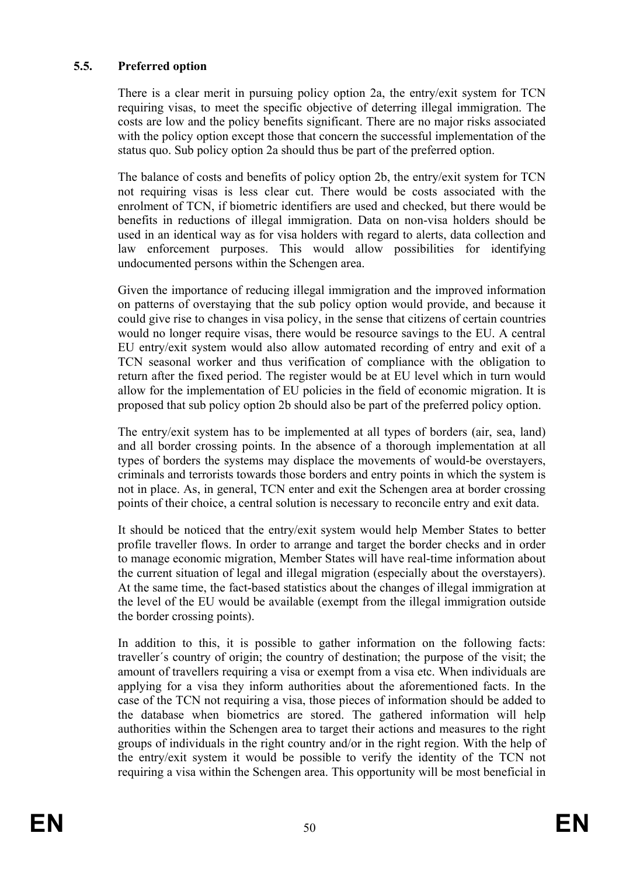#### **5.5. Preferred option**

There is a clear merit in pursuing policy option 2a, the entry/exit system for TCN requiring visas, to meet the specific objective of deterring illegal immigration. The costs are low and the policy benefits significant. There are no major risks associated with the policy option except those that concern the successful implementation of the status quo. Sub policy option 2a should thus be part of the preferred option.

The balance of costs and benefits of policy option 2b, the entry/exit system for TCN not requiring visas is less clear cut. There would be costs associated with the enrolment of TCN, if biometric identifiers are used and checked, but there would be benefits in reductions of illegal immigration. Data on non-visa holders should be used in an identical way as for visa holders with regard to alerts, data collection and law enforcement purposes. This would allow possibilities for identifying undocumented persons within the Schengen area.

Given the importance of reducing illegal immigration and the improved information on patterns of overstaying that the sub policy option would provide, and because it could give rise to changes in visa policy, in the sense that citizens of certain countries would no longer require visas, there would be resource savings to the EU. A central EU entry/exit system would also allow automated recording of entry and exit of a TCN seasonal worker and thus verification of compliance with the obligation to return after the fixed period. The register would be at EU level which in turn would allow for the implementation of EU policies in the field of economic migration. It is proposed that sub policy option 2b should also be part of the preferred policy option.

The entry/exit system has to be implemented at all types of borders (air, sea, land) and all border crossing points. In the absence of a thorough implementation at all types of borders the systems may displace the movements of would-be overstayers, criminals and terrorists towards those borders and entry points in which the system is not in place. As, in general, TCN enter and exit the Schengen area at border crossing points of their choice, a central solution is necessary to reconcile entry and exit data.

It should be noticed that the entry/exit system would help Member States to better profile traveller flows. In order to arrange and target the border checks and in order to manage economic migration, Member States will have real-time information about the current situation of legal and illegal migration (especially about the overstayers). At the same time, the fact-based statistics about the changes of illegal immigration at the level of the EU would be available (exempt from the illegal immigration outside the border crossing points).

In addition to this, it is possible to gather information on the following facts: traveller´s country of origin; the country of destination; the purpose of the visit; the amount of travellers requiring a visa or exempt from a visa etc. When individuals are applying for a visa they inform authorities about the aforementioned facts. In the case of the TCN not requiring a visa, those pieces of information should be added to the database when biometrics are stored. The gathered information will help authorities within the Schengen area to target their actions and measures to the right groups of individuals in the right country and/or in the right region. With the help of the entry/exit system it would be possible to verify the identity of the TCN not requiring a visa within the Schengen area. This opportunity will be most beneficial in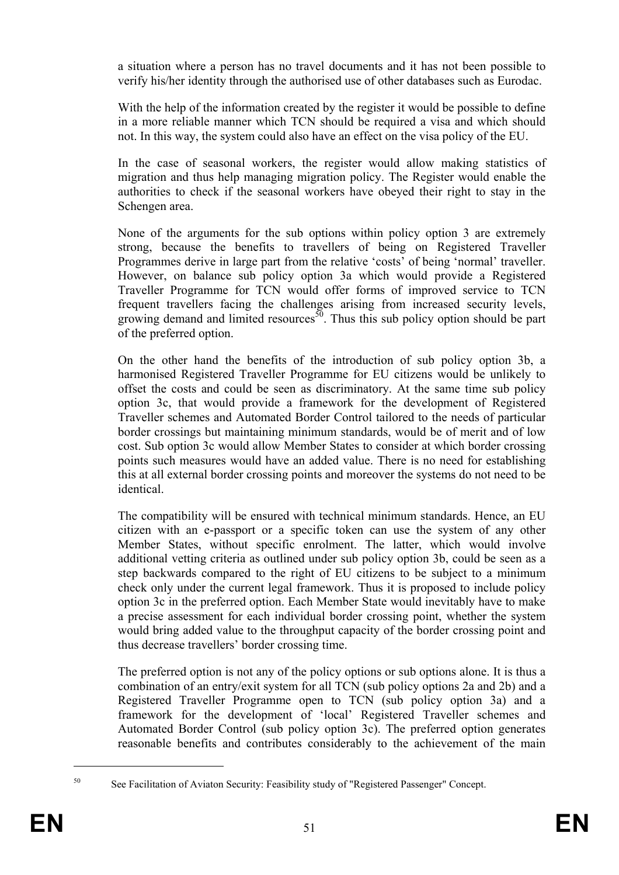a situation where a person has no travel documents and it has not been possible to verify his/her identity through the authorised use of other databases such as Eurodac.

With the help of the information created by the register it would be possible to define in a more reliable manner which TCN should be required a visa and which should not. In this way, the system could also have an effect on the visa policy of the EU.

In the case of seasonal workers, the register would allow making statistics of migration and thus help managing migration policy. The Register would enable the authorities to check if the seasonal workers have obeyed their right to stay in the Schengen area.

None of the arguments for the sub options within policy option 3 are extremely strong, because the benefits to travellers of being on Registered Traveller Programmes derive in large part from the relative 'costs' of being 'normal' traveller. However, on balance sub policy option 3a which would provide a Registered Traveller Programme for TCN would offer forms of improved service to TCN frequent travellers facing the challenges arising from increased security levels, growing demand and limited resources<sup>50</sup>. Thus this sub policy option should be part of the preferred option.

On the other hand the benefits of the introduction of sub policy option 3b, a harmonised Registered Traveller Programme for EU citizens would be unlikely to offset the costs and could be seen as discriminatory. At the same time sub policy option 3c, that would provide a framework for the development of Registered Traveller schemes and Automated Border Control tailored to the needs of particular border crossings but maintaining minimum standards, would be of merit and of low cost. Sub option 3c would allow Member States to consider at which border crossing points such measures would have an added value. There is no need for establishing this at all external border crossing points and moreover the systems do not need to be identical.

The compatibility will be ensured with technical minimum standards. Hence, an EU citizen with an e-passport or a specific token can use the system of any other Member States, without specific enrolment. The latter, which would involve additional vetting criteria as outlined under sub policy option 3b, could be seen as a step backwards compared to the right of EU citizens to be subject to a minimum check only under the current legal framework. Thus it is proposed to include policy option 3c in the preferred option. Each Member State would inevitably have to make a precise assessment for each individual border crossing point, whether the system would bring added value to the throughput capacity of the border crossing point and thus decrease travellers' border crossing time.

The preferred option is not any of the policy options or sub options alone. It is thus a combination of an entry/exit system for all TCN (sub policy options 2a and 2b) and a Registered Traveller Programme open to TCN (sub policy option 3a) and a framework for the development of 'local' Registered Traveller schemes and Automated Border Control (sub policy option 3c). The preferred option generates reasonable benefits and contributes considerably to the achievement of the main

<sup>1</sup> 

<sup>50</sup> See Facilitation of Aviaton Security: Feasibility study of "Registered Passenger" Concept.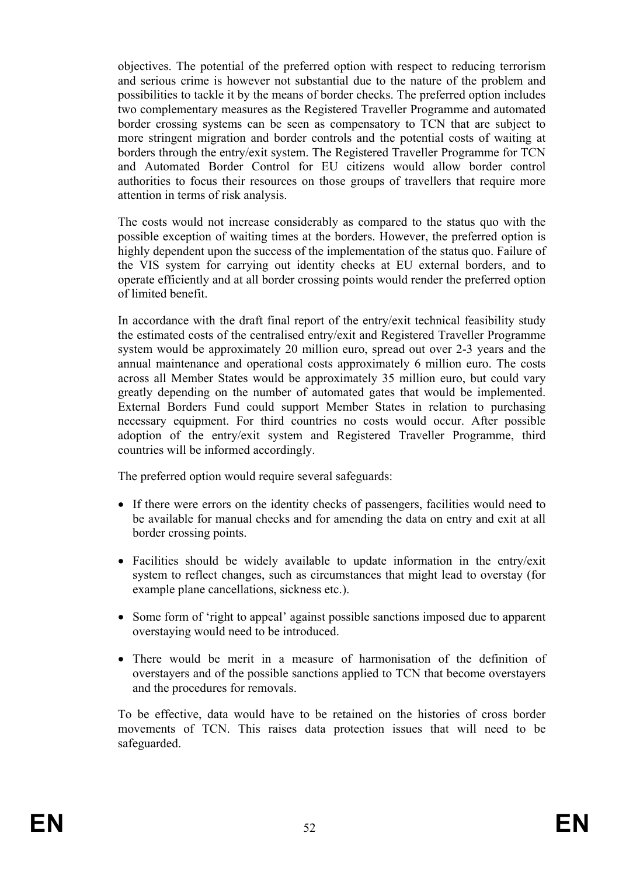objectives. The potential of the preferred option with respect to reducing terrorism and serious crime is however not substantial due to the nature of the problem and possibilities to tackle it by the means of border checks. The preferred option includes two complementary measures as the Registered Traveller Programme and automated border crossing systems can be seen as compensatory to TCN that are subject to more stringent migration and border controls and the potential costs of waiting at borders through the entry/exit system. The Registered Traveller Programme for TCN and Automated Border Control for EU citizens would allow border control authorities to focus their resources on those groups of travellers that require more attention in terms of risk analysis.

The costs would not increase considerably as compared to the status quo with the possible exception of waiting times at the borders. However, the preferred option is highly dependent upon the success of the implementation of the status quo. Failure of the VIS system for carrying out identity checks at EU external borders, and to operate efficiently and at all border crossing points would render the preferred option of limited benefit.

In accordance with the draft final report of the entry/exit technical feasibility study the estimated costs of the centralised entry/exit and Registered Traveller Programme system would be approximately 20 million euro, spread out over 2-3 years and the annual maintenance and operational costs approximately 6 million euro. The costs across all Member States would be approximately 35 million euro, but could vary greatly depending on the number of automated gates that would be implemented. External Borders Fund could support Member States in relation to purchasing necessary equipment. For third countries no costs would occur. After possible adoption of the entry/exit system and Registered Traveller Programme, third countries will be informed accordingly.

The preferred option would require several safeguards:

- If there were errors on the identity checks of passengers, facilities would need to be available for manual checks and for amending the data on entry and exit at all border crossing points.
- Facilities should be widely available to update information in the entry/exit system to reflect changes, such as circumstances that might lead to overstay (for example plane cancellations, sickness etc.).
- Some form of 'right to appeal' against possible sanctions imposed due to apparent overstaying would need to be introduced.
- There would be merit in a measure of harmonisation of the definition of overstayers and of the possible sanctions applied to TCN that become overstayers and the procedures for removals.

To be effective, data would have to be retained on the histories of cross border movements of TCN. This raises data protection issues that will need to be safeguarded.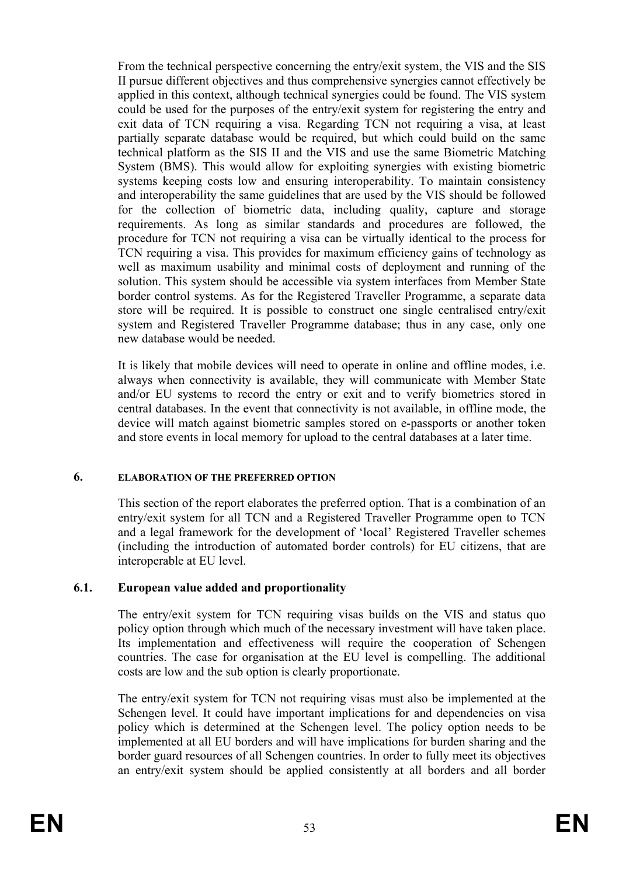From the technical perspective concerning the entry/exit system, the VIS and the SIS II pursue different objectives and thus comprehensive synergies cannot effectively be applied in this context, although technical synergies could be found. The VIS system could be used for the purposes of the entry/exit system for registering the entry and exit data of TCN requiring a visa. Regarding TCN not requiring a visa, at least partially separate database would be required, but which could build on the same technical platform as the SIS II and the VIS and use the same Biometric Matching System (BMS). This would allow for exploiting synergies with existing biometric systems keeping costs low and ensuring interoperability. To maintain consistency and interoperability the same guidelines that are used by the VIS should be followed for the collection of biometric data, including quality, capture and storage requirements. As long as similar standards and procedures are followed, the procedure for TCN not requiring a visa can be virtually identical to the process for TCN requiring a visa. This provides for maximum efficiency gains of technology as well as maximum usability and minimal costs of deployment and running of the solution. This system should be accessible via system interfaces from Member State border control systems. As for the Registered Traveller Programme, a separate data store will be required. It is possible to construct one single centralised entry/exit system and Registered Traveller Programme database; thus in any case, only one new database would be needed.

It is likely that mobile devices will need to operate in online and offline modes, i.e. always when connectivity is available, they will communicate with Member State and/or EU systems to record the entry or exit and to verify biometrics stored in central databases. In the event that connectivity is not available, in offline mode, the device will match against biometric samples stored on e-passports or another token and store events in local memory for upload to the central databases at a later time.

#### **6. ELABORATION OF THE PREFERRED OPTION**

This section of the report elaborates the preferred option. That is a combination of an entry/exit system for all TCN and a Registered Traveller Programme open to TCN and a legal framework for the development of 'local' Registered Traveller schemes (including the introduction of automated border controls) for EU citizens, that are interoperable at EU level.

## **6.1. European value added and proportionality**

The entry/exit system for TCN requiring visas builds on the VIS and status quo policy option through which much of the necessary investment will have taken place. Its implementation and effectiveness will require the cooperation of Schengen countries. The case for organisation at the EU level is compelling. The additional costs are low and the sub option is clearly proportionate.

The entry/exit system for TCN not requiring visas must also be implemented at the Schengen level. It could have important implications for and dependencies on visa policy which is determined at the Schengen level. The policy option needs to be implemented at all EU borders and will have implications for burden sharing and the border guard resources of all Schengen countries. In order to fully meet its objectives an entry/exit system should be applied consistently at all borders and all border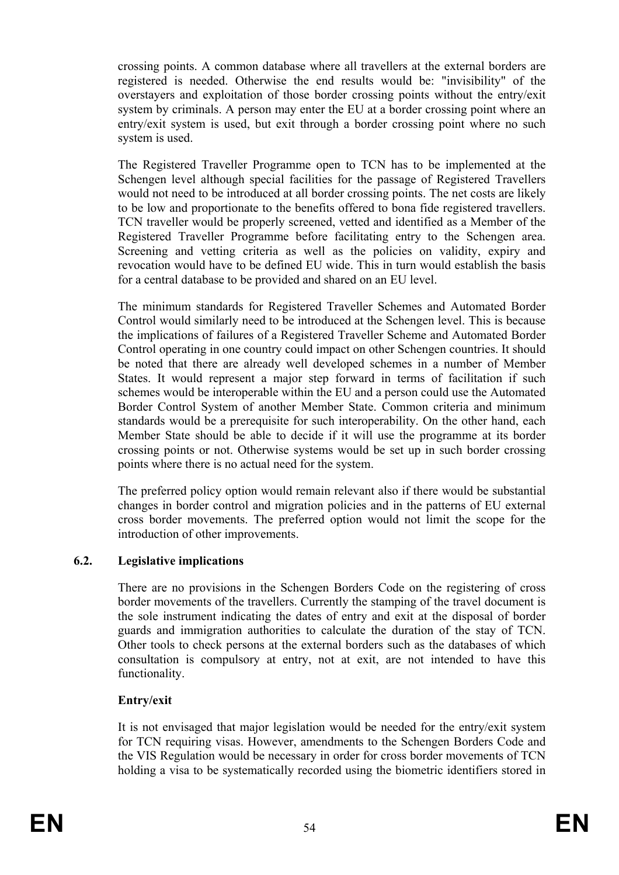crossing points. A common database where all travellers at the external borders are registered is needed. Otherwise the end results would be: "invisibility" of the overstayers and exploitation of those border crossing points without the entry/exit system by criminals. A person may enter the EU at a border crossing point where an entry/exit system is used, but exit through a border crossing point where no such system is used.

The Registered Traveller Programme open to TCN has to be implemented at the Schengen level although special facilities for the passage of Registered Travellers would not need to be introduced at all border crossing points. The net costs are likely to be low and proportionate to the benefits offered to bona fide registered travellers. TCN traveller would be properly screened, vetted and identified as a Member of the Registered Traveller Programme before facilitating entry to the Schengen area. Screening and vetting criteria as well as the policies on validity, expiry and revocation would have to be defined EU wide. This in turn would establish the basis for a central database to be provided and shared on an EU level.

The minimum standards for Registered Traveller Schemes and Automated Border Control would similarly need to be introduced at the Schengen level. This is because the implications of failures of a Registered Traveller Scheme and Automated Border Control operating in one country could impact on other Schengen countries. It should be noted that there are already well developed schemes in a number of Member States. It would represent a major step forward in terms of facilitation if such schemes would be interoperable within the EU and a person could use the Automated Border Control System of another Member State. Common criteria and minimum standards would be a prerequisite for such interoperability. On the other hand, each Member State should be able to decide if it will use the programme at its border crossing points or not. Otherwise systems would be set up in such border crossing points where there is no actual need for the system.

The preferred policy option would remain relevant also if there would be substantial changes in border control and migration policies and in the patterns of EU external cross border movements. The preferred option would not limit the scope for the introduction of other improvements.

## **6.2. Legislative implications**

There are no provisions in the Schengen Borders Code on the registering of cross border movements of the travellers. Currently the stamping of the travel document is the sole instrument indicating the dates of entry and exit at the disposal of border guards and immigration authorities to calculate the duration of the stay of TCN. Other tools to check persons at the external borders such as the databases of which consultation is compulsory at entry, not at exit, are not intended to have this functionality.

#### **Entry/exit**

It is not envisaged that major legislation would be needed for the entry/exit system for TCN requiring visas. However, amendments to the Schengen Borders Code and the VIS Regulation would be necessary in order for cross border movements of TCN holding a visa to be systematically recorded using the biometric identifiers stored in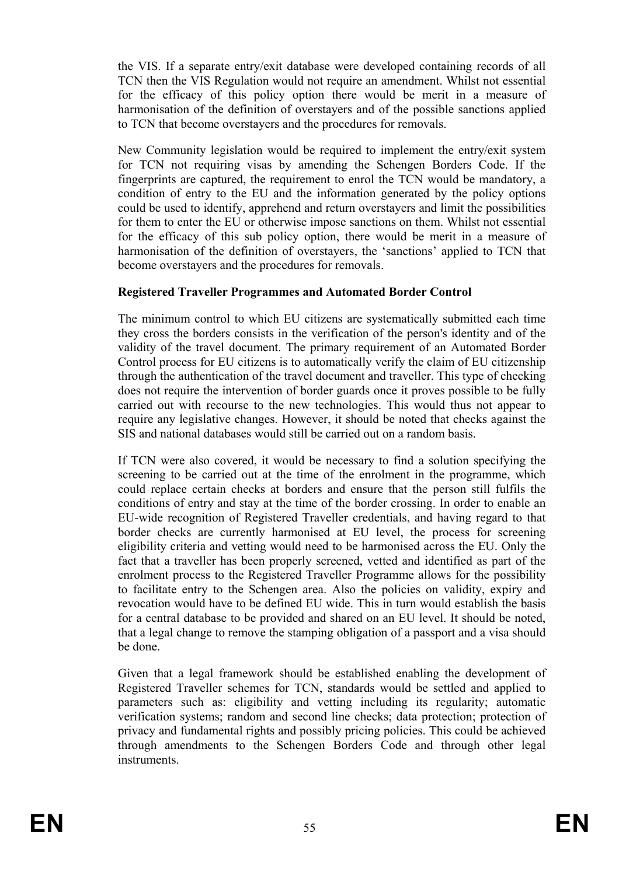the VIS. If a separate entry/exit database were developed containing records of all TCN then the VIS Regulation would not require an amendment. Whilst not essential for the efficacy of this policy option there would be merit in a measure of harmonisation of the definition of overstayers and of the possible sanctions applied to TCN that become overstayers and the procedures for removals.

New Community legislation would be required to implement the entry/exit system for TCN not requiring visas by amending the Schengen Borders Code. If the fingerprints are captured, the requirement to enrol the TCN would be mandatory, a condition of entry to the EU and the information generated by the policy options could be used to identify, apprehend and return overstayers and limit the possibilities for them to enter the EU or otherwise impose sanctions on them. Whilst not essential for the efficacy of this sub policy option, there would be merit in a measure of harmonisation of the definition of overstayers, the 'sanctions' applied to TCN that become overstayers and the procedures for removals.

## **Registered Traveller Programmes and Automated Border Control**

The minimum control to which EU citizens are systematically submitted each time they cross the borders consists in the verification of the person's identity and of the validity of the travel document. The primary requirement of an Automated Border Control process for EU citizens is to automatically verify the claim of EU citizenship through the authentication of the travel document and traveller. This type of checking does not require the intervention of border guards once it proves possible to be fully carried out with recourse to the new technologies. This would thus not appear to require any legislative changes. However, it should be noted that checks against the SIS and national databases would still be carried out on a random basis.

If TCN were also covered, it would be necessary to find a solution specifying the screening to be carried out at the time of the enrolment in the programme, which could replace certain checks at borders and ensure that the person still fulfils the conditions of entry and stay at the time of the border crossing. In order to enable an EU-wide recognition of Registered Traveller credentials, and having regard to that border checks are currently harmonised at EU level, the process for screening eligibility criteria and vetting would need to be harmonised across the EU. Only the fact that a traveller has been properly screened, vetted and identified as part of the enrolment process to the Registered Traveller Programme allows for the possibility to facilitate entry to the Schengen area. Also the policies on validity, expiry and revocation would have to be defined EU wide. This in turn would establish the basis for a central database to be provided and shared on an EU level. It should be noted, that a legal change to remove the stamping obligation of a passport and a visa should be done.

Given that a legal framework should be established enabling the development of Registered Traveller schemes for TCN, standards would be settled and applied to parameters such as: eligibility and vetting including its regularity; automatic verification systems; random and second line checks; data protection; protection of privacy and fundamental rights and possibly pricing policies. This could be achieved through amendments to the Schengen Borders Code and through other legal instruments.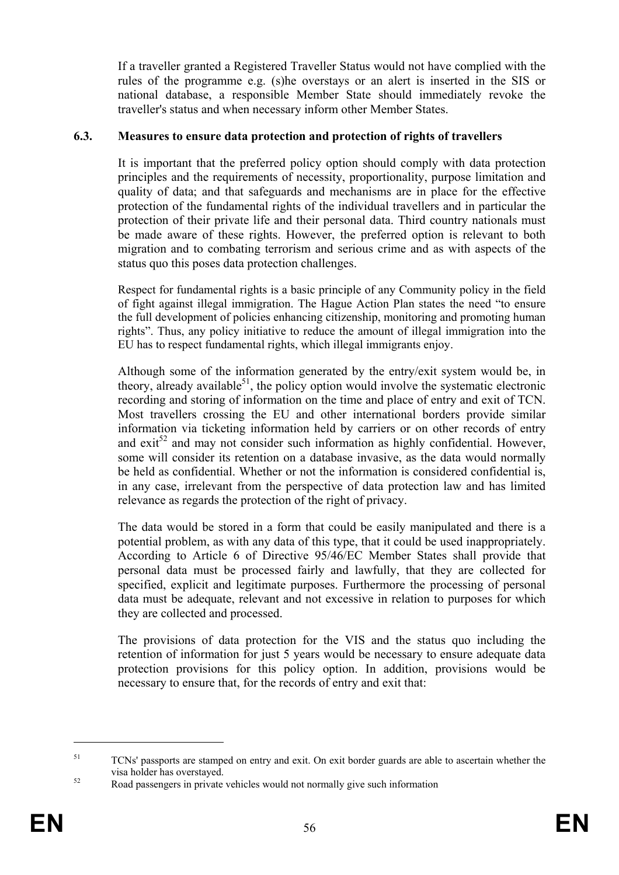If a traveller granted a Registered Traveller Status would not have complied with the rules of the programme e.g. (s)he overstays or an alert is inserted in the SIS or national database, a responsible Member State should immediately revoke the traveller's status and when necessary inform other Member States.

#### **6.3. Measures to ensure data protection and protection of rights of travellers**

It is important that the preferred policy option should comply with data protection principles and the requirements of necessity, proportionality, purpose limitation and quality of data; and that safeguards and mechanisms are in place for the effective protection of the fundamental rights of the individual travellers and in particular the protection of their private life and their personal data. Third country nationals must be made aware of these rights. However, the preferred option is relevant to both migration and to combating terrorism and serious crime and as with aspects of the status quo this poses data protection challenges.

Respect for fundamental rights is a basic principle of any Community policy in the field of fight against illegal immigration. The Hague Action Plan states the need "to ensure the full development of policies enhancing citizenship, monitoring and promoting human rights". Thus, any policy initiative to reduce the amount of illegal immigration into the EU has to respect fundamental rights, which illegal immigrants enjoy.

Although some of the information generated by the entry/exit system would be, in theory, already available<sup>51</sup>, the policy option would involve the systematic electronic recording and storing of information on the time and place of entry and exit of TCN. Most travellers crossing the EU and other international borders provide similar information via ticketing information held by carriers or on other records of entry and  $e^{i\theta^2}$  and may not consider such information as highly confidential. However, some will consider its retention on a database invasive, as the data would normally be held as confidential. Whether or not the information is considered confidential is, in any case, irrelevant from the perspective of data protection law and has limited relevance as regards the protection of the right of privacy.

The data would be stored in a form that could be easily manipulated and there is a potential problem, as with any data of this type, that it could be used inappropriately. According to Article 6 of Directive 95/46/EC Member States shall provide that personal data must be processed fairly and lawfully, that they are collected for specified, explicit and legitimate purposes. Furthermore the processing of personal data must be adequate, relevant and not excessive in relation to purposes for which they are collected and processed.

The provisions of data protection for the VIS and the status quo including the retention of information for just 5 years would be necessary to ensure adequate data protection provisions for this policy option. In addition, provisions would be necessary to ensure that, for the records of entry and exit that:

<u>.</u>

<sup>&</sup>lt;sup>51</sup> TCNs' passports are stamped on entry and exit. On exit border guards are able to ascertain whether the visa holder has overstayed. 52 Road passengers in private vehicles would not normally give such information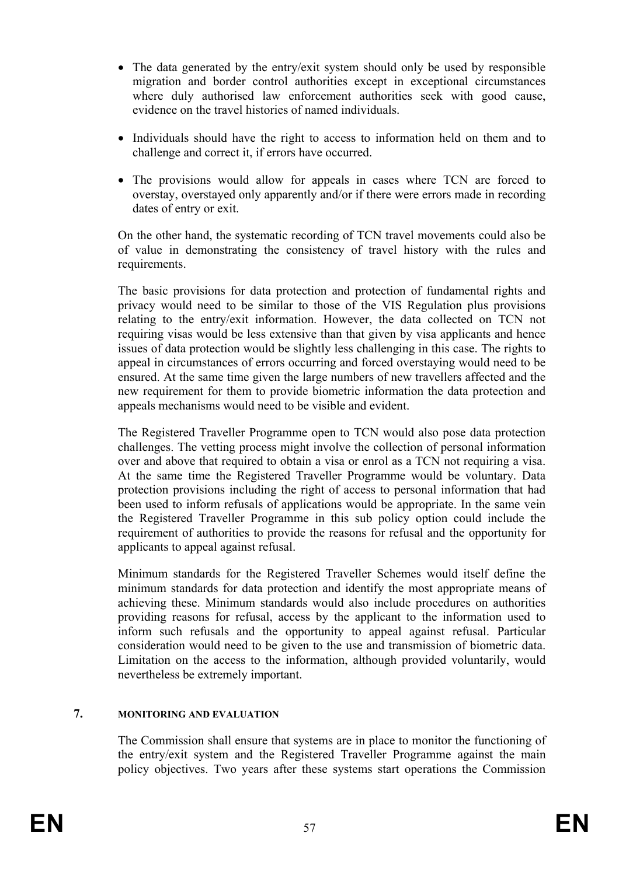- The data generated by the entry/exit system should only be used by responsible migration and border control authorities except in exceptional circumstances where duly authorised law enforcement authorities seek with good cause, evidence on the travel histories of named individuals.
- Individuals should have the right to access to information held on them and to challenge and correct it, if errors have occurred.
- The provisions would allow for appeals in cases where TCN are forced to overstay, overstayed only apparently and/or if there were errors made in recording dates of entry or exit.

On the other hand, the systematic recording of TCN travel movements could also be of value in demonstrating the consistency of travel history with the rules and requirements.

The basic provisions for data protection and protection of fundamental rights and privacy would need to be similar to those of the VIS Regulation plus provisions relating to the entry/exit information. However, the data collected on TCN not requiring visas would be less extensive than that given by visa applicants and hence issues of data protection would be slightly less challenging in this case. The rights to appeal in circumstances of errors occurring and forced overstaying would need to be ensured. At the same time given the large numbers of new travellers affected and the new requirement for them to provide biometric information the data protection and appeals mechanisms would need to be visible and evident.

The Registered Traveller Programme open to TCN would also pose data protection challenges. The vetting process might involve the collection of personal information over and above that required to obtain a visa or enrol as a TCN not requiring a visa. At the same time the Registered Traveller Programme would be voluntary. Data protection provisions including the right of access to personal information that had been used to inform refusals of applications would be appropriate. In the same vein the Registered Traveller Programme in this sub policy option could include the requirement of authorities to provide the reasons for refusal and the opportunity for applicants to appeal against refusal.

Minimum standards for the Registered Traveller Schemes would itself define the minimum standards for data protection and identify the most appropriate means of achieving these. Minimum standards would also include procedures on authorities providing reasons for refusal, access by the applicant to the information used to inform such refusals and the opportunity to appeal against refusal. Particular consideration would need to be given to the use and transmission of biometric data. Limitation on the access to the information, although provided voluntarily, would nevertheless be extremely important.

## **7. MONITORING AND EVALUATION**

The Commission shall ensure that systems are in place to monitor the functioning of the entry/exit system and the Registered Traveller Programme against the main policy objectives. Two years after these systems start operations the Commission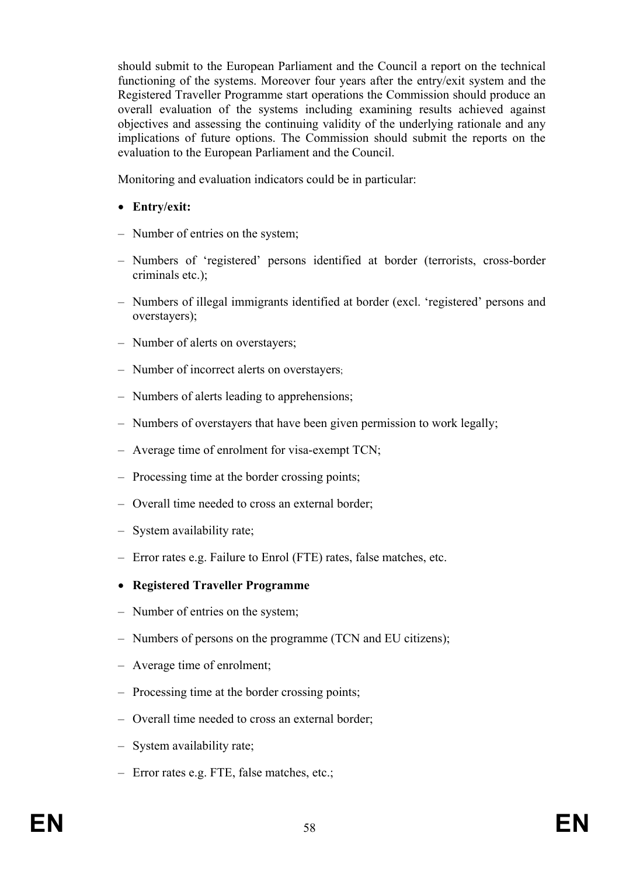should submit to the European Parliament and the Council a report on the technical functioning of the systems. Moreover four years after the entry/exit system and the Registered Traveller Programme start operations the Commission should produce an overall evaluation of the systems including examining results achieved against objectives and assessing the continuing validity of the underlying rationale and any implications of future options. The Commission should submit the reports on the evaluation to the European Parliament and the Council.

Monitoring and evaluation indicators could be in particular:

- **Entry/exit:**
- Number of entries on the system;
- Numbers of 'registered' persons identified at border (terrorists, cross-border criminals etc.);
- Numbers of illegal immigrants identified at border (excl. 'registered' persons and overstayers);
- Number of alerts on overstayers;
- Number of incorrect alerts on overstayers;
- Numbers of alerts leading to apprehensions;
- Numbers of overstayers that have been given permission to work legally;
- Average time of enrolment for visa-exempt TCN;
- Processing time at the border crossing points;
- Overall time needed to cross an external border;
- System availability rate;
- Error rates e.g. Failure to Enrol (FTE) rates, false matches, etc.
- **Registered Traveller Programme**
- Number of entries on the system;
- Numbers of persons on the programme (TCN and EU citizens);
- Average time of enrolment;
- Processing time at the border crossing points;
- Overall time needed to cross an external border;
- System availability rate;
- Error rates e.g. FTE, false matches, etc.;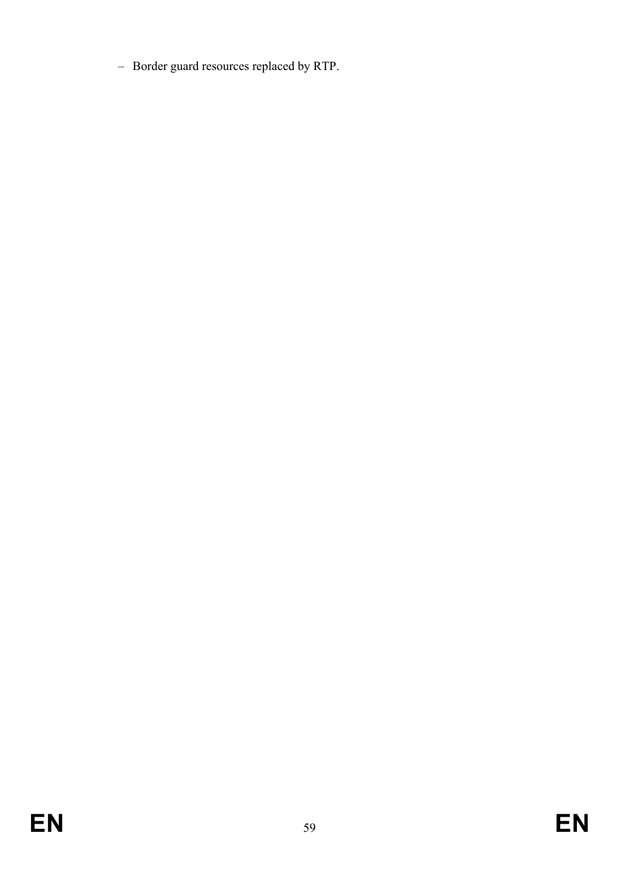– Border guard resources replaced by RTP.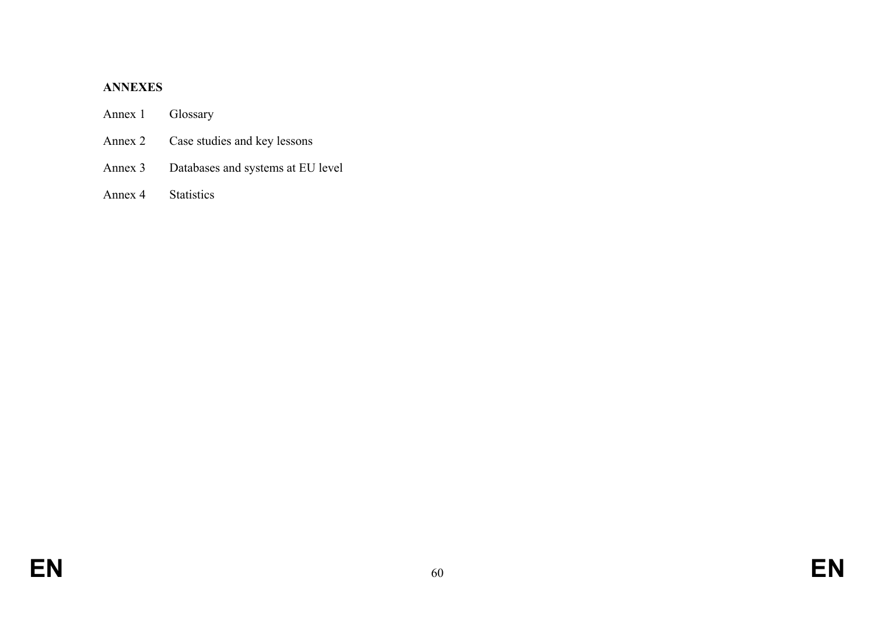#### **ANNEXES**

# Annex 1 Glossary

- Annex 2 Case studies and key lessons
- Annex 3 Databases and systems at EU level

# Annex 4 Statistics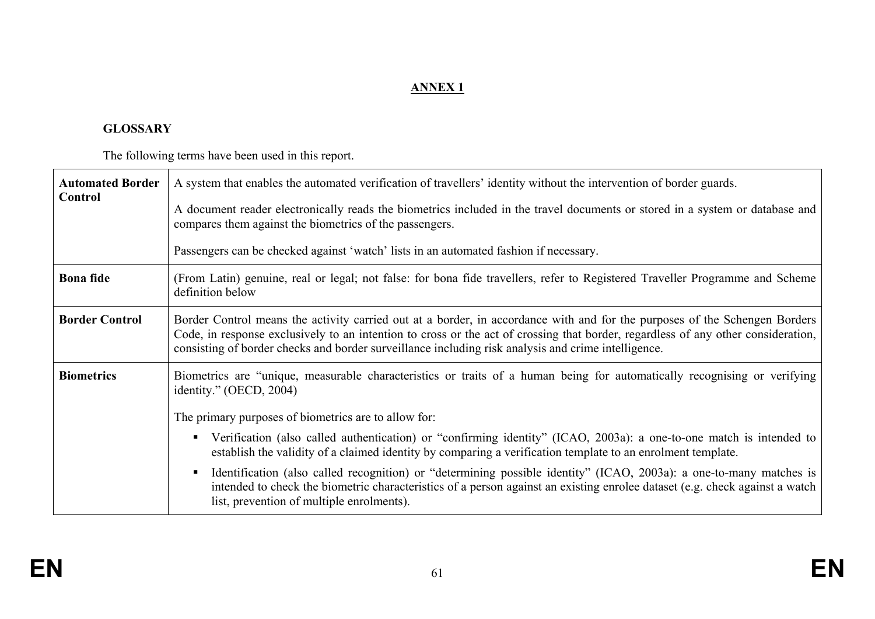# **ANNEX 1**

## **GLOSSARY**

The following terms have been used in this report.

| <b>Automated Border</b> | A system that enables the automated verification of travellers' identity without the intervention of border guards.                                                                                                                                                                                                                                                    |
|-------------------------|------------------------------------------------------------------------------------------------------------------------------------------------------------------------------------------------------------------------------------------------------------------------------------------------------------------------------------------------------------------------|
| Control                 | A document reader electronically reads the biometrics included in the travel documents or stored in a system or database and<br>compares them against the biometrics of the passengers.                                                                                                                                                                                |
|                         | Passengers can be checked against 'watch' lists in an automated fashion if necessary.                                                                                                                                                                                                                                                                                  |
| <b>Bona</b> fide        | (From Latin) genuine, real or legal; not false: for bona fide travellers, refer to Registered Traveller Programme and Scheme<br>definition below                                                                                                                                                                                                                       |
| <b>Border Control</b>   | Border Control means the activity carried out at a border, in accordance with and for the purposes of the Schengen Borders<br>Code, in response exclusively to an intention to cross or the act of crossing that border, regardless of any other consideration,<br>consisting of border checks and border surveillance including risk analysis and crime intelligence. |
| <b>Biometrics</b>       | Biometrics are "unique, measurable characteristics or traits of a human being for automatically recognising or verifying<br>identity." $(OECD, 2004)$                                                                                                                                                                                                                  |
|                         | The primary purposes of biometrics are to allow for:                                                                                                                                                                                                                                                                                                                   |
|                         | Verification (also called authentication) or "confirming identity" (ICAO, 2003a): a one-to-one match is intended to<br>establish the validity of a claimed identity by comparing a verification template to an enrolment template.                                                                                                                                     |
|                         | Identification (also called recognition) or "determining possible identity" (ICAO, 2003a): a one-to-many matches is<br>intended to check the biometric characteristics of a person against an existing enrolee dataset (e.g. check against a watch<br>list, prevention of multiple enrolments).                                                                        |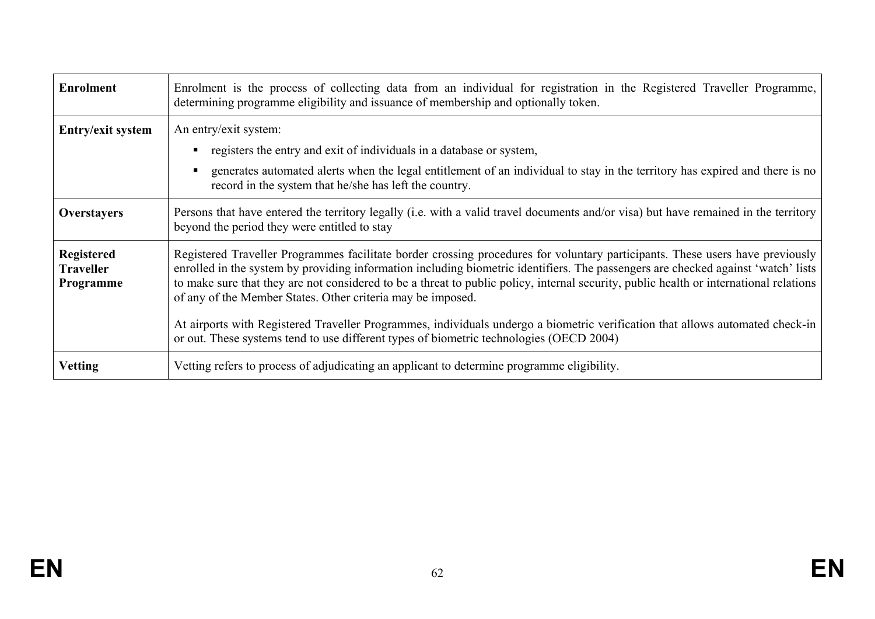| <b>Enrolment</b>                                   | Enrolment is the process of collecting data from an individual for registration in the Registered Traveller Programme,<br>determining programme eligibility and issuance of membership and optionally token.                                                                                                                                                                                                                                                                                                                                                                                                 |
|----------------------------------------------------|--------------------------------------------------------------------------------------------------------------------------------------------------------------------------------------------------------------------------------------------------------------------------------------------------------------------------------------------------------------------------------------------------------------------------------------------------------------------------------------------------------------------------------------------------------------------------------------------------------------|
| Entry/exit system                                  | An entry/exit system:<br>registers the entry and exit of individuals in a database or system,<br>generates automated alerts when the legal entitlement of an individual to stay in the territory has expired and there is no                                                                                                                                                                                                                                                                                                                                                                                 |
| Overstayers                                        | record in the system that he/she has left the country.<br>Persons that have entered the territory legally (i.e. with a valid travel documents and/or visa) but have remained in the territory<br>beyond the period they were entitled to stay                                                                                                                                                                                                                                                                                                                                                                |
| <b>Registered</b><br><b>Traveller</b><br>Programme | Registered Traveller Programmes facilitate border crossing procedures for voluntary participants. These users have previously<br>enrolled in the system by providing information including biometric identifiers. The passengers are checked against 'watch' lists<br>to make sure that they are not considered to be a threat to public policy, internal security, public health or international relations<br>of any of the Member States. Other criteria may be imposed.<br>At airports with Registered Traveller Programmes, individuals undergo a biometric verification that allows automated check-in |
|                                                    | or out. These systems tend to use different types of biometric technologies (OECD 2004)                                                                                                                                                                                                                                                                                                                                                                                                                                                                                                                      |
| <b>Vetting</b>                                     | Vetting refers to process of adjudicating an applicant to determine programme eligibility.                                                                                                                                                                                                                                                                                                                                                                                                                                                                                                                   |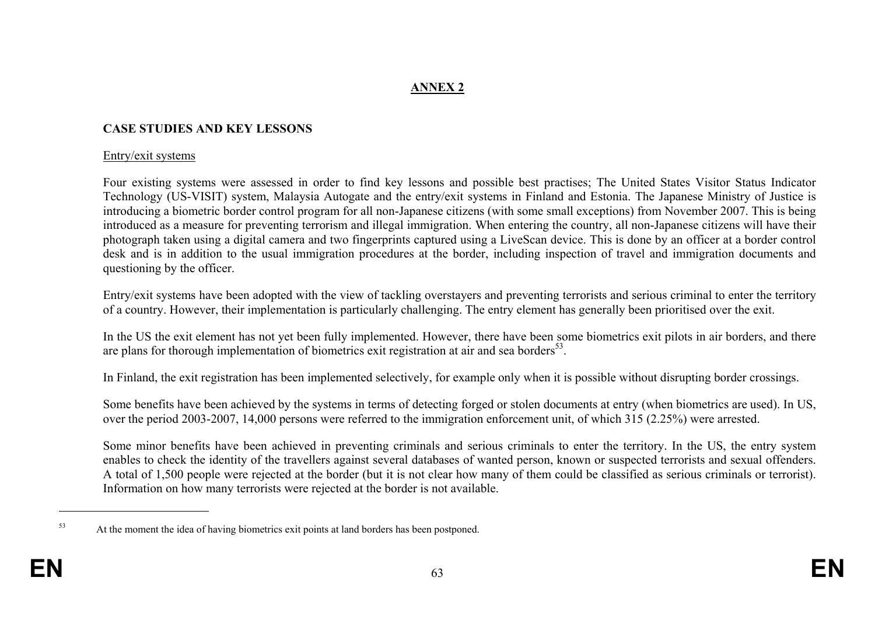# **ANNEX 2**

#### **CASE STUDIES AND KEY LESSONS**

#### Entry/exit systems

Four existing systems were assessed in order to find key lessons and possible best practises; The United States Visitor Status Indicator Technology (US-VISIT) system, Malaysia Autogate and the entry/exit systems in Finland and Estonia. The Japanese Ministry of Justice is introducing a biometric border control program for all non-Japanese citizens (with some small exceptions) from November 2007. This is being introduced as a measure for preventing terrorism and illegal immigration. When entering the country, all non-Japanese citizens will have their photograph taken using a digital camera and two fingerprints captured using a LiveScan device. This is done by an officer at a border control desk and is in addition to the usual immigration procedures at the border, including inspection of travel and immigration documents and questioning by the officer.

Entry/exit systems have been adopted with the view of tackling overstayers and preventing terrorists and serious criminal to enter the territory of a country. However, their implementation is particularly challenging. The entry element has generally been prioritised over the exit.

In the US the exit element has not yet been fully implemented. However, there have been some biometrics exit pilots in air borders, and there are plans for thorough implementation of biometrics exit registration at air and sea borders<sup>53</sup>.

In Finland, the exit registration has been implemented selectively, for example only when it is possible without disrupting border crossings.

Some benefits have been achieved by the systems in terms of detecting forged or stolen documents at entry (when biometrics are used). In US, over the period 2003-2007, 14,000 persons were referred to the immigration enforcement unit, of which 315 (2.25%) were arrested.

Some minor benefits have been achieved in preventing criminals and serious criminals to enter the territory. In the US, the entry system enables to check the identity of the travellers against several databases of wanted person, known or suspected terrorists and sexual offenders. A total of 1,500 people were rejected at the border (but it is not clear how many of them could be classified as serious criminals or terrorist). Information on how many terrorists were rejected at the border is not available.

<sup>&</sup>lt;sup>53</sup> At the moment the idea of having biometrics exit points at land borders has been postponed.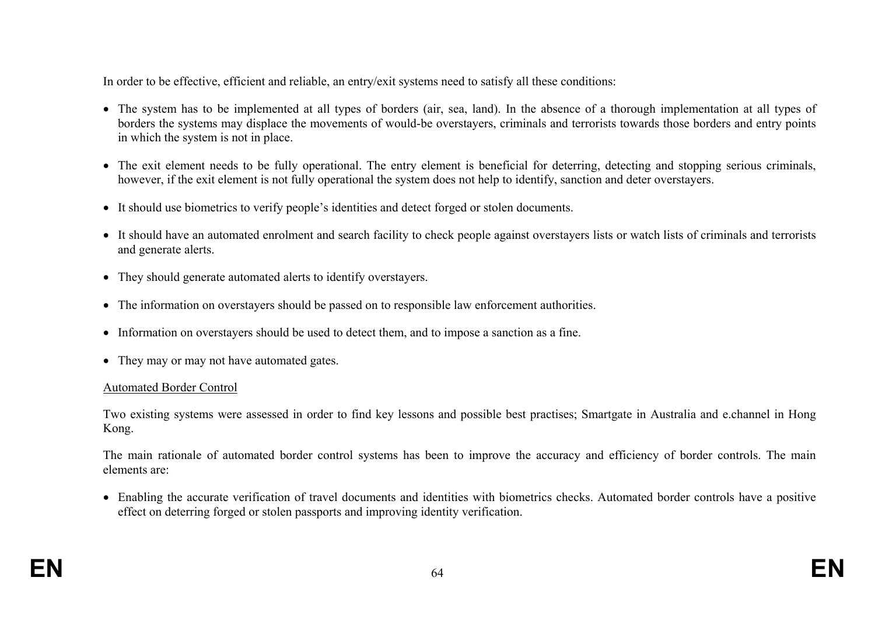In order to be effective, efficient and reliable, an entry/exit systems need to satisfy all these conditions:

- The system has to be implemented at all types of borders (air, sea, land). In the absence of a thorough implementation at all types of borders the systems may displace the movements of would-be overstayers, criminals and terrorists towards those borders and entry points in which the system is not in place.
- The exit element needs to be fully operational. The entry element is beneficial for deterring, detecting and stopping serious criminals, however, if the exit element is not fully operational the system does not help to identify, sanction and deter overstayers.
- It should use biometrics to verify people's identities and detect forged or stolen documents.
- It should have an automated enrolment and search facility to check people against overstayers lists or watch lists of criminals and terrorists and generate alerts.
- They should generate automated alerts to identify overstayers.
- The information on overstayers should be passed on to responsible law enforcement authorities.
- Information on overstayers should be used to detect them, and to impose a sanction as a fine.
- They may or may not have automated gates.

#### Automated Border Control

Two existing systems were assessed in order to find key lessons and possible best practises; Smartgate in Australia and e.channel in Hong Kong.

The main rationale of automated border control systems has been to improve the accuracy and efficiency of border controls. The main elements are:

• Enabling the accurate verification of travel documents and identities with biometrics checks. Automated border controls have a positive effect on deterring forged or stolen passports and improving identity verification.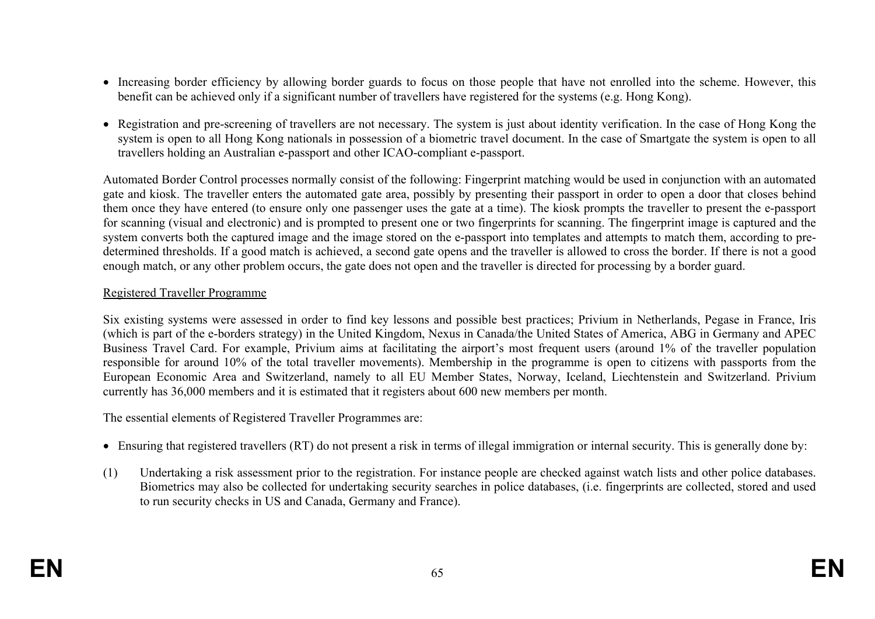- Increasing border efficiency by allowing border guards to focus on those people that have not enrolled into the scheme. However, this benefit can be achieved only if a significant number of travellers have registered for the systems (e.g. Hong Kong).
- Registration and pre-screening of travellers are not necessary. The system is just about identity verification. In the case of Hong Kong the system is open to all Hong Kong nationals in possession of a biometric travel document. In the case of Smartgate the system is open to all travellers holding an Australian e-passport and other ICAO-compliant e-passport.

Automated Border Control processes normally consist of the following: Fingerprint matching would be used in conjunction with an automated gate and kiosk. The traveller enters the automated gate area, possibly by presenting their passport in order to open a door that closes behind them once they have entered (to ensure only one passenger uses the gate at a time). The kiosk prompts the traveller to present the e-passport for scanning (visual and electronic) and is prompted to present one or two fingerprints for scanning. The fingerprint image is captured and the system converts both the captured image and the image stored on the e-passport into templates and attempts to match them, according to predetermined thresholds. If a good match is achieved, a second gate opens and the traveller is allowed to cross the border. If there is not a good enough match, or any other problem occurs, the gate does not open and the traveller is directed for processing by a border guard.

#### Registered Traveller Programme

Six existing systems were assessed in order to find key lessons and possible best practices; Privium in Netherlands, Pegase in France, Iris (which is part of the e-borders strategy) in the United Kingdom, Nexus in Canada/the United States of America, ABG in Germany and APEC Business Travel Card. For example, Privium aims at facilitating the airport's most frequent users (around 1% of the traveller population responsible for around 10% of the total traveller movements). Membership in the programme is open to citizens with passports from the European Economic Area and Switzerland, namely to all EU Member States, Norway, Iceland, Liechtenstein and Switzerland. Privium currently has 36,000 members and it is estimated that it registers about 600 new members per month.

The essential elements of Registered Traveller Programmes are:

- Ensuring that registered travellers (RT) do not present a risk in terms of illegal immigration or internal security. This is generally done by:
- (1) Undertaking a risk assessment prior to the registration. For instance people are checked against watch lists and other police databases. Biometrics may also be collected for undertaking security searches in police databases, (i.e. fingerprints are collected, stored and used to run security checks in US and Canada, Germany and France).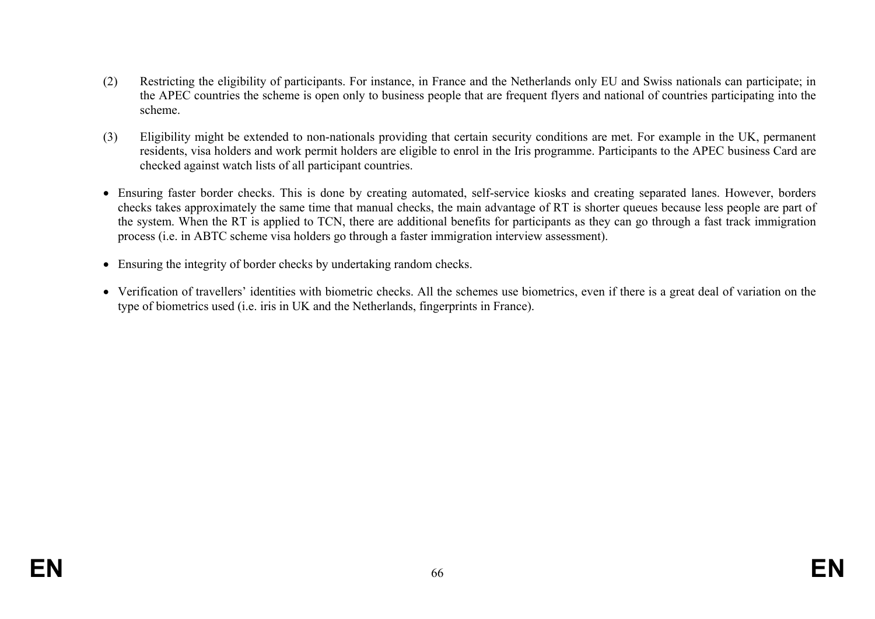- (2) Restricting the eligibility of participants. For instance, in France and the Netherlands only EU and Swiss nationals can participate; in the APEC countries the scheme is open only to business people that are frequent flyers and national of countries participating into the scheme.
- (3) Eligibility might be extended to non-nationals providing that certain security conditions are met. For example in the UK, permanent residents, visa holders and work permit holders are eligible to enrol in the Iris programme. Participants to the APEC business Card are checked against watch lists of all participant countries.
- Ensuring faster border checks. This is done by creating automated, self-service kiosks and creating separated lanes. However, borders checks takes approximately the same time that manual checks, the main advantage of RT is shorter queues because less people are part of the system. When the RT is applied to TCN, there are additional benefits for participants as they can go through a fast track immigration process (i.e. in ABTC scheme visa holders go through a faster immigration interview assessment).
- Ensuring the integrity of border checks by undertaking random checks.
- Verification of travellers' identities with biometric checks. All the schemes use biometrics, even if there is a great deal of variation on the type of biometrics used (i.e. iris in UK and the Netherlands, fingerprints in France).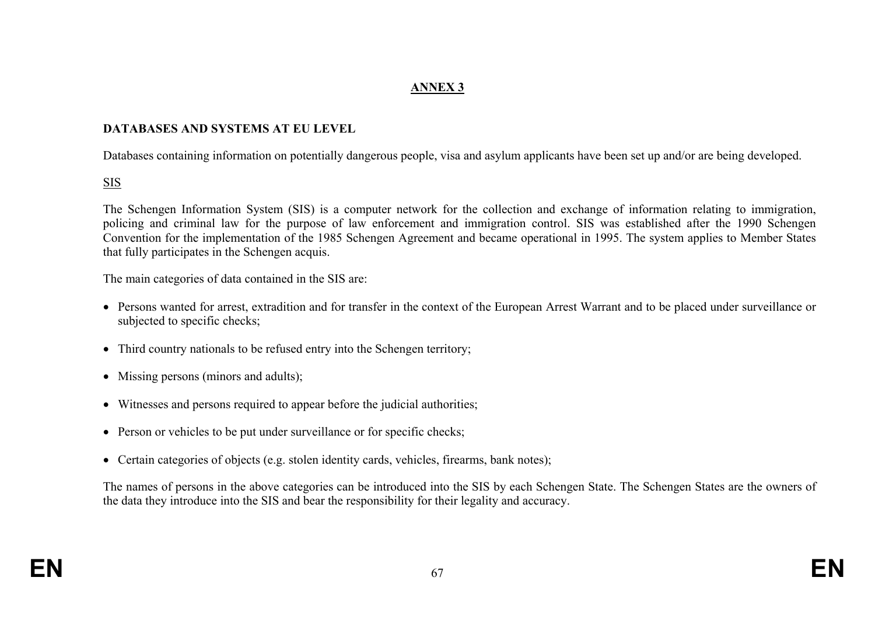# **ANNEX 3**

#### **DATABASES AND SYSTEMS AT EU LEVEL**

Databases containing information on potentially dangerous people, visa and asylum applicants have been set up and/or are being developed.

## SIS

The Schengen Information System (SIS) is a computer network for the collection and exchange of information relating to immigration, policing and criminal law for the purpose of law enforcement and immigration control. SIS was established after the 1990 Schengen Convention for the implementation of the 1985 Schengen Agreement and became operational in 1995. The system applies to Member States that fully participates in the Schengen acquis.

The main categories of data contained in the SIS are:

- Persons wanted for arrest, extradition and for transfer in the context of the European Arrest Warrant and to be placed under surveillance or subjected to specific checks;
- Third country nationals to be refused entry into the Schengen territory;
- Missing persons (minors and adults);
- Witnesses and persons required to appear before the judicial authorities;
- Person or vehicles to be put under surveillance or for specific checks;
- Certain categories of objects (e.g. stolen identity cards, vehicles, firearms, bank notes);

The names of persons in the above categories can be introduced into the SIS by each Schengen State. The Schengen States are the owners of the data they introduce into the SIS and bear the responsibility for their legality and accuracy.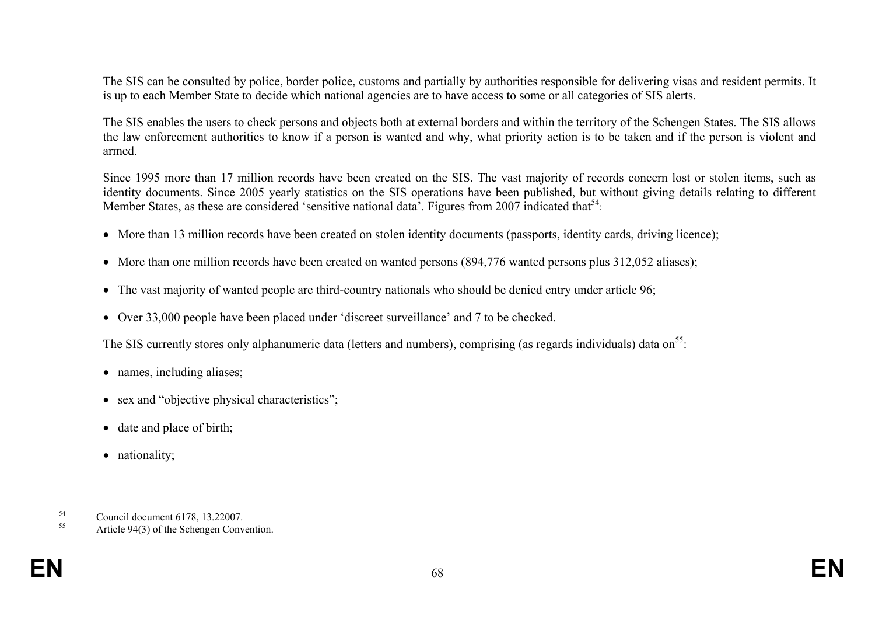The SIS can be consulted by police, border police, customs and partially by authorities responsible for delivering visas and resident permits. It is up to each Member State to decide which national agencies are to have access to some or all categories of SIS alerts.

The SIS enables the users to check persons and objects both at external borders and within the territory of the Schengen States. The SIS allows the law enforcement authorities to know if a person is wanted and why, what priority action is to be taken and if the person is violent and armed.

Since 1995 more than 17 million records have been created on the SIS. The vast majority of records concern lost or stolen items, such as identity documents. Since 2005 yearly statistics on the SIS operations have been published, but without giving details relating to different Member States, as these are considered 'sensitive national data'. Figures from 2007 indicated that<sup>54</sup>:

- More than 13 million records have been created on stolen identity documents (passports, identity cards, driving licence);
- More than one million records have been created on wanted persons (894,776 wanted persons plus 312,052 aliases);
- The vast majority of wanted people are third-country nationals who should be denied entry under article 96;
- Over 33,000 people have been placed under 'discreet surveillance' and 7 to be checked.

The SIS currently stores only alphanumeric data (letters and numbers), comprising (as regards individuals) data on  $55$ .

- names, including aliases;
- sex and "objective physical characteristics";
- date and place of birth;
- nationality;

 $^{54}$  Council document 6178, 13.22007.

Article 94(3) of the Schengen Convention.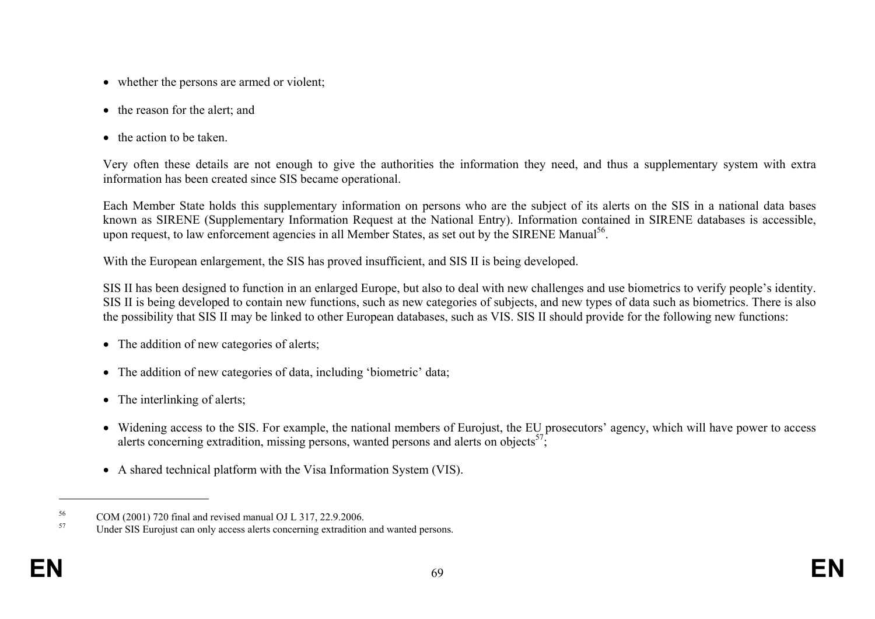- whether the persons are armed or violent;
- the reason for the alert; and
- the action to be taken.

Very often these details are not enough to give the authorities the information they need, and thus a supplementary system with extra information has been created since SIS became operational.

Each Member State holds this supplementary information on persons who are the subject of its alerts on the SIS in a national data bases known as SIRENE (Supplementary Information Request at the National Entry). Information contained in SIRENE databases is accessible, upon request, to law enforcement agencies in all Member States, as set out by the SIRENE Manual<sup>56</sup>.

With the European enlargement, the SIS has proved insufficient, and SIS II is being developed.

SIS II has been designed to function in an enlarged Europe, but also to deal with new challenges and use biometrics to verify people's identity. SIS II is being developed to contain new functions, such as new categories of subjects, and new types of data such as biometrics. There is also the possibility that SIS II may be linked to other European databases, such as VIS. SIS II should provide for the following new functions:

- The addition of new categories of alerts;
- The addition of new categories of data, including 'biometric' data;
- The interlinking of alerts;
- Widening access to the SIS. For example, the national members of Eurojust, the EU prosecutors' agency, which will have power to access alerts concerning extradition, missing persons, wanted persons and alerts on objects<sup>57</sup>;
- A shared technical platform with the Visa Information System (VIS).

 $^{56}$  COM (2001) 720 final and revised manual OJ L 317, 22.9.2006.

Under SIS Eurojust can only access alerts concerning extradition and wanted persons.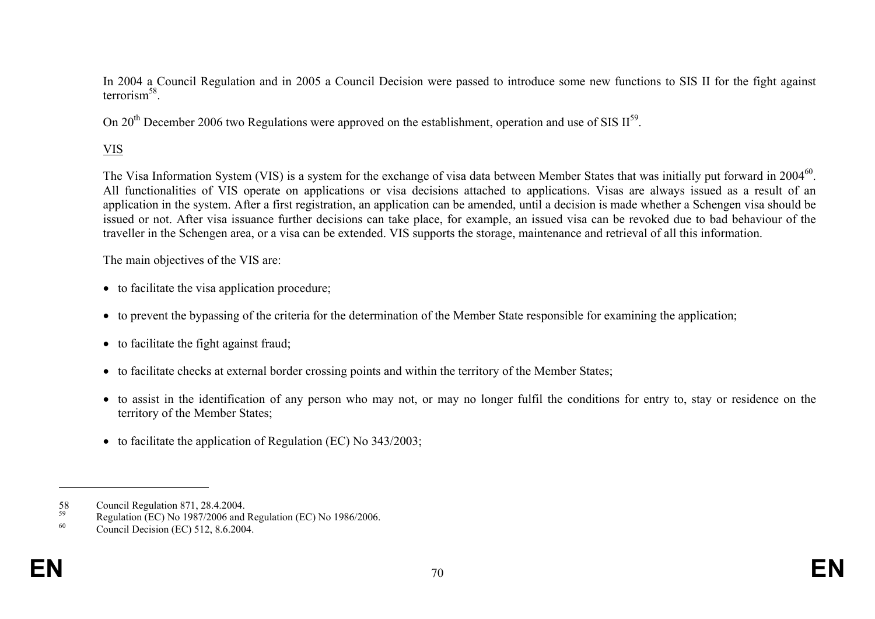In 2004 a Council Regulation and in 2005 a Council Decision were passed to introduce some new functions to SIS II for the fight against terrorism<sup>58</sup>

On 20<sup>th</sup> December 2006 two Regulations were approved on the establishment, operation and use of SIS  $II^{59}$ .

# VIS

The Visa Information System (VIS) is a system for the exchange of visa data between Member States that was initially put forward in 2004<sup>60</sup>. All functionalities of VIS operate on applications or visa decisions attached to applications. Visas are always issued as a result of an application in the system. After a first registration, an application can be amended, until a decision is made whether a Schengen visa should be issued or not. After visa issuance further decisions can take place, for example, an issued visa can be revoked due to bad behaviour of the traveller in the Schengen area, or a visa can be extended. VIS supports the storage, maintenance and retrieval of all this information.

The main objectives of the VIS are:

- to facilitate the visa application procedure;
- to prevent the bypassing of the criteria for the determination of the Member State responsible for examining the application;
- to facilitate the fight against fraud;
- to facilitate checks at external border crossing points and within the territory of the Member States;
- to assist in the identification of any person who may not, or may no longer fulfil the conditions for entry to, stay or residence on the territory of the Member States;
- to facilitate the application of Regulation (EC) No 343/2003;

<sup>58</sup> Council Regulation 871, 28.4.2004.<br>
Regulation (EC) No. 1087/2006 and

<sup>&</sup>lt;sup>59</sup><br>Regulation (EC) No 1987/2006 and Regulation (EC) No 1986/2006.<br>Council Davision (EC) 513, 8 6,3004

Council Decision (EC) 512, 8.6.2004.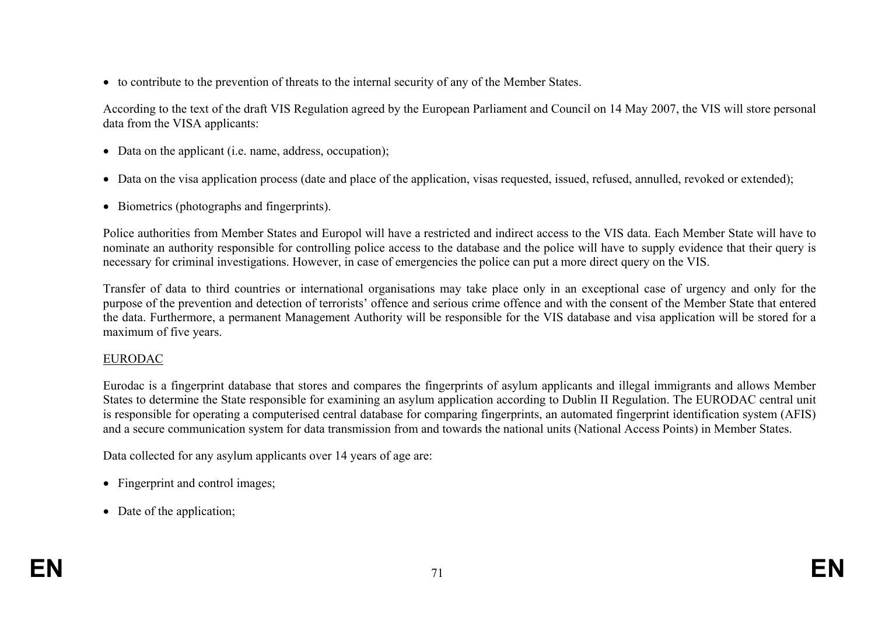• to contribute to the prevention of threats to the internal security of any of the Member States.

According to the text of the draft VIS Regulation agreed by the European Parliament and Council on 14 May 2007, the VIS will store personal data from the VISA applicants:

- Data on the applicant (i.e. name, address, occupation);
- Data on the visa application process (date and place of the application, visas requested, issued, refused, annulled, revoked or extended);
- Biometrics (photographs and fingerprints).

Police authorities from Member States and Europol will have a restricted and indirect access to the VIS data. Each Member State will have to nominate an authority responsible for controlling police access to the database and the police will have to supply evidence that their query is necessary for criminal investigations. However, in case of emergencies the police can put a more direct query on the VIS.

Transfer of data to third countries or international organisations may take place only in an exceptional case of urgency and only for the purpose of the prevention and detection of terrorists' offence and serious crime offence and with the consent of the Member State that entered the data. Furthermore, a permanent Management Authority will be responsible for the VIS database and visa application will be stored for a maximum of five years.

#### EURODAC

Eurodac is a fingerprint database that stores and compares the fingerprints of asylum applicants and illegal immigrants and allows Member States to determine the State responsible for examining an asylum application according to Dublin II Regulation. The EURODAC central unit is responsible for operating a computerised central database for comparing fingerprints, an automated fingerprint identification system (AFIS) and a secure communication system for data transmission from and towards the national units (National Access Points) in Member States.

Data collected for any asylum applicants over 14 years of age are:

- Fingerprint and control images;
- Date of the application;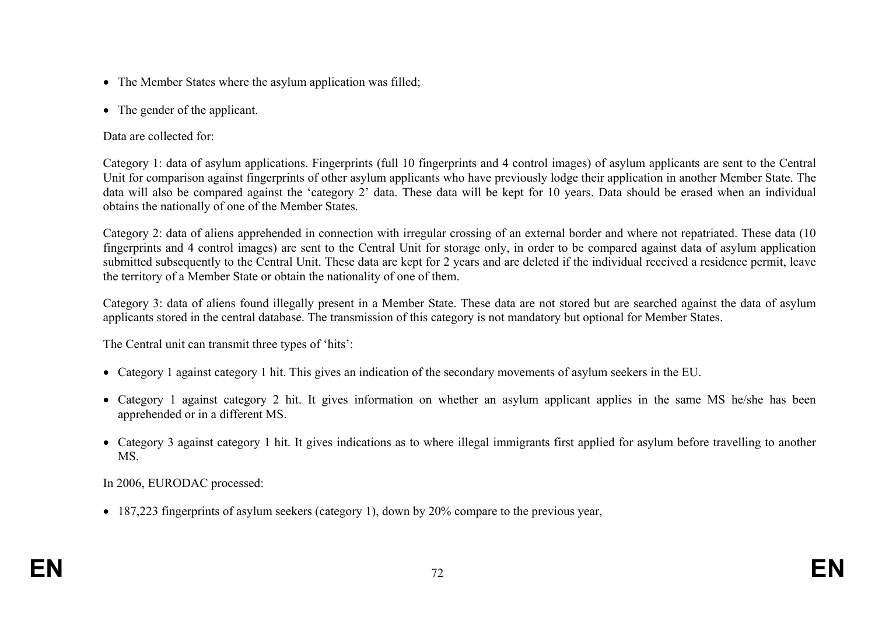- The Member States where the asylum application was filled;
- The gender of the applicant.

Data are collected for:

Category 1: data of asylum applications. Fingerprints (full 10 fingerprints and 4 control images) of asylum applicants are sent to the Central Unit for comparison against fingerprints of other asylum applicants who have previously lodge their application in another Member State. The data will also be compared against the 'category 2' data. These data will be kept for 10 years. Data should be erased when an individual obtains the nationally of one of the Member States.

Category 2: data of aliens apprehended in connection with irregular crossing of an external border and where not repatriated. These data (10 fingerprints and 4 control images) are sent to the Central Unit for storage only, in order to be compared against data of asylum application submitted subsequently to the Central Unit. These data are kept for 2 years and are deleted if the individual received a residence permit, leave the territory of a Member State or obtain the nationality of one of them.

Category 3: data of aliens found illegally present in a Member State. These data are not stored but are searched against the data of asylum applicants stored in the central database. The transmission of this category is not mandatory but optional for Member States.

The Central unit can transmit three types of 'hits':

- Category 1 against category 1 hit. This gives an indication of the secondary movements of asylum seekers in the EU.
- Category 1 against category 2 hit. It gives information on whether an asylum applicant applies in the same MS he/she has been apprehended or in a different MS.
- Category 3 against category 1 hit. It gives indications as to where illegal immigrants first applied for asylum before travelling to another MS.

In 2006, EURODAC processed:

• 187,223 fingerprints of asylum seekers (category 1), down by 20% compare to the previous year,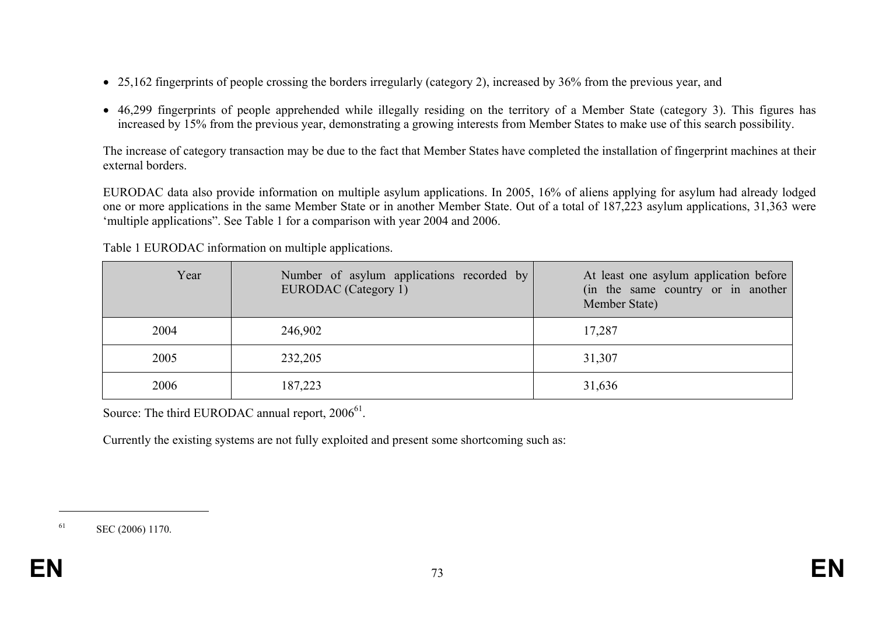- 25,162 fingerprints of people crossing the borders irregularly (category 2), increased by 36% from the previous year, and
- 46,299 fingerprints of people apprehended while illegally residing on the territory of a Member State (category 3). This figures has increased by 15% from the previous year, demonstrating a growing interests from Member States to make use of this search possibility.

The increase of category transaction may be due to the fact that Member States have completed the installation of fingerprint machines at their external borders.

EURODAC data also provide information on multiple asylum applications. In 2005, 16% of aliens applying for asylum had already lodged one or more applications in the same Member State or in another Member State. Out of a total of 187,223 asylum applications, 31,363 were 'multiple applications". See Table 1 for a comparison with year 2004 and 2006.

| Year | Number of asylum applications recorded by<br>EURODAC (Category 1) | At least one asylum application before<br>(in the same country or in another<br>Member State) |
|------|-------------------------------------------------------------------|-----------------------------------------------------------------------------------------------|
| 2004 | 246,902                                                           | 17,287                                                                                        |
| 2005 | 232,205                                                           | 31,307                                                                                        |
| 2006 | 187,223                                                           | 31,636                                                                                        |

Table 1 EURODAC information on multiple applications.

Source: The third EURODAC annual report,  $2006^{61}$ .

Currently the existing systems are not fully exploited and present some shortcoming such as:

<sup>61</sup> SEC (2006) 1170.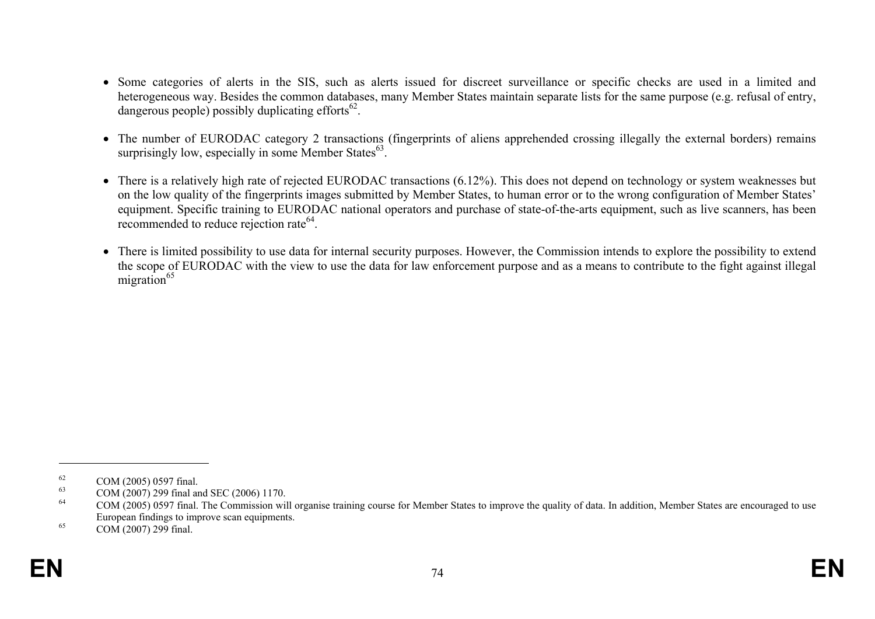- Some categories of alerts in the SIS, such as alerts issued for discreet surveillance or specific checks are used in a limited and heterogeneous way. Besides the common databases, many Member States maintain separate lists for the same purpose (e.g. refusal of entry, dangerous people) possibly duplicating efforts $^{62}$ .
- The number of EURODAC category 2 transactions (fingerprints of aliens apprehended crossing illegally the external borders) remains surprisingly low, especially in some Member States $^{63}$ .
- There is a relatively high rate of rejected EURODAC transactions (6.12%). This does not depend on technology or system weaknesses but on the low quality of the fingerprints images submitted by Member States, to human error or to the wrong configuration of Member States' equipment. Specific training to EURODAC national operators and purchase of state-of-the-arts equipment, such as live scanners, has been recommended to reduce rejection rate<sup>64</sup>.
- There is limited possibility to use data for internal security purposes. However, the Commission intends to explore the possibility to extend the scope of EURODAC with the view to use the data for law enforcement purpose and as a means to contribute to the fight against illegal migration $^{65}$

<sup>&</sup>lt;sup>62</sup> COM (2005) 0597 final.

<sup>&</sup>lt;sup>63</sup> COM (2007) 299 final and SEC (2006) 1170.<br><sup>64</sup> COM (2005) 0507 final The Commission wi

COM (2005) 0597 final. The Commission will organise training course for Member States to improve the quality of data. In addition, Member States are encouraged to use European findings to improve scan equipments.

 $65$  COM (2007) 299 final.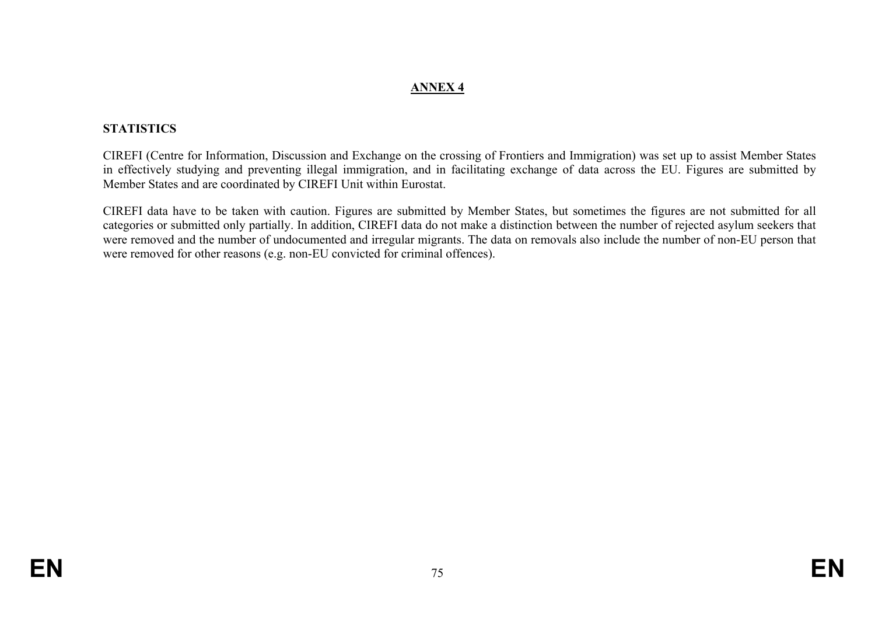### **ANNEX 4**

## **STATISTICS**

CIREFI (Centre for Information, Discussion and Exchange on the crossing of Frontiers and Immigration) was set up to assist Member States in effectively studying and preventing illegal immigration, and in facilitating exchange of data across the EU. Figures are submitted by Member States and are coordinated by CIREFI Unit within Eurostat.

CIREFI data have to be taken with caution. Figures are submitted by Member States, but sometimes the figures are not submitted for all categories or submitted only partially. In addition, CIREFI data do not make a distinction between the number of rejected asylum seekers that were removed and the number of undocumented and irregular migrants. The data on removals also include the number of non-EU person that were removed for other reasons (e.g. non-EU convicted for criminal offences).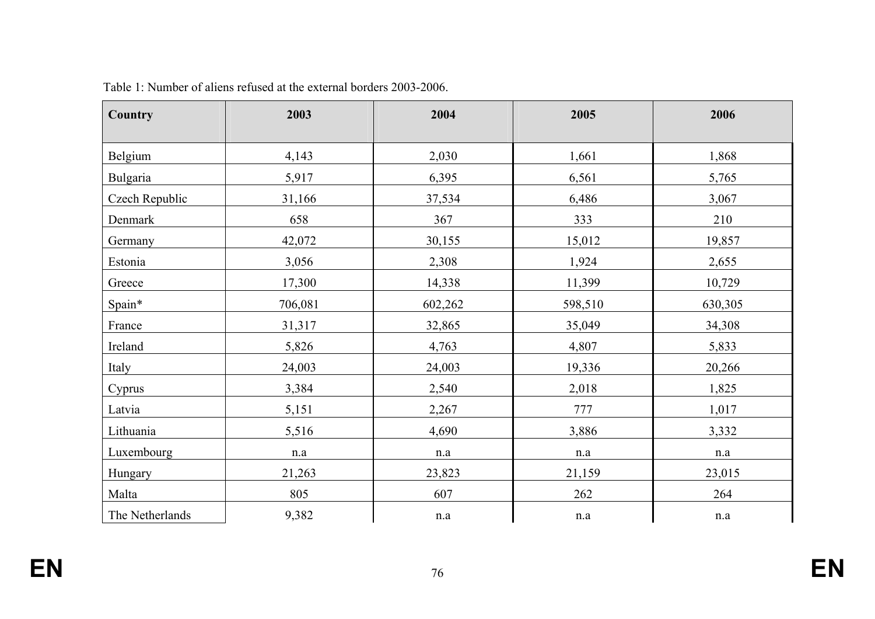| <b>Country</b>  | 2003    | 2004      | 2005      | 2006      |
|-----------------|---------|-----------|-----------|-----------|
| Belgium         | 4,143   | 2,030     | 1,661     | 1,868     |
| <b>Bulgaria</b> | 5,917   | 6,395     | 6,561     | 5,765     |
| Czech Republic  | 31,166  | 37,534    | 6,486     | 3,067     |
| Denmark         | 658     | 367       | 333       | 210       |
| Germany         | 42,072  | 30,155    | 15,012    | 19,857    |
| Estonia         | 3,056   | 2,308     | 1,924     | 2,655     |
| Greece          | 17,300  | 14,338    | 11,399    | 10,729    |
| Spain*          | 706,081 | 602,262   | 598,510   | 630,305   |
| France          | 31,317  | 32,865    | 35,049    | 34,308    |
| Ireland         | 5,826   | 4,763     | 4,807     | 5,833     |
| Italy           | 24,003  | 24,003    | 19,336    | 20,266    |
| Cyprus          | 3,384   | 2,540     | 2,018     | 1,825     |
| Latvia          | 5,151   | 2,267     | 777       | 1,017     |
| Lithuania       | 5,516   | 4,690     | 3,886     | 3,332     |
| Luxembourg      | n.a     | $\rm n.a$ | $\rm n.a$ | $\rm n.a$ |
| Hungary         | 21,263  | 23,823    | 21,159    | 23,015    |
| Malta           | 805     | 607       | 262       | 264       |
| The Netherlands | 9,382   | n.a       | $\rm n.a$ | $\rm n.a$ |

Table 1: Number of aliens refused at the external borders 2003-2006.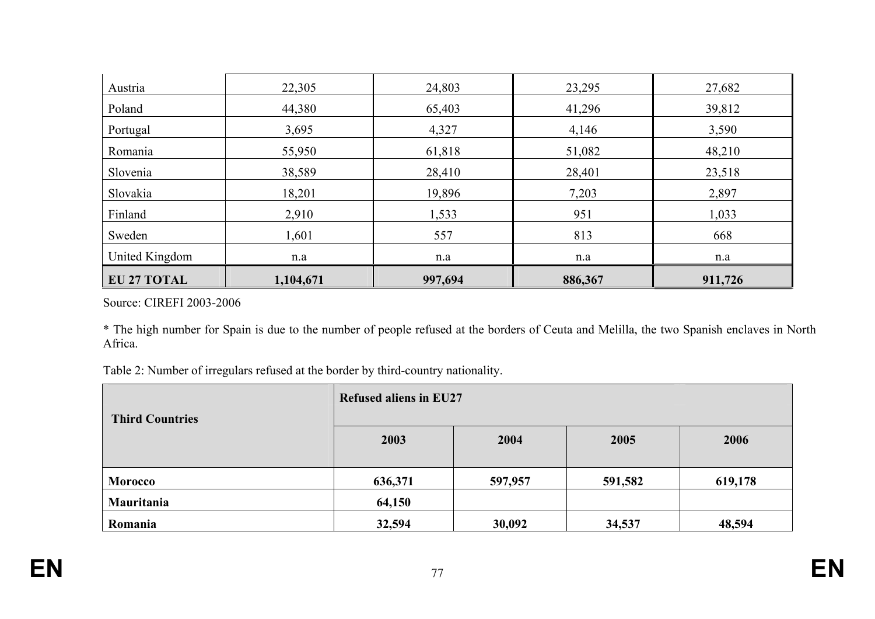| <b>EU 27 TOTAL</b> | 1,104,671 | 997,694 | 886,367 | 911,726 |
|--------------------|-----------|---------|---------|---------|
| United Kingdom     | n.a       | n.a     | n.a     | n.a     |
| Sweden             | 1,601     | 557     | 813     | 668     |
| Finland            | 2,910     | 1,533   | 951     | 1,033   |
| Slovakia           | 18,201    | 19,896  | 7,203   | 2,897   |
| Slovenia           | 38,589    | 28,410  | 28,401  | 23,518  |
| Romania            | 55,950    | 61,818  | 51,082  | 48,210  |
| Portugal           | 3,695     | 4,327   | 4,146   | 3,590   |
| Poland             | 44,380    | 65,403  | 41,296  | 39,812  |
| Austria            | 22,305    | 24,803  | 23,295  | 27,682  |

Source: CIREFI 2003-2006

\* The high number for Spain is due to the number of people refused at the borders of Ceuta and Melilla, the two Spanish enclaves in North Africa.

Table 2: Number of irregulars refused at the border by third-country nationality.

| <b>Third Countries</b> | <b>Refused aliens in EU27</b> |         |         |         |
|------------------------|-------------------------------|---------|---------|---------|
|                        | 2003                          | 2004    | 2005    | 2006    |
| <b>Morocco</b>         | 636,371                       | 597,957 | 591,582 | 619,178 |
| Mauritania             | 64,150                        |         |         |         |
| Romania                | 32,594                        | 30,092  | 34,537  | 48,594  |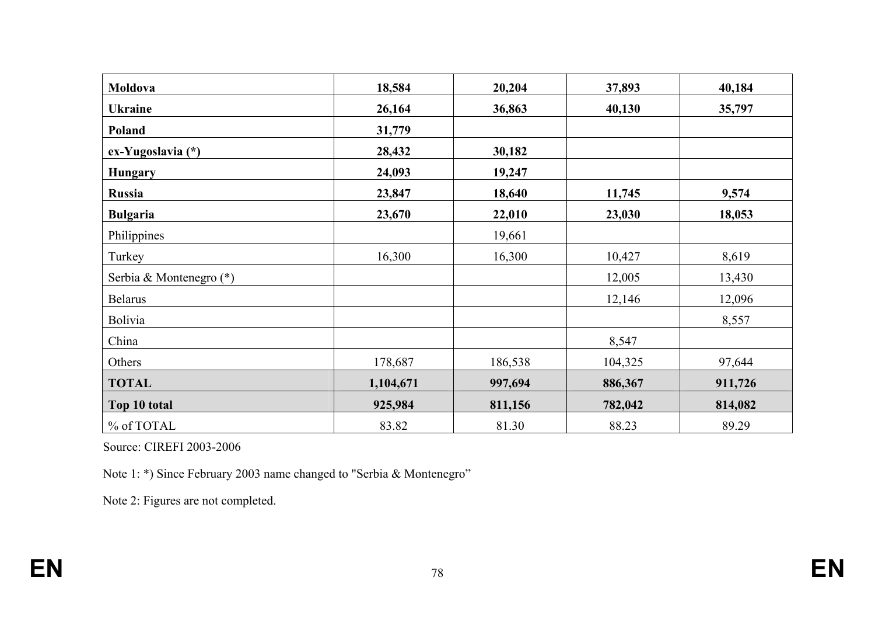| Moldova                 | 18,584    | 20,204  | 37,893  | 40,184  |
|-------------------------|-----------|---------|---------|---------|
| <b>Ukraine</b>          | 26,164    | 36,863  | 40,130  | 35,797  |
| Poland                  | 31,779    |         |         |         |
| ex-Yugoslavia (*)       | 28,432    | 30,182  |         |         |
| <b>Hungary</b>          | 24,093    | 19,247  |         |         |
| <b>Russia</b>           | 23,847    | 18,640  | 11,745  | 9,574   |
| <b>Bulgaria</b>         | 23,670    | 22,010  | 23,030  | 18,053  |
| Philippines             |           | 19,661  |         |         |
| Turkey                  | 16,300    | 16,300  | 10,427  | 8,619   |
| Serbia & Montenegro (*) |           |         | 12,005  | 13,430  |
| <b>Belarus</b>          |           |         | 12,146  | 12,096  |
| <b>Bolivia</b>          |           |         |         | 8,557   |
| China                   |           |         | 8,547   |         |
| Others                  | 178,687   | 186,538 | 104,325 | 97,644  |
| <b>TOTAL</b>            | 1,104,671 | 997,694 | 886,367 | 911,726 |
| Top 10 total            | 925,984   | 811,156 | 782,042 | 814,082 |
| % of TOTAL              | 83.82     | 81.30   | 88.23   | 89.29   |

Source: CIREFI 2003-2006

Note 1: \*) Since February 2003 name changed to "Serbia & Montenegro"

Note 2: Figures are not completed.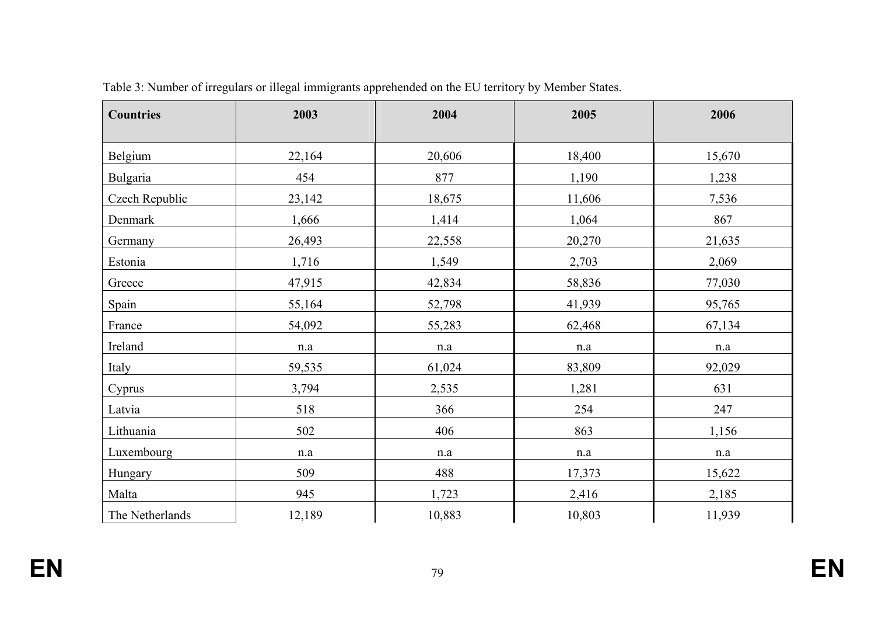| <b>Countries</b> | 2003      | 2004      | 2005      | 2006      |
|------------------|-----------|-----------|-----------|-----------|
| Belgium          | 22,164    | 20,606    | 18,400    | 15,670    |
| Bulgaria         | 454       | 877       | 1,190     | 1,238     |
| Czech Republic   | 23,142    | 18,675    | 11,606    | 7,536     |
| Denmark          | 1,666     | 1,414     | 1,064     | 867       |
| Germany          | 26,493    | 22,558    | 20,270    | 21,635    |
| Estonia          | 1,716     | 1,549     | 2,703     | 2,069     |
| Greece           | 47,915    | 42,834    | 58,836    | 77,030    |
| Spain            | 55,164    | 52,798    | 41,939    | 95,765    |
| France           | 54,092    | 55,283    | 62,468    | 67,134    |
| Ireland          | $\rm n.a$ | $\rm n.a$ | n.a       | $\rm n.a$ |
| Italy            | 59,535    | 61,024    | 83,809    | 92,029    |
| Cyprus           | 3,794     | 2,535     | 1,281     | 631       |
| Latvia           | 518       | 366       | 254       | 247       |
| Lithuania        | 502       | 406       | 863       | 1,156     |
| Luxembourg       | n.a       | n.a       | $\rm n.a$ | $\rm n.a$ |
| Hungary          | 509       | 488       | 17,373    | 15,622    |
| Malta            | 945       | 1,723     | 2,416     | 2,185     |
| The Netherlands  | 12,189    | 10,883    | 10,803    | 11,939    |

Table 3: Number of irregulars or illegal immigrants apprehended on the EU territory by Member States.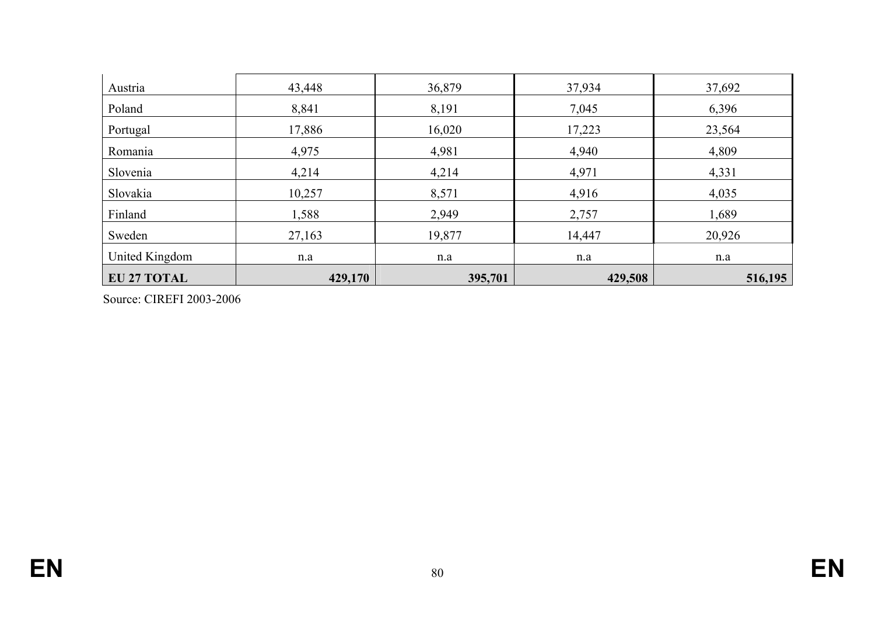| Austria            | 43,448  | 36,879  | 37,934  | 37,692  |
|--------------------|---------|---------|---------|---------|
| Poland             | 8,841   | 8,191   | 7,045   | 6,396   |
| Portugal           | 17,886  | 16,020  | 17,223  | 23,564  |
| Romania            | 4,975   | 4,981   | 4,940   | 4,809   |
| Slovenia           | 4,214   | 4,214   | 4,971   | 4,331   |
| Slovakia           | 10,257  | 8,571   | 4,916   | 4,035   |
| Finland            | 1,588   | 2,949   | 2,757   | 1,689   |
| Sweden             | 27,163  | 19,877  | 14,447  | 20,926  |
| United Kingdom     | n.a     | n.a     | n.a     | n.a     |
| <b>EU 27 TOTAL</b> | 429,170 | 395,701 | 429,508 | 516,195 |

Source: CIREFI 2003-2006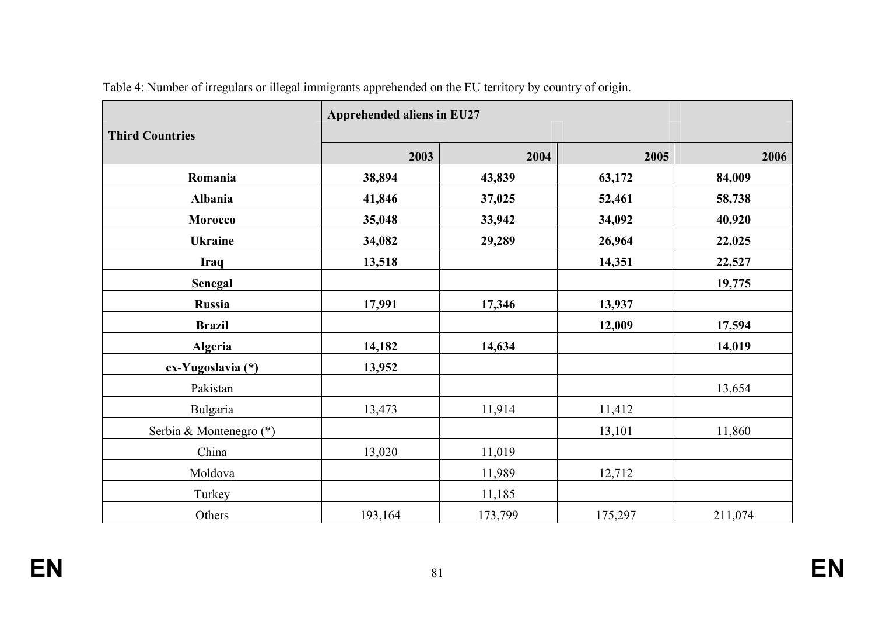| <b>Third Countries</b>  | Apprehended aliens in EU27 |         |         |         |  |
|-------------------------|----------------------------|---------|---------|---------|--|
|                         | 2003                       | 2004    | 2005    | 2006    |  |
| Romania                 | 38,894                     | 43,839  | 63,172  | 84,009  |  |
| Albania                 | 41,846                     | 37,025  | 52,461  | 58,738  |  |
| Morocco                 | 35,048                     | 33,942  | 34,092  | 40,920  |  |
| <b>Ukraine</b>          | 34,082                     | 29,289  | 26,964  | 22,025  |  |
| <b>Iraq</b>             | 13,518                     |         | 14,351  | 22,527  |  |
| <b>Senegal</b>          |                            |         |         | 19,775  |  |
| Russia                  | 17,991                     | 17,346  | 13,937  |         |  |
| <b>Brazil</b>           |                            |         | 12,009  | 17,594  |  |
| <b>Algeria</b>          | 14,182                     | 14,634  |         | 14,019  |  |
| ex-Yugoslavia (*)       | 13,952                     |         |         |         |  |
| Pakistan                |                            |         |         | 13,654  |  |
| Bulgaria                | 13,473                     | 11,914  | 11,412  |         |  |
| Serbia & Montenegro (*) |                            |         | 13,101  | 11,860  |  |
| China                   | 13,020                     | 11,019  |         |         |  |
| Moldova                 |                            | 11,989  | 12,712  |         |  |
| Turkey                  |                            | 11,185  |         |         |  |
| Others                  | 193,164                    | 173,799 | 175,297 | 211,074 |  |

Table 4: Number of irregulars or illegal immigrants apprehended on the EU territory by country of origin.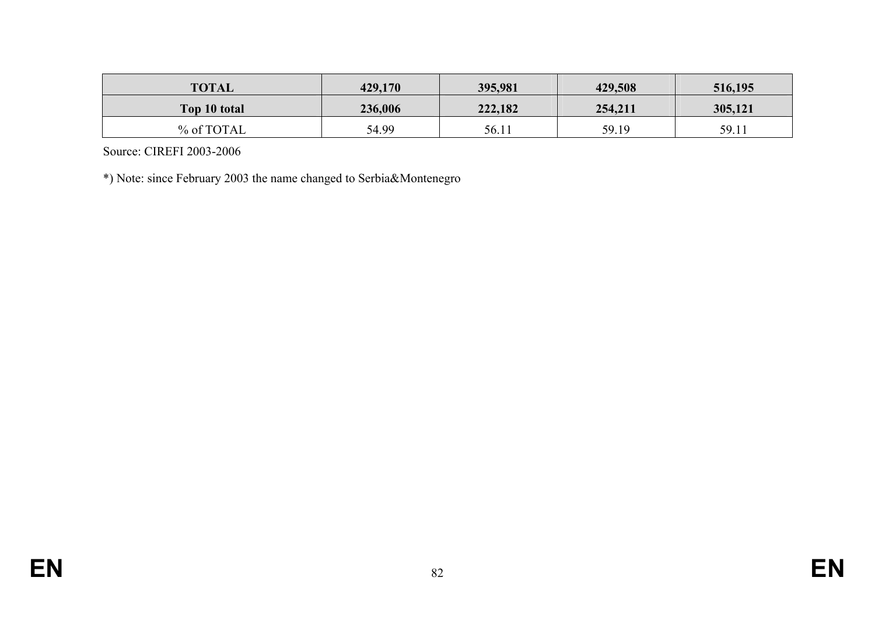| <b>TOTAL</b> | 429,170 | 395,981 | 429,508 | 516,195 |
|--------------|---------|---------|---------|---------|
| Top 10 total | 236,006 | 222,182 | 254,211 | 305,121 |
| % of TOTAL   | 54.99   | 56.11   | 59.19   | 59.11   |

Source: CIREFI 2003-2006

\*) Note: since February 2003 the name changed to Serbia&Montenegro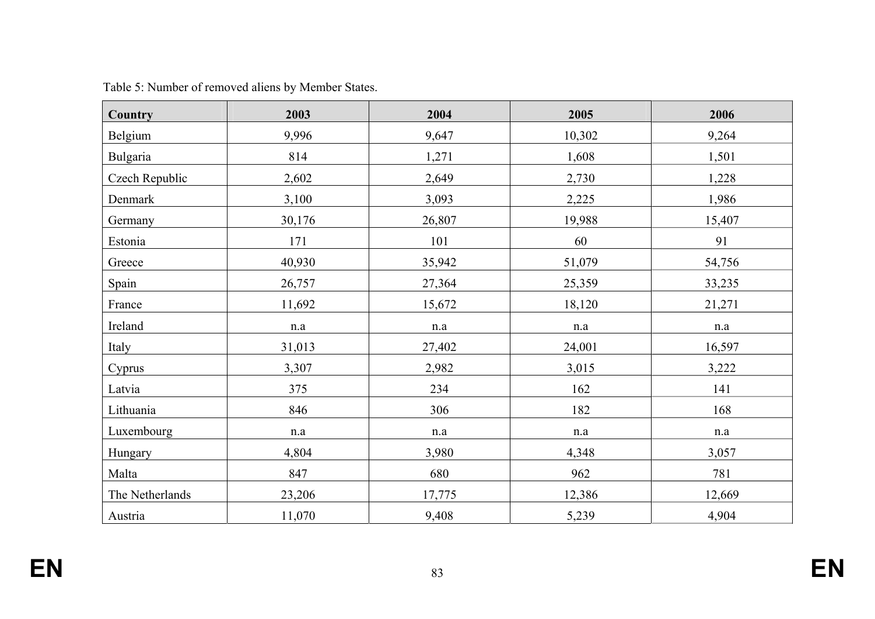| <b>Country</b>  | 2003      | 2004      | 2005      | 2006   |
|-----------------|-----------|-----------|-----------|--------|
| Belgium         | 9,996     | 9,647     | 10,302    | 9,264  |
| Bulgaria        | 814       | 1,271     | 1,608     | 1,501  |
| Czech Republic  | 2,602     | 2,649     | 2,730     | 1,228  |
| Denmark         | 3,100     | 3,093     | 2,225     | 1,986  |
| Germany         | 30,176    | 26,807    | 19,988    | 15,407 |
| Estonia         | 171       | 101       | 60        | 91     |
| Greece          | 40,930    | 35,942    | 51,079    | 54,756 |
| Spain           | 26,757    | 27,364    | 25,359    | 33,235 |
| France          | 11,692    | 15,672    | 18,120    | 21,271 |
| Ireland         | $\rm n.a$ | $\rm n.a$ | $\rm n.a$ | n.a    |
| Italy           | 31,013    | 27,402    | 24,001    | 16,597 |
| Cyprus          | 3,307     | 2,982     | 3,015     | 3,222  |
| Latvia          | 375       | 234       | 162       | 141    |
| Lithuania       | 846       | 306       | 182       | 168    |
| Luxembourg      | n.a       | n.a       | n.a       | n.a    |
| Hungary         | 4,804     | 3,980     | 4,348     | 3,057  |
| Malta           | 847       | 680       | 962       | 781    |
| The Netherlands | 23,206    | 17,775    | 12,386    | 12,669 |
| Austria         | 11,070    | 9,408     | 5,239     | 4,904  |

Table 5: Number of removed aliens by Member States.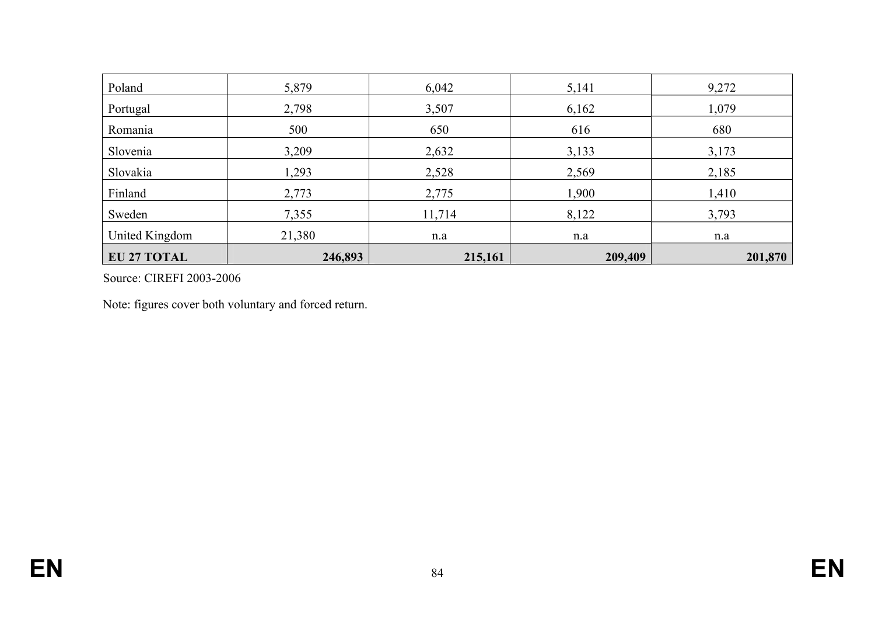| <b>EU 27 TOTAL</b> | 246,893 | 215,161 | 209,409 | 201,870 |
|--------------------|---------|---------|---------|---------|
| United Kingdom     | 21,380  | n.a     | n.a     | n.a     |
| Sweden             | 7,355   | 11,714  | 8,122   | 3,793   |
| Finland            | 2,773   | 2,775   | 1,900   | 1,410   |
| Slovakia           | 1,293   | 2,528   | 2,569   | 2,185   |
| Slovenia           | 3,209   | 2,632   | 3,133   | 3,173   |
| Romania            | 500     | 650     | 616     | 680     |
| Portugal           | 2,798   | 3,507   | 6,162   | 1,079   |
| Poland             | 5,879   | 6,042   | 5,141   | 9,272   |

Source: CIREFI 2003-2006

Note: figures cover both voluntary and forced return.

**EN**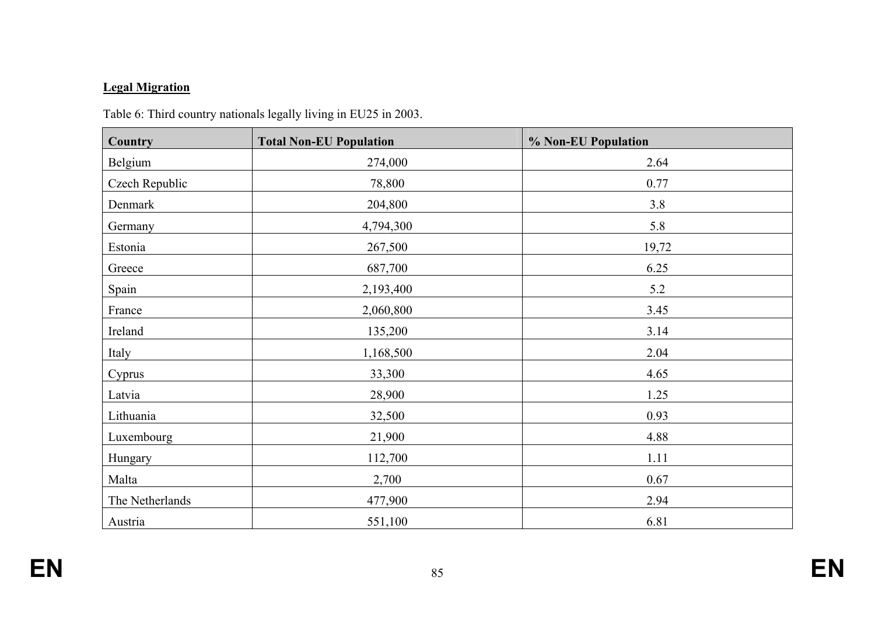# **Legal Migration**

| Country         | <b>Total Non-EU Population</b> | % Non-EU Population |
|-----------------|--------------------------------|---------------------|
| Belgium         | 274,000                        | 2.64                |
| Czech Republic  | 78,800                         | 0.77                |
| Denmark         | 204,800                        | 3.8                 |
| Germany         | 4,794,300                      | 5.8                 |
| Estonia         | 267,500                        | 19,72               |
| Greece          | 687,700                        | 6.25                |
| Spain           | 2,193,400                      | 5.2                 |
| France          | 2,060,800                      | 3.45                |
| Ireland         | 135,200                        | 3.14                |
| Italy           | 1,168,500                      | 2.04                |
| Cyprus          | 33,300                         | 4.65                |
| Latvia          | 28,900                         | 1.25                |
| Lithuania       | 32,500                         | 0.93                |
| Luxembourg      | 21,900                         | 4.88                |
| Hungary         | 112,700                        | 1.11                |
| Malta           | 2,700                          | 0.67                |
| The Netherlands | 477,900                        | 2.94                |
| Austria         | 551,100                        | 6.81                |

Table 6: Third country nationals legally living in EU25 in 2003.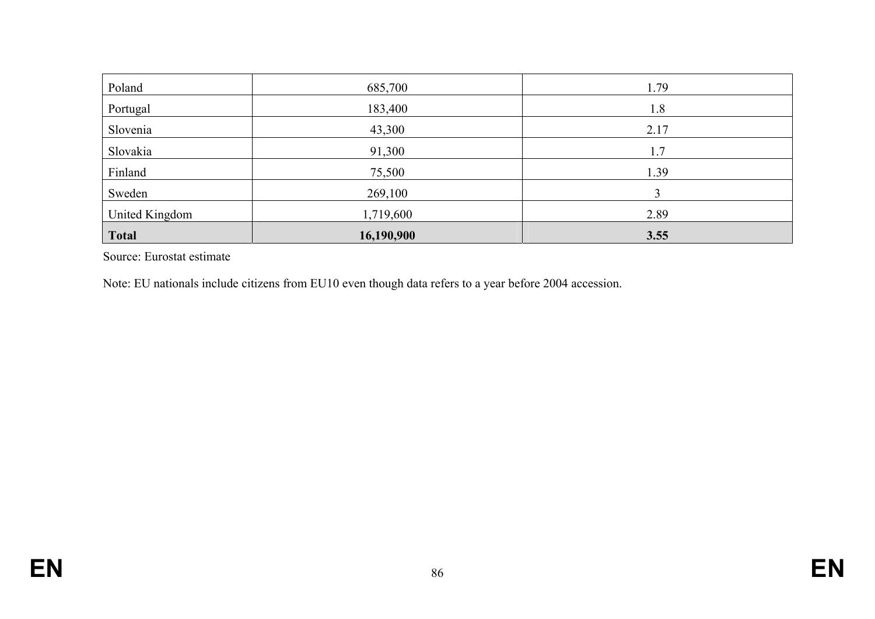| Poland         | 685,700    | 1.79 |
|----------------|------------|------|
| Portugal       | 183,400    | 1.8  |
| Slovenia       | 43,300     | 2.17 |
| Slovakia       | 91,300     | 1.7  |
| Finland        | 75,500     | 1.39 |
| Sweden         | 269,100    |      |
| United Kingdom | 1,719,600  | 2.89 |
| <b>Total</b>   | 16,190,900 | 3.55 |

Source: Eurostat estimate

Note: EU nationals include citizens from EU10 even though data refers to a year before 2004 accession.

**EN**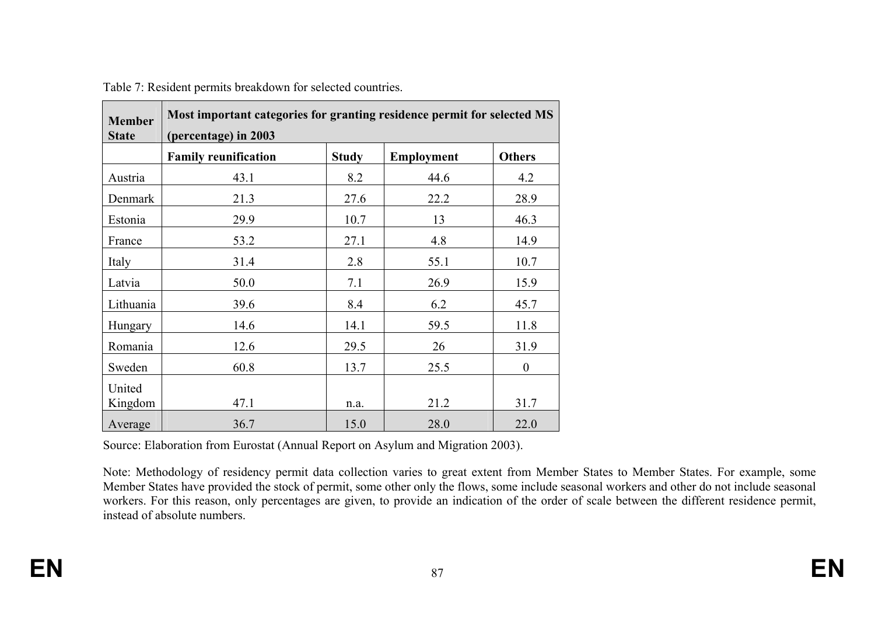| <b>Member</b><br><b>State</b> | Most important categories for granting residence permit for selected MS<br>(percentage) in 2003 |              |                   |               |  |
|-------------------------------|-------------------------------------------------------------------------------------------------|--------------|-------------------|---------------|--|
|                               | <b>Family reunification</b>                                                                     | <b>Study</b> | <b>Employment</b> | <b>Others</b> |  |
| Austria                       | 43.1                                                                                            | 8.2          | 44.6              | 4.2           |  |
| Denmark                       | 21.3                                                                                            | 27.6         | 22.2              | 28.9          |  |
| Estonia                       | 29.9                                                                                            | 10.7         | 13                | 46.3          |  |
| France                        | 53.2                                                                                            | 27.1         | 4.8               | 14.9          |  |
| Italy                         | 31.4                                                                                            | 2.8          | 55.1              | 10.7          |  |
| Latvia                        | 50.0                                                                                            | 7.1          | 26.9              | 15.9          |  |
| Lithuania                     | 39.6                                                                                            | 8.4          | 6.2               | 45.7          |  |
| Hungary                       | 14.6                                                                                            | 14.1         | 59.5              | 11.8          |  |
| Romania                       | 12.6                                                                                            | 29.5         | 26                | 31.9          |  |
| Sweden                        | 60.8                                                                                            | 13.7         | 25.5              | $\theta$      |  |
| United<br>Kingdom             | 47.1                                                                                            | n.a.         | 21.2              | 31.7          |  |
| Average                       | 36.7                                                                                            | 15.0         | 28.0              | 22.0          |  |

Table 7: Resident permits breakdown for selected countries.

Source: Elaboration from Eurostat (Annual Report on Asylum and Migration 2003).

Note: Methodology of residency permit data collection varies to great extent from Member States to Member States. For example, some Member States have provided the stock of permit, some other only the flows, some include seasonal workers and other do not include seasonal workers. For this reason, only percentages are given, to provide an indication of the order of scale between the different residence permit, instead of absolute numbers.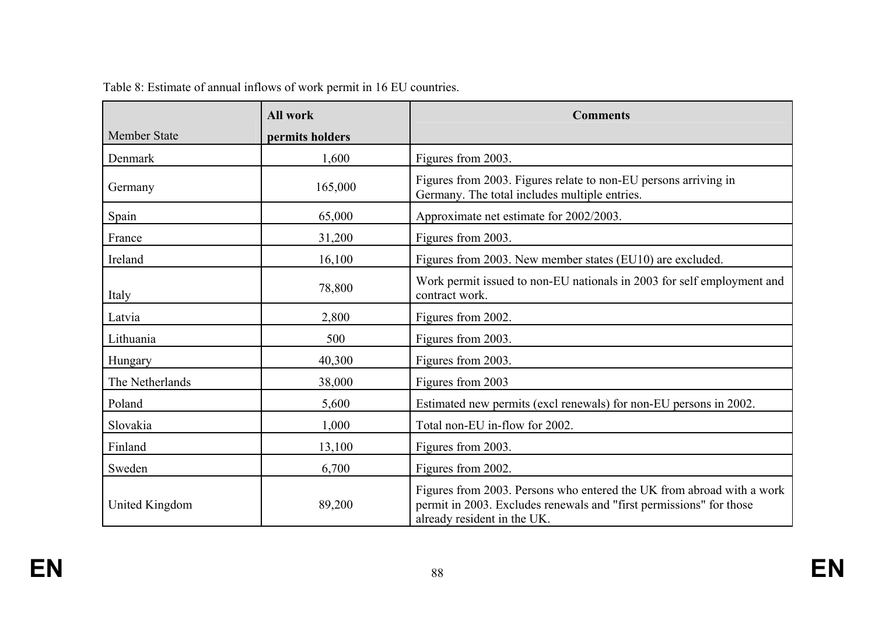|                     | <b>All work</b> | <b>Comments</b>                                                                                                                                                             |  |
|---------------------|-----------------|-----------------------------------------------------------------------------------------------------------------------------------------------------------------------------|--|
| <b>Member State</b> | permits holders |                                                                                                                                                                             |  |
| Denmark             | 1,600           | Figures from 2003.                                                                                                                                                          |  |
| Germany             | 165,000         | Figures from 2003. Figures relate to non-EU persons arriving in<br>Germany. The total includes multiple entries.                                                            |  |
| Spain               | 65,000          | Approximate net estimate for 2002/2003.                                                                                                                                     |  |
| France              | 31,200          | Figures from 2003.                                                                                                                                                          |  |
| Ireland             | 16,100          | Figures from 2003. New member states (EU10) are excluded.                                                                                                                   |  |
| Italy               | 78,800          | Work permit issued to non-EU nationals in 2003 for self employment and<br>contract work.                                                                                    |  |
| Latvia              | 2,800           | Figures from 2002.                                                                                                                                                          |  |
| Lithuania           | 500             | Figures from 2003.                                                                                                                                                          |  |
| Hungary             | 40,300          | Figures from 2003.                                                                                                                                                          |  |
| The Netherlands     | 38,000          | Figures from 2003                                                                                                                                                           |  |
| Poland              | 5,600           | Estimated new permits (excl renewals) for non-EU persons in 2002.                                                                                                           |  |
| Slovakia            | 1,000           | Total non-EU in-flow for 2002.                                                                                                                                              |  |
| Finland             | 13,100          | Figures from 2003.                                                                                                                                                          |  |
| Sweden              | 6,700           | Figures from 2002.                                                                                                                                                          |  |
| United Kingdom      | 89,200          | Figures from 2003. Persons who entered the UK from abroad with a work<br>permit in 2003. Excludes renewals and "first permissions" for those<br>already resident in the UK. |  |

|  |  | Table 8: Estimate of annual inflows of work permit in 16 EU countries. |
|--|--|------------------------------------------------------------------------|
|--|--|------------------------------------------------------------------------|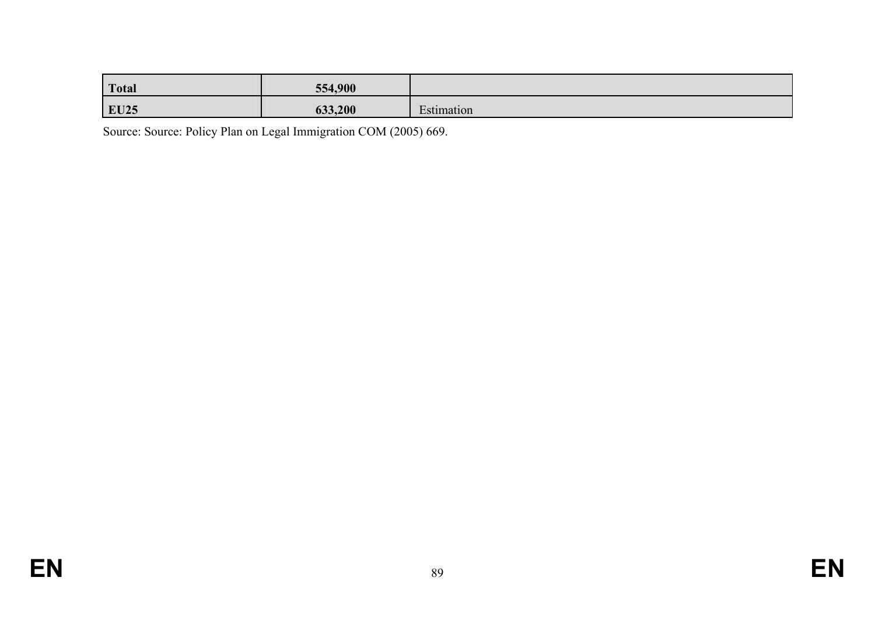| <b>Total</b> | 554,900 |            |
|--------------|---------|------------|
| <b>EU25</b>  | 633,200 | Estimation |

Source: Source: Policy Plan on Legal Immigration COM (2005) 669.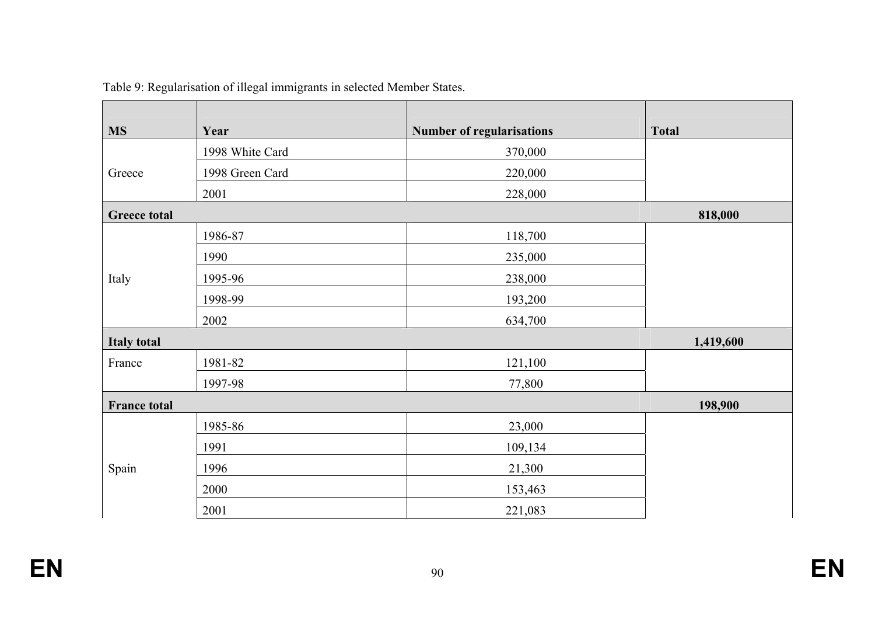| <b>MS</b>           | Year            | <b>Number of regularisations</b> | <b>Total</b> |
|---------------------|-----------------|----------------------------------|--------------|
|                     | 1998 White Card | 370,000                          |              |
| Greece              | 1998 Green Card | 220,000                          |              |
|                     | 2001            | 228,000                          |              |
| <b>Greece total</b> |                 |                                  | 818,000      |
|                     | 1986-87         | 118,700                          |              |
|                     | 1990            | 235,000                          |              |
| Italy               | 1995-96         | 238,000                          |              |
|                     | 1998-99         | 193,200                          |              |
|                     | 2002            | 634,700                          |              |
| <b>Italy total</b>  |                 |                                  | 1,419,600    |
| France              | 1981-82         | 121,100                          |              |
|                     | 1997-98         | 77,800                           |              |
| <b>France total</b> |                 |                                  | 198,900      |
|                     | 1985-86         | 23,000                           |              |
|                     | 1991            | 109,134                          |              |
| Spain               | 1996            | 21,300                           |              |
|                     | 2000            | 153,463                          |              |
|                     | 2001            | 221,083                          |              |

Table 9: Regularisation of illegal immigrants in selected Member States.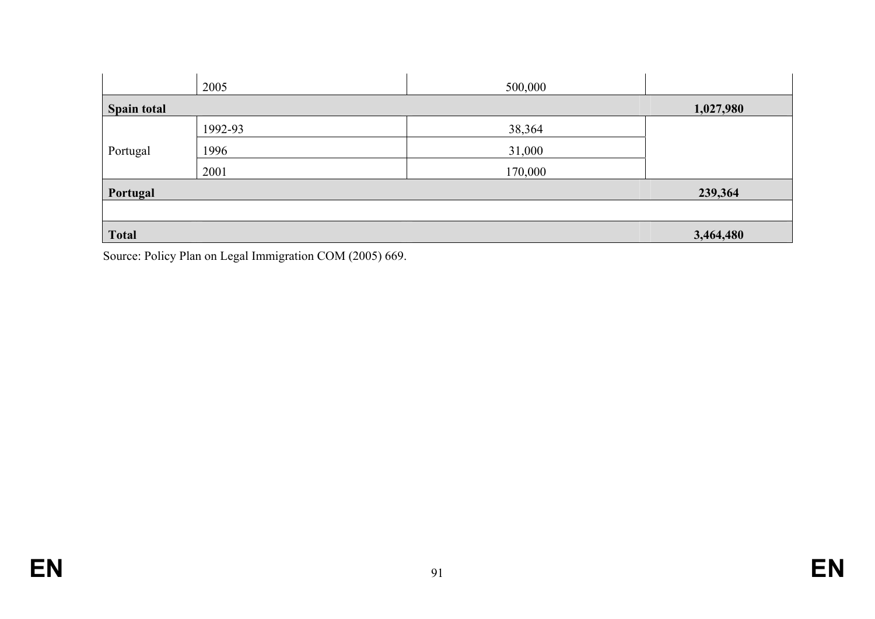|                    | 2005    | 500,000 |           |
|--------------------|---------|---------|-----------|
| <b>Spain total</b> |         |         | 1,027,980 |
|                    | 1992-93 | 38,364  |           |
| Portugal           | 1996    | 31,000  |           |
|                    | 2001    | 170,000 |           |
| Portugal           |         |         | 239,364   |
|                    |         |         |           |
| <b>Total</b>       |         |         | 3,464,480 |

Source: Policy Plan on Legal Immigration COM (2005) 669.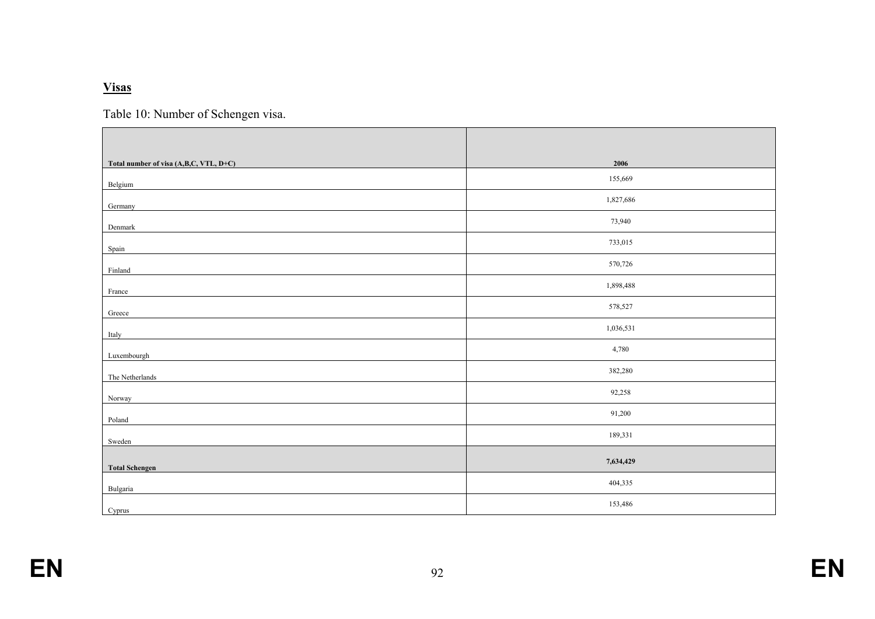#### **Visas**

Table 10: Number of Schengen visa.

| Total number of visa (A,B,C, VTL, D+C) | 2006      |
|----------------------------------------|-----------|
| Belgium                                | 155,669   |
| Germany                                | 1,827,686 |
| Denmark                                | 73,940    |
| Spain                                  | 733,015   |
| Finland                                | 570,726   |
| France                                 | 1,898,488 |
| Greece                                 | 578,527   |
| Italy                                  | 1,036,531 |
| Luxembourgh                            | 4,780     |
| The Netherlands                        | 382,280   |
| Norway                                 | 92,258    |
| Poland                                 | 91,200    |
| Sweden                                 | 189,331   |
| <b>Total Schengen</b>                  | 7,634,429 |
| Bulgaria                               | 404,335   |
| Cyprus                                 | 153,486   |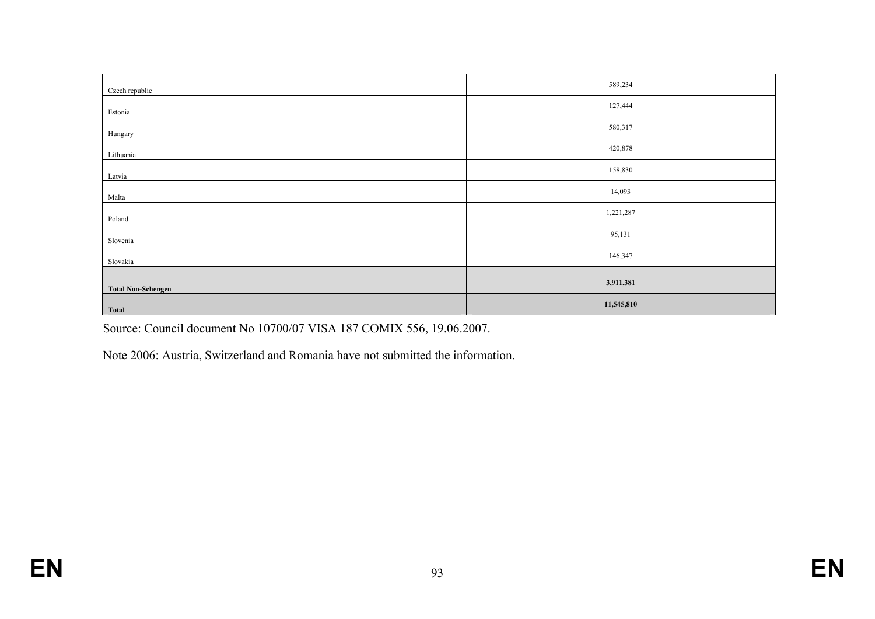| Czech republic            | 589,234    |
|---------------------------|------------|
| Estonia                   | 127,444    |
| Hungary                   | 580,317    |
| Lithuania                 | 420,878    |
| Latvia                    | 158,830    |
| Malta                     | 14,093     |
| Poland                    | 1,221,287  |
| Slovenia                  | 95,131     |
| Slovakia                  | 146,347    |
|                           | 3,911,381  |
| <b>Total Non-Schengen</b> |            |
| <b>Total</b>              | 11,545,810 |

Source: Council document No 10700/07 VISA 187 COMIX 556, 19.06.2007.

Note 2006: Austria, Switzerland and Romania have not submitted the information.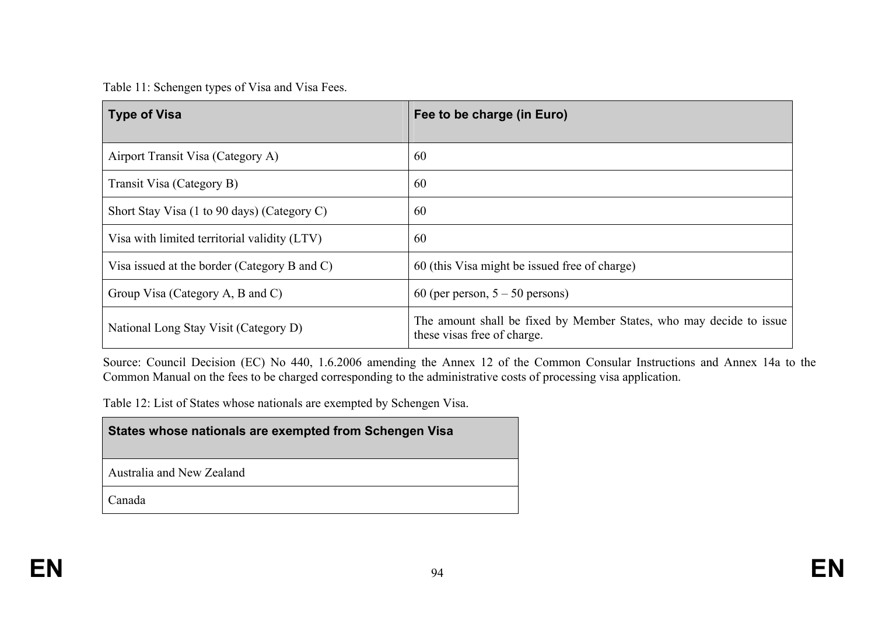Table 11: Schengen types of Visa and Visa Fees.

| <b>Type of Visa</b>                          | Fee to be charge (in Euro)                                                                         |
|----------------------------------------------|----------------------------------------------------------------------------------------------------|
| Airport Transit Visa (Category A)            | 60                                                                                                 |
| Transit Visa (Category B)                    | 60                                                                                                 |
| Short Stay Visa (1 to 90 days) (Category C)  | 60                                                                                                 |
| Visa with limited territorial validity (LTV) | 60                                                                                                 |
| Visa issued at the border (Category B and C) | 60 (this Visa might be issued free of charge)                                                      |
| Group Visa (Category A, B and C)             | 60 (per person, $5 - 50$ persons)                                                                  |
| National Long Stay Visit (Category D)        | The amount shall be fixed by Member States, who may decide to issue<br>these visas free of charge. |

Source: Council Decision (EC) No 440, 1.6.2006 amending the Annex 12 of the Common Consular Instructions and Annex 14a to the Common Manual on the fees to be charged corresponding to the administrative costs of processing visa application.

Table 12: List of States whose nationals are exempted by Schengen Visa.

## **States whose nationals are exempted from Schengen Visa**

Australia and New Zealand

Canada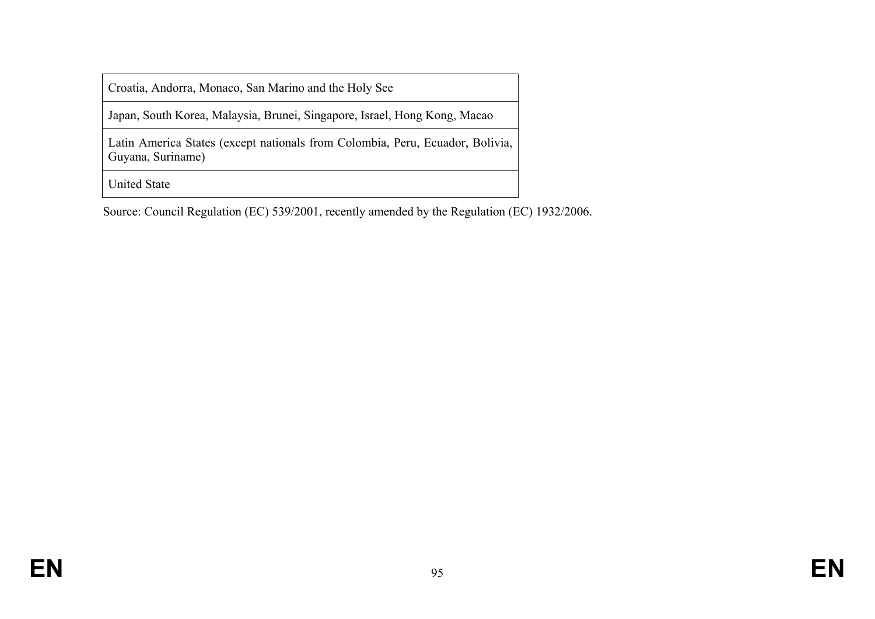Croatia, Andorra, Monaco, San Marino and the Holy See

Japan, South Korea, Malaysia, Brunei, Singapore, Israel, Hong Kong, Macao

Latin America States (except nationals from Colombia, Peru, Ecuador, Bolivia, Guyana, Suriname)

United State

Source: Council Regulation (EC) 539/2001, recently amended by the Regulation (EC) 1932/2006.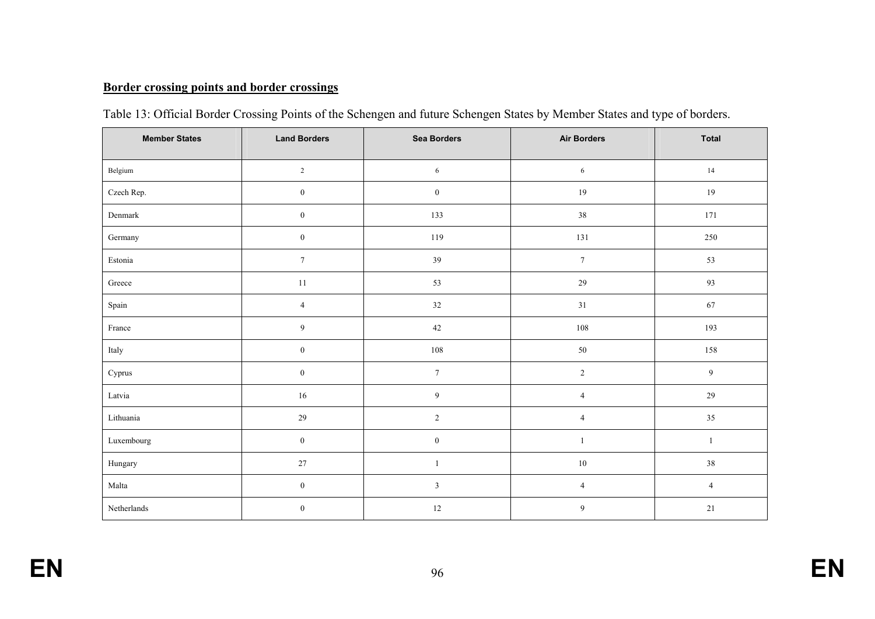# **Border crossing points and border crossings**

| <b>Member States</b> | <b>Land Borders</b> | <b>Sea Borders</b> | <b>Air Borders</b> | <b>Total</b>   |
|----------------------|---------------------|--------------------|--------------------|----------------|
| Belgium              | $\sqrt{2}$          | 6                  | $\sqrt{6}$         | $14\,$         |
| Czech Rep.           | $\boldsymbol{0}$    | $\boldsymbol{0}$   | $19\,$             | $19\,$         |
| Denmark              | $\boldsymbol{0}$    | 133                | $38\,$             | 171            |
| Germany              | $\boldsymbol{0}$    | 119                | 131                | 250            |
| Estonia              | $\boldsymbol{7}$    | 39                 | $\boldsymbol{7}$   | 53             |
| Greece               | $11\,$              | 53                 | 29                 | 93             |
| Spain                | $\sqrt{4}$          | 32                 | $31\,$             | $67\,$         |
| France               | $\boldsymbol{9}$    | 42                 | 108                | 193            |
| Italy                | $\boldsymbol{0}$    | $108\,$            | $50\,$             | 158            |
| Cyprus               | $\boldsymbol{0}$    | $\tau$             | $\overline{2}$     | $\overline{9}$ |
| Latvia               | $16\,$              | $\boldsymbol{9}$   | $\overline{4}$     | $29\,$         |
| Lithuania            | 29                  | $\sqrt{2}$         | $\overline{4}$     | $35\,$         |
| Luxembourg           | $\boldsymbol{0}$    | $\boldsymbol{0}$   |                    | 1              |
| Hungary              | $27\,$              | $\mathbf{1}$       | $10\,$             | 38             |
| Malta                | $\boldsymbol{0}$    | $\mathfrak{Z}$     | $\overline{4}$     | $\overline{4}$ |
| Netherlands          | $\boldsymbol{0}$    | $12\,$             | 9                  | $21\,$         |

|  |  | Table 13: Official Border Crossing Points of the Schengen and future Schengen States by Member States and type of borders. |
|--|--|----------------------------------------------------------------------------------------------------------------------------|
|  |  |                                                                                                                            |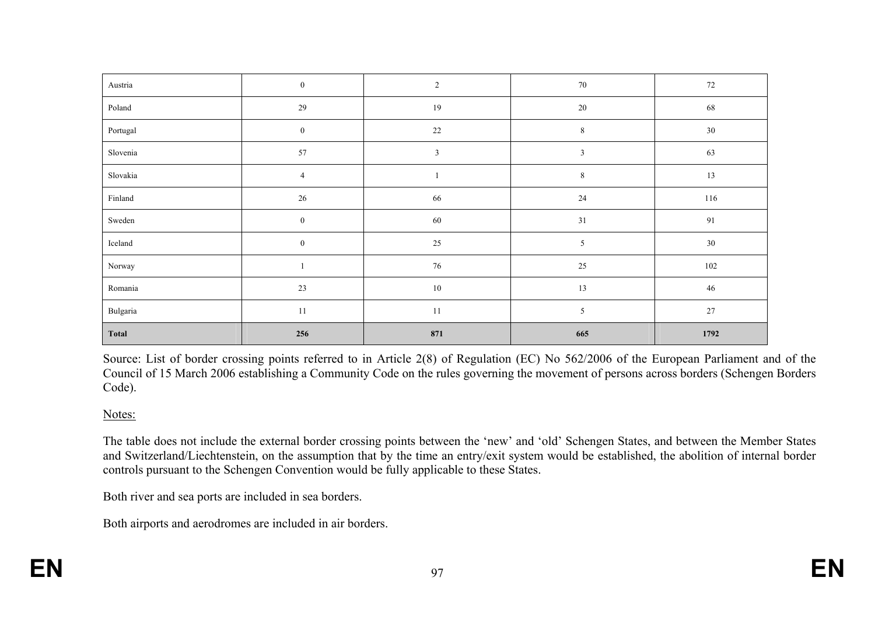| Austria      | $\boldsymbol{0}$ | $\sqrt{2}$ | $70\,$         | $72\,$  |
|--------------|------------------|------------|----------------|---------|
| Poland       | 29               | 19         | $20\,$         | 68      |
| Portugal     | $\bf{0}$         | $22\,$     | $\,8\,$        | $30\,$  |
| Slovenia     | 57               | $\sqrt{3}$ | $\sqrt{3}$     | 63      |
| Slovakia     | $\overline{4}$   | -1         | 8              | $13\,$  |
| Finland      | $26\,$           | 66         | 24             | 116     |
| Sweden       | $\boldsymbol{0}$ | 60         | 31             | 91      |
| Iceland      | $\boldsymbol{0}$ | $25\,$     | $\mathfrak{S}$ | $30\,$  |
| Norway       | $\mathbf{I}$     | $76\,$     | $25\,$         | $102\,$ |
| Romania      | $23\,$           | $10\,$     | 13             | 46      |
| Bulgaria     | $11\,$           | $11\,$     | $\sqrt{5}$     | $27\,$  |
| <b>Total</b> | 256              | 871        | 665            | 1792    |

Source: List of border crossing points referred to in Article 2(8) of Regulation (EC) No 562/2006 of the European Parliament and of the Council of 15 March 2006 establishing a Community Code on the rules governing the movement of persons across borders (Schengen Borders Code).

#### Notes:

The table does not include the external border crossing points between the 'new' and 'old' Schengen States, and between the Member States and Switzerland/Liechtenstein, on the assumption that by the time an entry/exit system would be established, the abolition of internal border controls pursuant to the Schengen Convention would be fully applicable to these States.

Both river and sea ports are included in sea borders.

Both airports and aerodromes are included in air borders.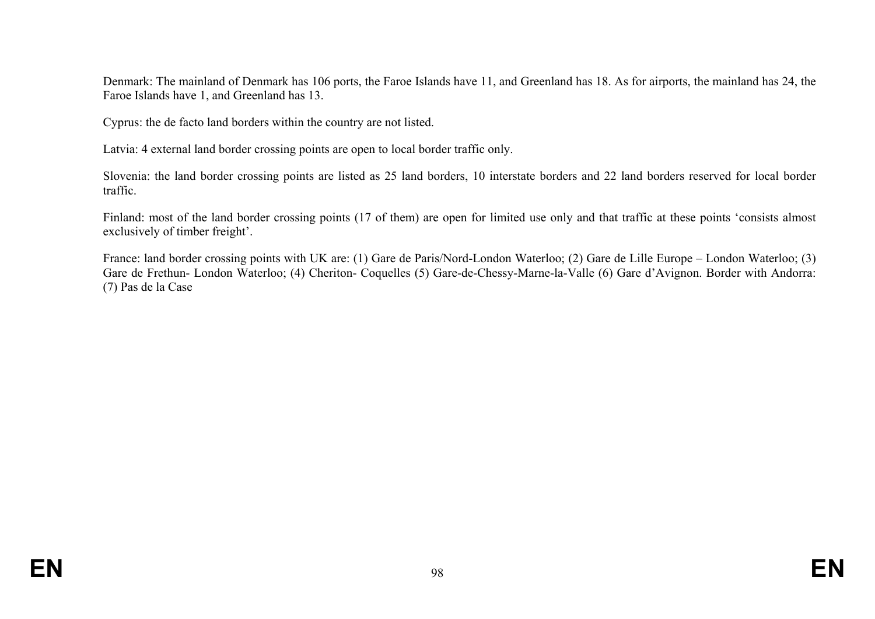Denmark: The mainland of Denmark has 106 ports, the Faroe Islands have 11, and Greenland has 18. As for airports, the mainland has 24, the Faroe Islands have 1, and Greenland has 13.

Cyprus: the de facto land borders within the country are not listed.

Latvia: 4 external land border crossing points are open to local border traffic only.

Slovenia: the land border crossing points are listed as 25 land borders, 10 interstate borders and 22 land borders reserved for local border traffic.

Finland: most of the land border crossing points (17 of them) are open for limited use only and that traffic at these points 'consists almost exclusively of timber freight'.

France: land border crossing points with UK are: (1) Gare de Paris/Nord-London Waterloo; (2) Gare de Lille Europe – London Waterloo; (3) Gare de Frethun- London Waterloo; (4) Cheriton- Coquelles (5) Gare-de-Chessy-Marne-la-Valle (6) Gare d'Avignon. Border with Andorra: (7) Pas de la Case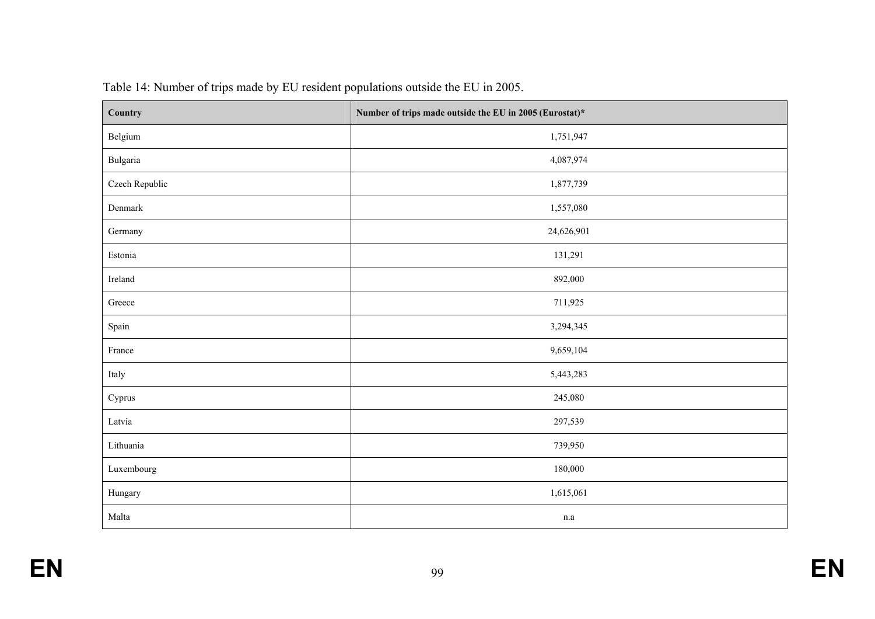| Country        | Number of trips made outside the EU in 2005 (Eurostat)* |  |  |
|----------------|---------------------------------------------------------|--|--|
| Belgium        | 1,751,947                                               |  |  |
| Bulgaria       | 4,087,974                                               |  |  |
| Czech Republic | 1,877,739                                               |  |  |
| Denmark        | 1,557,080                                               |  |  |
| Germany        | 24,626,901                                              |  |  |
| Estonia        | 131,291                                                 |  |  |
| Ireland        | 892,000                                                 |  |  |
| Greece         | 711,925                                                 |  |  |
| Spain          | 3,294,345                                               |  |  |
| France         | 9,659,104                                               |  |  |
| Italy          | 5,443,283                                               |  |  |
| Cyprus         | 245,080                                                 |  |  |
| Latvia         | 297,539                                                 |  |  |
| Lithuania      | 739,950                                                 |  |  |
| Luxembourg     | 180,000                                                 |  |  |
| Hungary        | 1,615,061                                               |  |  |
| Malta          | n.a                                                     |  |  |

Table 14: Number of trips made by EU resident populations outside the EU in 2005.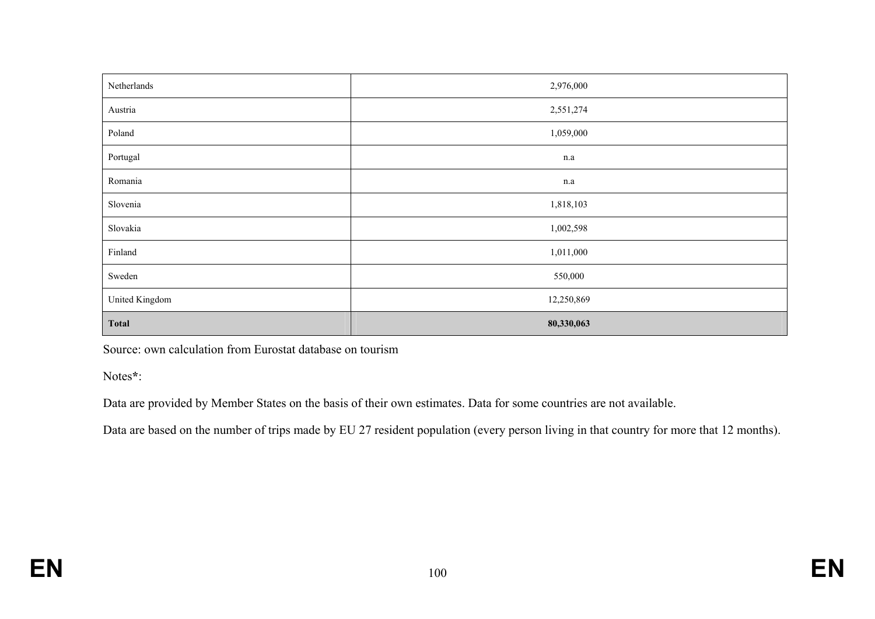| Netherlands    | 2,976,000  |
|----------------|------------|
| Austria        | 2,551,274  |
| Poland         | 1,059,000  |
| Portugal       | n.a        |
| Romania        | n.a        |
| Slovenia       | 1,818,103  |
| Slovakia       | 1,002,598  |
| Finland        | 1,011,000  |
| Sweden         | 550,000    |
| United Kingdom | 12,250,869 |
| <b>Total</b>   | 80,330,063 |

Source: own calculation from Eurostat database on tourism

Notes**\***:

Data are provided by Member States on the basis of their own estimates. Data for some countries are not available.

Data are based on the number of trips made by EU 27 resident population (every person living in that country for more that 12 months).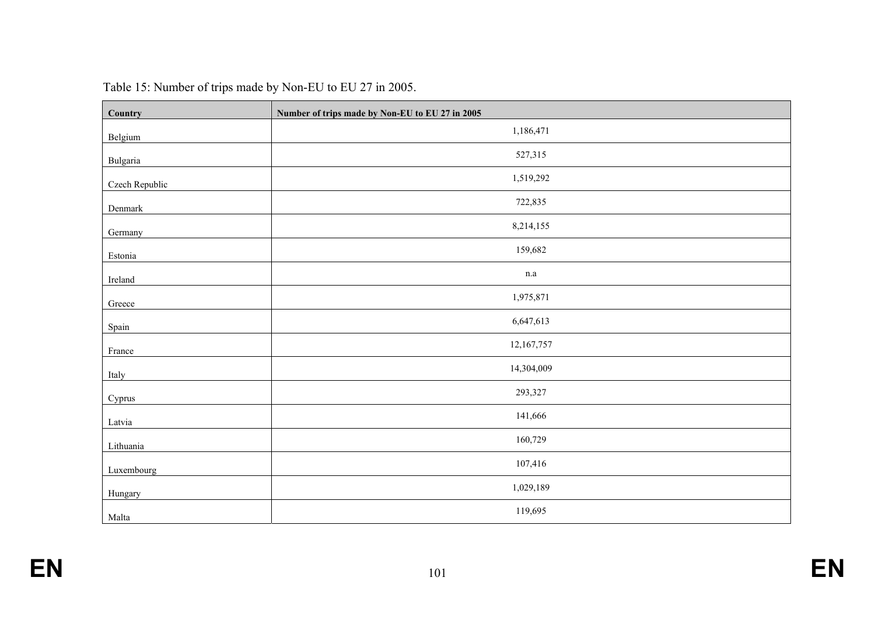| Country        | Number of trips made by Non-EU to EU 27 in 2005 |
|----------------|-------------------------------------------------|
| Belgium        | 1,186,471                                       |
| Bulgaria       | 527,315                                         |
| Czech Republic | 1,519,292                                       |
| Denmark        | 722,835                                         |
| Germany        | 8,214,155                                       |
| Estonia        | 159,682                                         |
| Ireland        | $\rm n.a$                                       |
| Greece         | 1,975,871                                       |
| Spain          | 6,647,613                                       |
| France         | 12,167,757                                      |
| Italy          | 14,304,009                                      |
| Cyprus         | 293,327                                         |
| Latvia         | 141,666                                         |
| Lithuania      | 160,729                                         |
| Luxembourg     | 107,416                                         |
| Hungary        | 1,029,189                                       |
| Malta          | 119,695                                         |

| Table 15: Number of trips made by Non-EU to EU 27 in 2005. |  |  |  |  |  |  |  |  |  |
|------------------------------------------------------------|--|--|--|--|--|--|--|--|--|
|------------------------------------------------------------|--|--|--|--|--|--|--|--|--|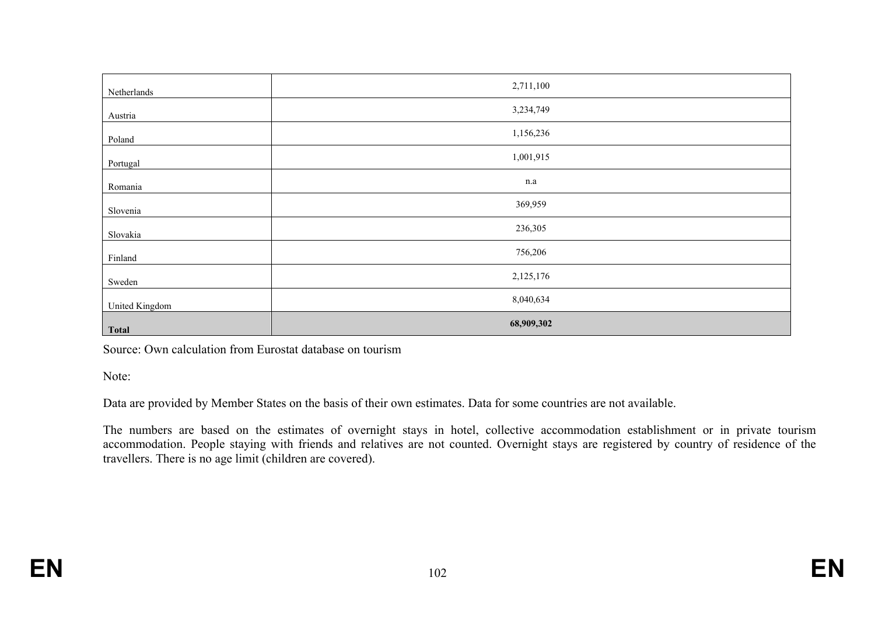| Netherlands    | 2,711,100  |
|----------------|------------|
| Austria        | 3,234,749  |
| Poland         | 1,156,236  |
| Portugal       | 1,001,915  |
| Romania        | n.a        |
| Slovenia       | 369,959    |
| Slovakia       | 236,305    |
| Finland        | 756,206    |
| Sweden         | 2,125,176  |
| United Kingdom | 8,040,634  |
| <b>Total</b>   | 68,909,302 |

Source: Own calculation from Eurostat database on tourism

Note:

Data are provided by Member States on the basis of their own estimates. Data for some countries are not available.

The numbers are based on the estimates of overnight stays in hotel, collective accommodation establishment or in private tourism accommodation. People staying with friends and relatives are not counted. Overnight stays are registered by country of residence of the travellers. There is no age limit (children are covered).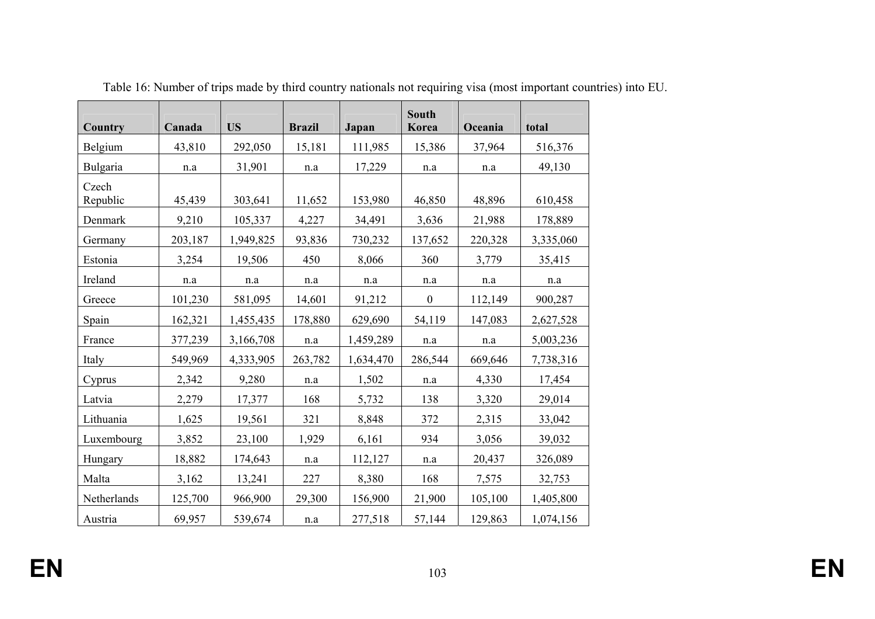| Country           | Canada  | <b>US</b> | <b>Brazil</b> | Japan     | South<br>Korea   | Oceania | total     |
|-------------------|---------|-----------|---------------|-----------|------------------|---------|-----------|
| Belgium           | 43,810  | 292,050   | 15,181        | 111,985   | 15,386           | 37,964  | 516,376   |
| Bulgaria          | n.a     | 31,901    | n.a           | 17,229    | $\rm n.a$        | n.a     | 49,130    |
| Czech<br>Republic | 45,439  | 303,641   | 11,652        | 153,980   | 46,850           | 48,896  | 610,458   |
| Denmark           | 9,210   | 105,337   | 4,227         | 34,491    | 3,636            | 21,988  | 178,889   |
| Germany           | 203,187 | 1,949,825 | 93,836        | 730,232   | 137,652          | 220,328 | 3,335,060 |
| Estonia           | 3,254   | 19,506    | 450           | 8,066     | 360              | 3,779   | 35,415    |
| Ireland           | n.a     | n.a       | n.a           | n.a       | n.a              | n.a     | n.a       |
| Greece            | 101,230 | 581,095   | 14,601        | 91,212    | $\boldsymbol{0}$ | 112,149 | 900,287   |
| Spain             | 162,321 | 1,455,435 | 178,880       | 629,690   | 54,119           | 147,083 | 2,627,528 |
| France            | 377,239 | 3,166,708 | n.a           | 1,459,289 | $\rm n.a$        | n.a     | 5,003,236 |
| Italy             | 549,969 | 4,333,905 | 263,782       | 1,634,470 | 286,544          | 669,646 | 7,738,316 |
| Cyprus            | 2,342   | 9,280     | n.a           | 1,502     | n.a              | 4,330   | 17,454    |
| Latvia            | 2,279   | 17,377    | 168           | 5,732     | 138              | 3,320   | 29,014    |
| Lithuania         | 1,625   | 19,561    | 321           | 8,848     | 372              | 2,315   | 33,042    |
| Luxembourg        | 3,852   | 23,100    | 1,929         | 6,161     | 934              | 3,056   | 39,032    |
| Hungary           | 18,882  | 174,643   | $\rm n.a$     | 112,127   | $\rm n.a$        | 20,437  | 326,089   |
| Malta             | 3,162   | 13,241    | 227           | 8,380     | 168              | 7,575   | 32,753    |
| Netherlands       | 125,700 | 966,900   | 29,300        | 156,900   | 21,900           | 105,100 | 1,405,800 |
| Austria           | 69,957  | 539,674   | n.a           | 277,518   | 57,144           | 129,863 | 1,074,156 |

Table 16: Number of trips made by third country nationals not requiring visa (most important countries) into EU.